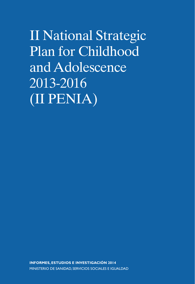II National Strategic Plan for Childhood and Adolescence 2013-2016 (II PENIA)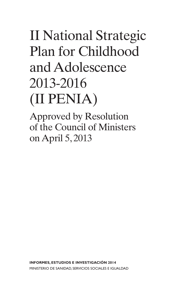# II National Strategic Plan for Childhood and Adolescence 2013-2016 (II PENIA)

Approved by Resolution of the Council of Ministers on April 5, 2013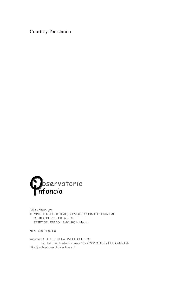Courtesy Translation



Edita y distribuye: © MINISTERIO DE SANIDAD, SERVICIOS SOCIALES E IGUALDAD CENTRO DE PUBLICACIONES PASEO DEL PRADO, 18-20. 28014 Madrid

NIPO: 680-14-091-0

Imprime: ESTILO ESTUGRAF IMPRESORES, S.L. Pol. Ind. Los Huertecillos, nave 13 - 28350 CIEMPOZUELOS (Madrid) http://publicacionesoficiales.boe.es/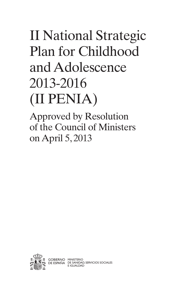# II National Strategic Plan for Childhood and Adolescence 2013-2016 (II PENIA)

Approved by Resolution of the Council of Ministers on April 5, 2013

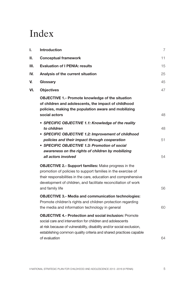# Index

| I.  | Introduction                                                                                                                                                                                                                                                                              | 7        |
|-----|-------------------------------------------------------------------------------------------------------------------------------------------------------------------------------------------------------------------------------------------------------------------------------------------|----------|
| Н.  | <b>Conceptual framework</b>                                                                                                                                                                                                                                                               | 11       |
| Ш.  | <b>Evaluation of I PENIA: results</b>                                                                                                                                                                                                                                                     | 15       |
| IV. | Analysis of the current situation                                                                                                                                                                                                                                                         | 25       |
| V.  | Glossary                                                                                                                                                                                                                                                                                  | 45       |
| VI. | <b>Objectives</b>                                                                                                                                                                                                                                                                         | 47       |
|     | <b>OBJECTIVE 1.- Promote knowledge of the situation</b><br>of children and adolescents, the impact of childhood<br>policies, making the population aware and mobilizing<br>social actors                                                                                                  | 48       |
|     | • SPECIFIC OBJECTIVE 1.1: Knowledge of the reality<br>to children<br>• SPECIFIC OBJECTIVE 1.2: Improvement of childhood<br>policies and their impact through cooperation<br>• SPECIFIC OBJECTIVE 1.3: Promotion of social<br>awareness on the rights of children by mobilizing            | 48<br>51 |
|     | all actors involved                                                                                                                                                                                                                                                                       | 54       |
|     | <b>OBJECTIVE 2.- Support families: Make progress in the</b><br>promotion of policies to support families in the exercise of<br>their responsibilities in the care, education and comprehensive<br>development of children, and facilitate reconciliation of work<br>and family life       | 56       |
|     | <b>OBJECTIVE 3.- Media and communication technologies:</b><br>Promote children's rights and children protection regarding<br>the media and information technology in general                                                                                                              | 60       |
|     | <b>OBJECTIVE 4.- Protection and social inclusion: Promote</b><br>social care and intervention for children and adolescents<br>at risk because of vulnerability, disability and/or social exclusion,<br>establishing common quality criteria and shared practices capable<br>of evaluation | 64       |
|     |                                                                                                                                                                                                                                                                                           |          |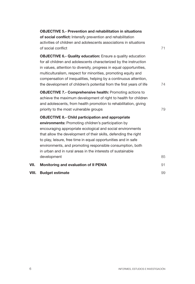|       | <b>OBJECTIVE 5.- Prevention and rehabilitation in situations</b><br>of social conflict: Intensify prevention and rehabilitation<br>activities of children and adolescents associations in situations<br>of social conflict                                                                                                                                                                                                                     | 71 |
|-------|------------------------------------------------------------------------------------------------------------------------------------------------------------------------------------------------------------------------------------------------------------------------------------------------------------------------------------------------------------------------------------------------------------------------------------------------|----|
|       | <b>OBJECTIVE 6.- Quality education:</b> Ensure a quality education<br>for all children and adolescents characterized by the instruction<br>in values, attention to diversity, progress in equal opportunities,<br>multiculturalism, respect for minorities, promoting equity and<br>compensation of inequalities, helping by a continuous attention,<br>the development of children's potential from the first years of life                   | 74 |
|       | <b>OBJECTIVE 7.- Comprehensive health: Promoting actions to</b><br>achieve the maximum development of right to health for children<br>and adolescents, from health promotion to rehabilitation, giving<br>priority to the most vulnerable groups                                                                                                                                                                                               | 79 |
|       | <b>OBJECTIVE 8.- Child participation and appropriate</b><br>environments: Promoting children's participation by<br>encouraging appropriate ecological and social environments<br>that allow the development of their skills, defending the right<br>to play, leisure, free time in equal opportunities and in safe<br>environments, and promoting responsible consumption, both<br>in urban and in rural areas in the interests of sustainable |    |
|       | development                                                                                                                                                                                                                                                                                                                                                                                                                                    | 85 |
| VII.  | Monitoring and evaluation of II PENIA                                                                                                                                                                                                                                                                                                                                                                                                          | 91 |
| VIII. | <b>Budget estimate</b>                                                                                                                                                                                                                                                                                                                                                                                                                         | 99 |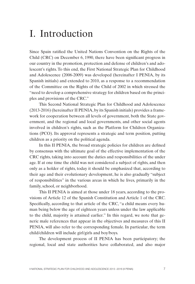# <span id="page-8-0"></span>I. Introduction

Since Spain ratified the United Nations Convention on the Rights of the Child (CRC) on December 6, 1990, there have been significant progress in our country in the promotion, protection and defense of children's and adolescent's rights. To this end, the First National Strategic Plan for Childhood and Adolescence (2006-2009) was developed (hereinafter I PENIA, by its Spanish initials) and extended to 2010, as a response to a recommendation of the Committee on the Rights of the Child of 2002 in which stressed the "need to develop a comprehensive strategy for children based on the principles and provisions of the CRC."

This Second National Strategic Plan for Childhood and Adolescence (2013-2016) (hereinafter II PENIA, by its Spanish initials) provides a framework for cooperation between all levels of government, both the State government, and the regional and local governments, and other social agents involved in children's rights, such as the Platform for Children Organizations (PCO). Its approval represents a strategic and term position, putting children as a priority on the political agenda.

In this II PENIA, the broad strategic policies for children are defined by consensus with the ultimate goal of the effective implementation of the CRC rights, taking into account the duties and responsibilities of the under age. If at one time the child was not considered a subject of rights, and then only as a holder of rights, today it should be emphasized that, according to their age and their evolutionary development, he is also gradually "subject of responsibilities" in the various areas in which he lives, primarily in the family, school, or neighborhood.

This II PENIA is aimed at those under 18 years, according to the provisions of Article 12 of the Spanish Constitution and Article 1 of the CRC. Specifically, according to that article of the CRC, "a child means every human being below the age of eighteen years unless under the law applicable to the child, majority is attained earlier." In this regard, we note that generic male references that appear in the objectives and measures of this II PENIA, will also refer to the corresponding female. In particular, the term child/children will include girl/girls and boy/boys.

The development process of II PENIA has been participatory; the regional, local and state authorities have collaborated, and also major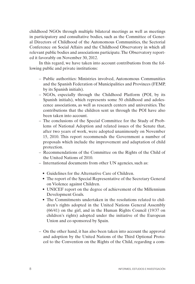childhood NGOs through multiple bilateral meetings as well as meetings in participatory and consultative bodies, such as the Committee of General Directors of Childhood of the Autonomous Communities, the Sectorial Conference on Social Affairs and the Childhood Observatory in which all relevant public bodies and associations participate. The Observatory reported it favorably on November 30, 2012.

In this regard, we have taken into account contributions from the following public and private institutions:

- Public authorities: Ministries involved, Autonomous Communities and the Spanish Federation of Municipalities and Provinces (FEMP, by its Spanish initials).
- NGOs, especially through the Childhood Platform (POI, by its Spanish initials), which represents some 50 childhood and adolescence associations, as well as research centers and universities. The contributions that the children sent us through the POI have also been taken into account.
- The conclusions of the Special Committee for the Study of Problems of National Adoption and related issues of the Senate that, after two years of work, were adopted unanimously on November 15, 2010. This report recommends the Government a number of proposals which include the improvement and adaptation of child protection.
- Recommendations of the Committee on the Rights of the Child of the United Nations of 2010.
- International documents from other UN agencies, such as:
	- Guidelines for the Alternative Care of Children.
	- The report of the Special Representative of the Secretary General on Violence against Children.
	- UNICEF report on the degree of achievement of the Millennium Development Goals.
	- The Commitments undertaken in the resolutions related to children's rights adopted in the United Nations General Assembly (66/41) on the girl, and in the Human Rights Council (19/37 on children's rights) adopted under the initiative of the European Union and co-sponsored by Spain.
- On the other hand, it has also been taken into account the approval and adoption by the United Nations of the Third Optional Protocol to the Convention on the Rights of the Child, regarding a com-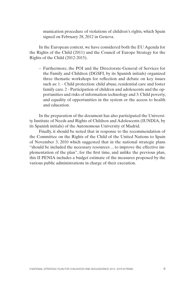munication procedure of violations of children's rights, which Spain signed on February 28, 2012 in Geneva.

In the European context, we have considered both the EU Agenda for the Rights of the Child (2011) and the Council of Europe Strategy for the Rights of the Child (2012-2015).

– Furthermore, the POI and the Directorate-General of Services for the Family and Children (DGSFI, by its Spanish initials) organized three thematic workshops for reflection and debate on key issues such as: 1. - Child protection: child abuse, residential care and foster family care. 2 - Participation of children and adolescents and the opportunities and risks of information technology and 3: Child poverty, and equality of opportunities in the system or the access to health and education.

In the preparation of the document has also participated the University Institute of Needs and Rights of Children and Adolescents (IUNDIA, by its Spanish initials) of the Autonomous University of Madrid.

Finally, it should be noted that in response to the recommendation of the Committee on the Rights of the Child of the United Nations to Spain of November 3, 2010 which suggested that in the national strategic plans "should be included the necessary resources ... to improve the effective implementation of the plan", for the first time, and unlike the previous plan, this II PENIA includes a budget estimate of the measures proposed by the various public administrations in charge of their execution.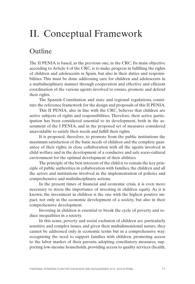# <span id="page-12-0"></span>II. Conceptual Framework

### Outline

The II PENIA is based, as the previous one, in the CRC. Its main objective according to Article 4 of the CRC, is to make progress in fulfilling the rights of children and adolescents in Spain, but also in their duties and responsibilities. This must be done addressing care for children and adolescents in a multidisciplinary manner through cooperation and effective and efficient coordination of the various agents involved to ensure, promote and defend their rights.

The Spanish Constitution and state and regional regulations, constitute the reference framework for the design and proposals of this II PENIA.

This II PENIA, also in line with the CRC, believes that children are active subjects of rights and responsibilities. Therefore, their active participation has been considered essential to its development, both in the assessment of the I PENIA, and in the proposed set of measures considered unavoidable to satisfy their needs and fulfill their rights.

It is proposed, therefore, to promote from the public institutions the maximum satisfaction of the basic needs of children and the complete guarantee of their rights, in close collaboration with all the agents involved in child welfare and in the development of a conducive and safe socio-cultural environment for the optimal development of their abilities.

The principle of the best interests of the child is to remain the key principle of public authorities in collaboration with families, the children and all the actors and institutions involved in the implementation of policies and comprehensive and multidisciplinary actions.

In the present times of financial and economic crisis, it is even more necessary to stress the importance of investing in children equity. As it is known, the investment in children is the one with the highest positive impact, not only in the economic development of a society, but also in their comprehensive development.

Investing in children is essential to break the cycle of poverty and reduce inequalities in a society.

In this sense, poverty and social exclusion of children are particularly sensitive and complex issues, and given their multidimensional nature, they cannot be addressed only in economic terms but in a comprehensive way: recognizing the need to support families with children, promoting access to the labor market of their parents, adopting conciliatory measures, supporting low-income households, providing access to quality services (health,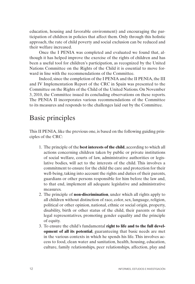education, housing and favorable environment) and encouraging the participation of children in policies that affect them. Only through this holistic approach, the rate of child poverty and social exclusion can be reduced and their welfare increased.

Once the I PENIA was completed and evaluated we found that, although it has helped improve the exercise of the rights of children and has been a useful tool for children's participation, as recognized by the United Nations Committee on the Rights of the Child it is essential to move forward in line with the recommendations of the Committee.

Indeed, since the completion of the I PENIA and the II PENIA, the III and IV Implementation Report of the CRC in Spain was presented to the Committee on the Rights of the Child of the United Nations. On November 3, 2010, the Committee issued its concluding observations on these reports. The PENIA II incorporates various recommendations of the Committee to its measures and responds to the challenges laid out by the Committee.

## Basic principles

This II PENIA, like the previous one, is based on the following guiding principles of the CRC:

- 1. The principle of the **best interests of the child**, according to which all actions concerning children taken by public or private institutions of social welfare, courts of law, administrative authorities or legislative bodies, will act to the interests of the child. This involves a commitment to ensure for the child the care and protection for their well-being, taking into account the rights and duties of their parents, guardians or other persons responsible for him before the law and, to that end, implement all adequate legislative and administrative measures.
- 2. The principle of **non-discrimination**, under which all rights apply to all children without distinction of race, color, sex, language, religion, political or other opinion, national, ethnic or social origin, property, disability, birth or other status of the child, their parents or their legal representatives, promoting gender equality and the principle of equity.
- 3. To ensure the child's fundamental **right to life and to the full development of all its potential**, guaranteeing that basic needs are met in the various contexts in which he spends his life. This involves access to food, clean water and sanitation, health, housing, education, culture, family relationships, peer relationships, affection, play and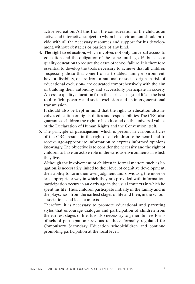active recreation. All this from the consideration of the child as an active and interactive subject to whom his environment should provide with all the necessary resources and support for his development, without obstacles or barriers of any kind.

4. **The right to education**, which involves not only universal access to education and the obligation of the same until age 16, but also a quality education to reduce the cases of school failure. It is therefore essential to develop the tools necessary to achieve that all children –especially those that come from a troubled family environment, have a disability, or are from a national or social origin in risk of educational exclusion– are educated comprehensively with the aim of building their autonomy and successfully participate in society. Access to quality education from the earliest stages of life is the best tool to fight poverty and social exclusion and its intergenerational transmission.

It should also be kept in mind that the right to education also involves education on rights, duties and responsibilities. The CRC also guarantees children the right to be educated on the universal values of the Declaration of Human Rights and the Convention itself.

5. The principle of **participation**, which is present in various articles of the CRC, results in the right of all children to be heard and to receive age-appropriate information to express informed opinions knowingly. The objective is to consider the necessity and the right of children to have an active role in the various environments in which they live.

Although the involvement of children in formal matters, such as litigation, is necessarily linked to their level of cognitive development, their ability to form their own judgment and, obviously, the more or less appropriate way in which they are provided with information, participation occurs in an early age in the usual contexts in which he spent his life. Thus, children participate initially in the family and in the playschool from the earliest stages of life and then, in the school, associations and local contexts.

Therefore it is necessary to promote educational and parenting styles that encourage dialogue and participation of children from the earliest stages of life. It is also necessary to generate new forms of school participation previous to those formally regulated for Compulsory Secondary Education schoolchildren and continue promoting participation at the local level.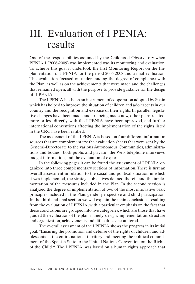# <span id="page-16-0"></span>III. Evaluation of I PENIA: results

One of the responsibilities assumed by the Childhood Observatory when PENIA I (2006-2009) was implemented was its monitoring and evaluation. To achieve this goal it undertook the first Monitoring Report on the Implementation of I PENIA for the period 2006-2008 and a final evaluation. This evaluation focused on understanding the degree of compliance with the Plan, as well as on the achievements that were made and the challenges that remained open, all with the purpose to provide guidance for the design of II PENIA.

The I PENIA has been an instrument of cooperation adopted by Spain which has helped to improve the situation of children and adolescents in our country and the recognition and exercise of their rights. In parallel, legislative changes have been made and are being made now, other plans related, more or less directly, with the I PENIA have been approved, and further international conventions affecting the implementation of the rights listed in the CRC have been ratified.

The assessment of the I PENIA is based on four different information sources that are complementary: the evaluation sheets that were sent by the General-Directorate to the various Autonomous Communities, administrations and bodies –both public and private– the Web, telephone interviews, budget information, and the evaluation of experts.

In the following pages it can be found the assessment of I PENIA organized into three complementary sections of information. There is first an overall assessment in relation to the social and political situation in which it was implemented, the strategic objectives defined therein and the implementation of the measures included in the Plan. In the second section is analyzed the degree of implementation of two of the most innovative basic principles included in the Plan: gender perspective and child participation. In the third and final section we will explain the main conclusions resulting from the evaluation of I PENIA, with a particular emphasis on the fact that these conclusions are grouped into five categories, which are those that have guided the evaluation of the plan, namely: design, implementation, structure and organization, achievements and difficulties encountered.

The overall assessment of the I PENIA shows the progress in its initial goal: "Ensuring the promotion and defense of the rights of children and adolescents in the entire national territory and meeting the political commitment of the Spanish State to the United Nations Convention on the Rights of the Child ". The I PENIA, was based on a human rights approach that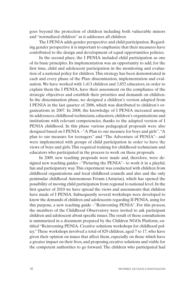goes beyond the protection of children including both vulnerable minors and "normalized children" as it addresses all children.

The I PENIA adds gender perspective and child participation. Regarding gender perspective it is important to emphasize that their measures have contributed to the design and development of equal opportunities policies.

In the second place, the I PENIA included child participation as one of its basic principles. Its implementation was an opportunity to add, for the first time, child and adolescent participation in the monitoring and evaluation of a national policy for children. This strategy has been demonstrated in each and every phase of the Plan: dissemination, implementation and evaluation. We have worked with 1,413 children and 3,852 educators, in order to explain them the I PENIA, have their assessment on the compliance of the strategic objectives and establish their priorities and demands on children. In the dissemination phase, we designed a children's version adapted from I PENIA in the last quarter of 2006, which was distributed to children's organizations in 2007. In 2008, the knowledge of I PENIA increased among its addressees, childhood technicians, educators, children's organizations and institutions with relevant competencies, thanks to the adapted version of I PENIA childhood. In this phase various pedagogical proposals were also designed based on I PENIA –"A Plan to our measure for boys and girls", "A plan to our measure for teenagers" and "The Adventure of PENIA"– and were implemented with groups of child participation in order to have the views of boys and girls. This required training for childhood technicians and educators who participated in the process to work on these proposals.

In 2009, new teaching proposals were made and, therefore, were designed new teaching guides –"Picturing the PENIA"– to work it in a playful, fun and participatory way. This experiment was conducted with children from childhood organizations and local childhood councils and also and the only peninsular childhood Autonomous Forum (Asturias), which has opened the possibility of moving child participation from regional to national level. In the first quarter of 2010 we have spread the views and assessments that children have made of I PENIA. Subsequently several workshops were developed to know the demands of children and adolescents regarding II PENIA, using for this purpose, a new teaching guide –"Reinventing PENIA". For this process, the members of the Childhood Observatory were invited to ask participant children and adolescent about specific issues. The result of these consultations is summarized in a document prepared by the Children NGOs Platform, entitled "Reinventing PENIA. Creative solutions workshops for childhood policy." These workshops involved a total of 829 children, aged 7 to 17, who have given their opinion on issues that affect them, especially on those which have a greater impact on their lives, and proposing creative solutions and viable for the competent authorities to go forward. The children who participated had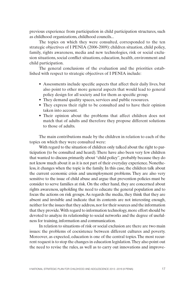previous experience from participation in child participation structures, such as childhood organizations, childhood councils...

The topics on which they were consulted, corresponded to the ten strategic objectives of I PENIA (2006-2009): children situation, child policy, family, rights awareness, media and new technologies, risk or social exclusion situations, social conflict situations, education, health, environment and child participation.

The general conclusions of the evaluation and the priorities established with respect to strategic objectives of I PENIA include:

- Assessments include specific aspects that affect their daily lives, but also point to other more general aspects that would lead to general policy design for all society and for them as specific group.
- They demand quality spaces, services and public resources.
- They express their right to be consulted and to have their opinion taken into account.
- Their opinion about the problems that affect children does not match that of adults and therefore they propose different solutions to those of adults.

The main contributions made by the children in relation to each of the topics on which they were consulted were:

With regard to the situation of children only talked about the right to participation (to be consulted and heard). There have also been very few children that wanted to discuss primarily about "child policy", probably because they do not know much about it as it is not part of their everyday experience. Nonetheless, it changes when the topic is the family. In this case, the children talk about the current economic crisis and unemployment problems. They are also very sensitive to the issue of child abuse and argue that prevention policies must be consider to serve families at risk. On the other hand, they are concerned about rights awareness, upholding the need to educate the general population and to focus the actions on risk groups. As regards the media, they think that they are absent and invisible and indicate that its contents are not interesting enough, neither for the issues that they address, nor for their sources and the information that they provide. With regard to information technology, more effort should be devoted to analyze its relationship to social networks and the degree of usefulness for training, information and communication.

In relation to situations of risk or social exclusion are there are two main issues: the problems of coexistence between different cultures and poverty. Moreover, as expected, education is one of the central topics. The most recurrent request is to stop the changes in education legislation. They also point out the need to revise the rules, as well as to carry out innovations and improve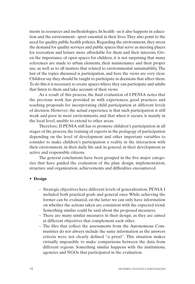ments in resources and methodologies. In health –as it also happens in education and the environment– sport essential in their lives. They also point to the need for quality public health policies. Regarding the environment, they stress the demand for quality services and public spaces that serve as meeting places for recreation and leisure more affordable for them and their interests. Given the importance of open spaces for children, it is not surprising that many references are made to urban elements, their maintenance and their proper use, as well as to all matters that related to environmental sustainability. The last of the topics discussed is participation, and here the views are very clear. Children say they should be taught to participate in decisions that affect them. To do this it is necessary to create spaces where they can participate and adults that listen to them and take account of their views.

As a result of this process, the final evaluation of I PENIA notes that the previous work has provided us with experiences, good practices and teaching proposals for incorporating child participation at different levels of decision. However, the actual experience is that such participation is still weak and poor in most environments, and that when it occurs, is mainly in the local level, unable to extend to other areas.

Therefore, II PENIA still has to promote children's participation in all stages of the process, the training of experts in the pedagogy of participation depending on the level of development and other important variables to consider to make children's participation a reality in the interaction with their environment, in their daily life and, in general, in their development as active and responsible citizens.

The general conclusions have been grouped in the five major categories that have guided the evaluation of the plan: design, implementation, structure and organization, achievements and difficulties encountered.

#### • **Design**

- Strategic objectives have different levels of generalization. PENIA I included both practical goals and general ones. While achieving the former can be evaluated, on the latter we can only have information on whether the actions taken are consistent with the expected trend. Something similar could be said about the proposed measures.
- There are many similar measures in their design, as they are aimed at different objectives that complement each other.
- The files that collect the assessments from the Autonomous Communities do not always include the same information as the answers criteria were not clearly defined "a priori". This situation makes virtually impossible to make comparisons between the data from different regions. Something similar happens with the institutions, agencies and NGOs that participated in the evaluation.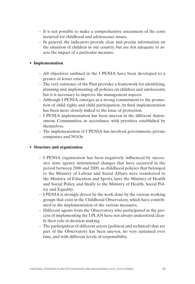- It is not possible to make a comprehensive assessment of the costs incurred for childhood and adolescence issues.
- In general, the indicators provide clear and precise information on the situation of children in our country, but are not adequate to assess the impact of a particular measure.

#### • **Implementation**

- All objectives outlined in the I PENIA have been developed to a greater or lesser extent.
- The very existence of the Plan provides a framework for identifying, planning and implementing all policies on children and adolescents, but it is necessary to improve the management aspects.
- Although I PENIA emerges as a strong commitment to the promotion of child rights and child participation, its final implementation has been more closely linked to the issue of protection.
- I PENIA implementation has been uneven in the different Autonomous Communities, in accordance with priorities established by themselves.
- The implementation of I PENIA has involved governments, private companies and NGOs.

#### • **Structure and organization**

- I PENIA organization has been negatively influenced by successive state agency institutional changes that have occurred in the period between 2006 and 2009, as childhood policies that belonged to the Ministry of Labour and Social Affairs were transferred to the Ministry of Education and Sports, later the Ministry of Health and Social Policy, and finally to the Ministry of Health, Social Policy and Equality.
- I PENIA is strongly driven by the work done by the various working groups that exist in the Childhood Observatory, which have contributed to the implementation of the various measures.
- Different agents from the Observatory who participated in the process of implementing the I PLAN have not always understood clearly their role in decision making.
- The participation of different actors (political and technical) that are part of the Observatory has been uneven, no very sustained over time, and with different levels of responsibility.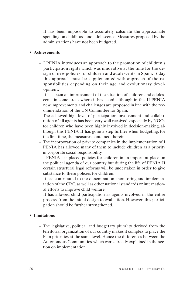– It has been impossible to accurately calculate the approximate spending on childhood and adolescence. Measures proposed by the administrations have not been budgeted.

#### • **Achievements**

- I PENIA introduces an approach to the promotion of children's participation rights which was innovative at the time for the design of new policies for children and adolescents in Spain. Today this approach must be supplemented with approach of the responsibilities depending on their age and evolutionary development.
- It has been an improvement of the situation of children and adolescents in some areas where it has acted, although in this II PENIA new improvements and challenges are proposed in line with the recommendation of the UN Committee for Spain.
- The achieved high level of participation, involvement and collaboration of all agents has been very well received, especially by NGOs for children who have been highly involved in decision-making, although this PENIA II has gone a step further when budgeting, for the first time, the measures contained therein.
- The incorporation of private companies in the implementation of I PENIA has allowed many of them to include children as a priority in corporate social responsibility.
- I PENIA has placed policies for children in an important place on the political agenda of our country but during the life of PENIA II certain structural legal reforms will be undertaken in order to give substance to these policies for children.
- It has contributed to the dissemination, monitoring and implementation of the CRC, as well as other national standards or international efforts to improve child welfare.
- It has allowed child participation as agents involved in the entire process, from the initial design to evaluation. However, this participation should be further strengthened.

#### • **Limitations**

– The legislative, political and budgetary plurality derived from the territorial organization of our country makes it complex to place the Plan priorities at the same level. Hence the differences between the Autonomous Communities, which were already explained in the section on implementation.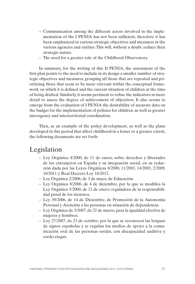- Communication among the different actors involved in the implementation of the I PENIA has not been sufficient, therefore it has been emphasized in various strategic objectives and measures in the various agencies and entities. This will, without a doubt, reduce their strategic nature.
- The need for a greater role of the Childhood Observatory.

In summary, for the writing of this II PENIA, the assessment of the first plan points to the need to include in its design a smaller number of strategic objectives and measures, grouping all those that are repeated and prioritizing those that seem to be more relevant within the conceptual framework on which it is defined and the current situation of children at the time of being drafted. Similarly, it seems pertinent to refine the indicators in more detail to assess the degree of achievement of objectives. It also seems to emerge from the evaluation of I PENIA the desirability of accurate data on the budget for the implementation of policies for children, as well as greater interagency and interterritorial coordination.

Then, as an example of the policy development, as well as the plans developed in this period that affect childhood in a lesser or a greater extent, the following documents are set forth:

### Legislation

- Ley Orgánica 4/2000, de 11 de enero, sobre derechos y libertades de los extranjeros en España y su integración social, en su redacción dada por las Leyes Orgánicas 8/2000, 11/2003, 14/2003, 2/2009, 10/2011 y Real Decreto Ley 16/2012.
- Ley Orgánica 2/2006, de 3 de mayo, de Educación.
- Ley Orgánica 8/2006, de 4 de diciembre, por la que se modifica la Ley Orgánica 5/2000, de 12 de enero, reguladora de la responsabilidad penal de los menores.
- Ley 39/2006, de 14 de Diciembre, de Promoción de la Autonomía Personal y Atención a las personas en situación de dependencia.
- Ley Orgánica de 3/2007, de 22 de marzo, para la igualdad efectiva de mujeres y hombres.
- Ley 27/2007, de 23 de octubre, por la que se reconocen las lenguas de signos españolas y se regulan los medios de apoyo a la comunicación oral de las personas sordas, con discapacidad auditiva y sordo-ciegas.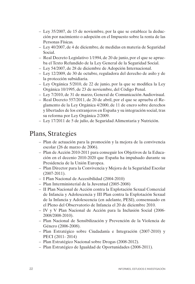- Ley 35/2007, de 15 de noviembre, por la que se establece la deducción por nacimiento o adopción en el Impuesto sobre la renta de las Personas Físicas.
- Ley 40/2007, de 4 de diciembre, de medidas en materia de Seguridad Social.
- Real Decreto Legislativo 1/1994, de 20 de junio, por el que se aprueba el Texto Refundido de la Ley General de la Seguridad Social.
- Ley 54/2007, de 28 de diciembre de Adopción Internacional.
- Ley 12/2009, de 30 de octubre, reguladora del derecho de asilo y de la protección subsidiaria.
- Ley Orgánica 5/2010, de 22 de junio, por la que se modifica la Ley Orgánica 10/1995, de 23 de noviembre, del Código Penal.
- Ley 7/2010, de 31 de marzo, General de Comunicación Audiovisual.
- Real Decreto 557/2011, de 20 de abril, por el que se aprueba el Reglamento de la Ley Orgánica 4/2000, de 11 de enero sobre derechos y libertades de los extranjeros en España y su integración social, tras su reforma por Ley Orgánica 2/2009.
- Ley 17/2011 de 5 de julio, de Seguridad Alimentaria y Nutrición.

## Plans, Strategies

- Plan de actuación para la promoción y la mejora de la convivencia escolar (26 de marzo de 2006).
- Plan de Acción 2010-2011 para conseguir los Objetivos de la Educación en el decenio 2010-2020 que España ha impulsado durante su Presidencia de la Unión Europea.
- Plan Director para la Convivencia y Mejora de la Seguridad Escolar (2007-2011).
- I Plan Nacional de Accesibilidad (2004-2010)
- Plan Interministerial de la Juventud (2005-2008)
- II Plan Nacional de Acción contra la Explotación Sexual Comercial de Infancia y Adolescencia y III Plan contra la Explotación Sexual de la Infancia y Adolescencia (en adelante, PESI), consensuado en el Pleno del Observatorio de Infancia el 20 de diciembre 2010.
- IV y V Plan Nacional de Acción para la Inclusión Social (2006- 2008/2008-2010).
- Plan Nacional de Sensibilización y Prevención de la Violencia de Género (2006-2008).
- Plan Estratégico sobre Ciudadanía e Integración (2007-2010) y PECI (2011- 2014)
- Plan Estratégico Nacional sobre Drogas (2008-2012).
- Plan Estratégico de Igualdad de Oportunidades (2008-2011).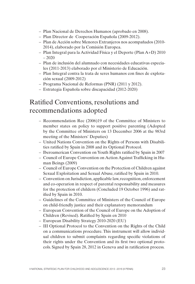- Plan Nacional de Derechos Humanos (aprobado en 2008).
- Plan Director de Cooperación Española (2009-2012).
- Plan de Acción sobre Menores Extranjeros nos acompañados (2010- 2014), elaborado por la Comisión Europea.
- Plan Integral para la Actividad Física y el Deporte (Plan A+D) 2010  $-2020$
- Plan de inclusión del alumnado con necesidades educativas especiales (2011-2013) elaborado por el Ministerio de Educación.
- Plan Integral contra la trata de seres humanos con fines de explotación sexual (2009-2012)
- Programa Nacional de Reformas (PNR) (2011 y 2012).
- Estrategia Española sobre discapacidad (2012-2020)

## Ratified Conventions, resolutions and recommendations adopted

- Recommendation Rec (2006)19 of the Committee of Ministers to member states on policy to support positive parenting (Adopted by the Committee of Ministers on 13 December 2006 at the 983rd meeting of the Ministers' Deputies)
- United Nations Convention on the Rights of Persons with Disabilities ratified by Spain in 2008 and its Optional Protocol.
- Iberoamerican Convention on Youth Rights ratified by Spain in 2007
- Council of Europe Convention on Action Against Trafficking in Human Beings (2009)
- Council of Europe Convention on the Protection of Children against Sexual Exploitation and Sexual Abuse, ratified by Spain in 2010.
- Convention on Jurisdiction, applicable law, recognition, enforcement and co-operarion in respect of parental responsability and measures for the protection of childern (Concluded 19 October 1996) and ratified by Spain in 2010.
- Guidelines of the Committee of Ministers of the Council of Europe on child-friendly justice and their explanatory memorandum
- European Convention of the Council of Europe on the Adoption of Children (Revised). Ratified by Spain en 2010
- European Disability Strategy 2010-2020 (EU)
- III Optional Protocol to the Convention on the Rights of the Child on a communications procedure. This instrument will allow individual children to submit complaints regarding specific violations of their rights under the Convention and its first two optional protocols. Signed by Spain 28, 2012 in Geneva and in ratification process.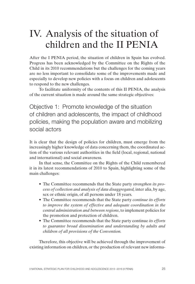# <span id="page-26-0"></span>IV. Analysis of the situation of children and the II PENIA

After the I PENIA period, the situation of children in Spain has evolved. Progress has been acknowledged by the Committee on the Rights of the Child in its 2010 recommendations but the challenges for the coming years are no less important to consolidate some of the improvements made and especially to develop new policies with a focus on children and adolescents to respond to the new challenges.

To facilitate uniformity of the contents of this II PENIA, the analysis of the current situation is made around the same strategic objectives:

Objective 1: Promote knowledge of the situation of children and adolescents, the impact of childhood policies, making the population aware and mobilizing social actors

It is clear that the design of policies for children, must emerge from the increasingly higher knowledge of data concerning them, the coordinated action of the various relevant authorities in the field (local, regional, national and international) and social awareness.

In that sense, the Committee on the Rights of the Child remembered it in its latest recommendations of 2010 to Spain, highlighting some of the main challenges:

- The Committee recommends that the State party *strengthen its process of collection and analysis of data disaggregated,* inter alia, by age, sex or ethnic origin, of all persons under 18 years.
- The Committee recommends that the State party *continue its efforts to improve the system of effective and adequate coordination in the central administration and between regions*, to implement policies for the promotion and protection of children.
- The Committee recommends that the State party continue *its efforts to guarantee broad dissemination and understanding by adults and children of all provisions of the Convention.*

Therefore, this objective will be achieved through the improvement of existing information on children, or the production of relevant new informa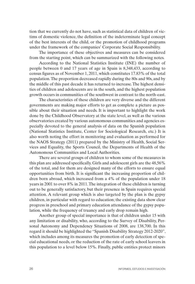tion that we currently do not have, such as statistical data of children of victims of domestic violence, the definition of the indeterminate legal concept of the best interests of the child, or the promotion of childhood programs under the framework of the companies' Corporate Social Responsibility.

The importance of these objectives and measures can be considered from the starting point, which can be summarized with the following notes.

According to the National Statistics Institute (INE) the number of people between 0 and 17 years of age in Spain is 8,348,433, according to census figures as of November 1, 2011, which constitutes 17.83% of the total population. The proportion decreased rapidly during the 80s and 90s, and by the middle of this past decade it has returned to increase. The highest densities of children and adolescents are in the south, and the highest population growth occurs in communities of the southwest in contrast to the north-east.

The characteristics of these children are very diverse and the different governments are making major efforts to get as complete a picture as possible about their situation and needs. It is important to highlight the work done by the Childhood Observatory at the state level, as well as the various observatories created by various autonomous communities and agencies especially devoted to the general analysis of data on the Spanish population (National Statistics Institute, Center for Sociological Research, etc.) It is also worth noting the effort in monitoring and evaluation as performed for the NAOS Strategy (2011) prepared by the Ministry of Health, Social Services and Equality, the Sports Council, the Departments of Health of the Autonomous Communities and Local Authorities.

There are several groups of children to whom some of the measures in this plan are addressed specifically. Girls and adolescent girls are the 48,56% of the total, and for them are designed many of the efforts to ensure equal opportunities from birth. It is significant the increasing proportion of children born abroad, which increased from a 4% of the population under 18 years in 2001 to over 8% in 2011. The integration of these children is turning out to be generally satisfactory, but their presence in Spain requires special attention. A relevant group which is also targeted by the plan is the gypsy children, in particular with regard to education; the existing data show clear progress in preschool and primary education attendance of the gypsy population, while the frequency of truancy and early drop remain high.

Another group of special importance is that of children under 15 with any limitation or disability, who, according to the Survey of Disability, Personal Autonomy and Dependency Situations of 2008, are 138,700. In this regard it should be highlighted the "Spanish Disability Strategy 2012-2020", which includes among its measures the promotion of early detection of special educational needs, or the reduction of the rate of early school leavers in this population to a level below 15%. Finally, public entities protect minors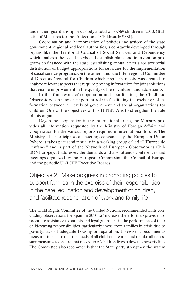under their guardianship or custody a total of 35,569 children in 2010. (Bulletin of Measures for the Protection of Children. MSSSI).

Coordination and harmonization of policies and actions of the state government, regional and local authorities, is constantly developed through organs like the Territorial Council of Social Services and Dependency, which analyzes the social needs and establish plans and intervention programs co financed with the state, establishing annual criteria for territorial distribution of budget appropriations for subsidies for the implementation of social service programs. On the other hand, the Inter-regional Committee of Directors-General for Children which regularly meets, was created to analyze relevant aspects that require pooling information for joint solutions that enable improvement in the quality of life of children and adolescents.

In this framework of cooperation and coordination, the Childhood Observatory can play an important role in facilitating the exchange of information between all levels of government and social organizations for children. One of the objectives of this II PENIA is to strengthen the role of this organ.

Regarding cooperation in the international arena, the Ministry provides all information requested by the Ministry of Foreign Affairs and Cooperation for the various reports required in international forums. The Ministry also participates at meetings convened by the European Union (where it takes part semiannually in a working group called "L'Europe de l'enfance" and is part of the Network of European Observatories ChildONEurope). It addresses the demands and also attends conferences and meetings organized by the European Commission, the Council of Europe and the periodic UNICEF Executive Boards.

Objective 2. Make progress in promoting policies to support families in the exercise of their responsibilities in the care, education and development of children, and facilitate reconciliation of work and family life

The Child Rights Committee of the United Nations, recommended in its concluding observations for Spain in 2010 to "increase the efforts to provide appropriate assistance to parents and legal guardians in the performance of their child-rearing responsibilities, particularly those from families in crisis due to poverty, lack of adequate housing or separation. Likewise it recommends measures to ensure that the needs of all children are met and to take all necessary measures to ensure that no group of children lives below the poverty line. The Committee also recommends that the State party strengthen the system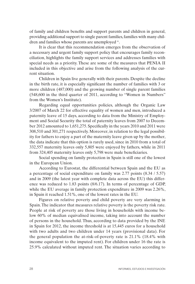of family and children benefits and support parents and children in general, providing additional support to single parent families, families with many children and families whose parents are unemployed ".

It is clear that this recommendation emerges from the observation of a necessary and urgent family support policy that encourages family reconciliation, highlights the family support services and addresses families with special needs as a priority. These are some of the measures that PENIA II included in this objective and arise from the following analysis of the current situation.

Children in Spain live generally with their parents. Despite the decline in the birth rate, it is especially significant the number of families with 3 or more children (487,000) and the growing number of single parent families (548,600 in the third quarter of 2011, according to "Women in Numbers" from the Women's Institute).

Regarding equal opportunities policies, although the Organic Law 3/2007 of March 22 for effective equality of women and men, introduced a paternity leave of 15 days, according to data from the Ministry of Employment and Social Security the total of paternity leaves from 2007 to December 2012 amounted to 1,651,275. Specifically in the years 2010 and 2011 were 308,510 and 301,271 respectively. Moreover, in relation to the legal possibility for fathers to enjoy a part of the maternity leave given up by the mother, the data indicate that this option is rarely used, since in 2010 from a total of 332,557 maternity leaves only 5,805 were enjoyed by fathers, while in 2011 from 324,405 maternity leaves only 5,798 were male beneficiaries.

Social spending on family protection in Spain is still one of the lowest in the European Union.

According to Eurostat, the differential between Spain and the EU as a percentage of social expenditure on family was 2.77 points (8.34 / 5.57) and in 2009 (the latest year with complete data across the EU) this difference was reduced to 1.83 points (8/6.17). In terms of percentage of GDP, while the EU average in family protection expenditure in 2009 was 2.26%, in Spain it reached 1.51%, one of the lowest rates in the EU.

Figures on relative poverty and child poverty are very alarming in Spain. The indicator that measures relative poverty is the poverty risk rate. People at risk of poverty are those living in households with income below 60% of median equivalised income, taking into account the number of persons in the household. Thus, according to data provided by the INE in Spain for 2012, the income threshold is at 15,445 euros for a household with two adults and two children under 14 years (provisional data). For the general population the at-risk-of-poverty rate is 21.1% (18.4% with income equivalent to the imputed rent). For children under 16 the rate is 25.9% calculated without imputed rent. The situation varies according to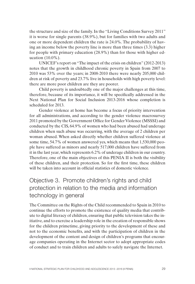the structure and size of the family. In the "Living Conditions Survey 2011" it is worse for single parents (38.9%), but for families with two adults and one or more dependent children the rate is 24.0%. The probability of having an income below the poverty line is more than three times (3.3) higher for people with primary education (28.9%) than for those with higher education  $(10.0\%)$ .

UNICEF's report on "The impact of the crisis on children" (2012-2013) notes that the growth in childhood chronic poverty in Spain from 2007 to 2010 was 53% over the years; in 2008-2010 there were nearly 205,000 children at risk of poverty and 23.7% live in households with high poverty level: there are more poor children are they are poorer.

Child poverty is undoubtedly one of the major challenges at this time, therefore, because of its importance, it will be specifically addressed in the Next National Plan for Social Inclusion 2013-2016 whose completion is scheduled for 2013.

Gender violence at home has become a focus of priority intervention for all administrations, and according to the gender violence macrosurvey 2011 promoted by the Government Office for Gender Violence (MSSSI) and conducted by the CIS, 64.9% of women who had been abused had underage children when such abuse was occurring, with the average of 2 children per woman abused. When asked directly whether children suffered violence at some time, 54.7% of women answered yes, which means that 1,530,000 people have suffered as minors and nearly 517,000 children have suffered from it in the last year, which represents 6.2% of underage children in our country. Therefore, one of the main objectives of this PENIA II is both the visibility of these children, and their protection. So for the first time, these children will be taken into account in official statistics of domestic violence.

### Objective 3. Promote children's rights and child protection in relation to the media and information technology in general

The Committee on the Rights of the Child recommended to Spain in 2010 to continue the efforts to promote the existence of quality media that contribute to digital literacy of children, ensuring that public television takes the initiative, and to exercise a leadership role in the creation of responsible shows for the children primetime, giving priority to the development of these and not to the economic benefits, and with the participation of children in the development of the content and design of children's programs that encourage companies operating in the Internet sector to adopt appropriate codes of conduct and to train children and adults to safely navigate the Internet.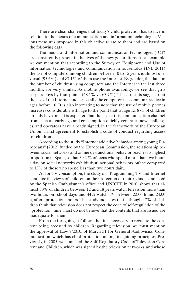There are clear challenges that today's child protection has to face in relation to the means of communication and information technologies. Various measures proposed in this objective relate to them and are based on the following data.

The media and information and communication technologies (ICT) are consistently present in the lives of the new generations. As an example we can mention that according to the Survey on Equipment and Use of information technologies and communication in households (INE 2011) the use of computers among children between 10 to 15 years is almost universal (95.6%) and 87.1% of them use the Internet. By gender, the data on the number of children using computers and the Internet in the last three months, are very similar. As mobile phone availability, we see that girls surpass boys by four points (68.1% vs. 63.7%). These results suggest that the use of the Internet and especially the computer is a common practice in ages before 10. It is also interesting to note that the use of mobile phones increases considerably with age to the point that, at age 15, 87.3 of children already have one. It is expected that the use of this communication channel from such an early age and consumption quickly generates new challenges, and operators have already signed, in the framework of the European Union, a first agreement to establish a code of conduct regarding access for children.

According to the study "Internet addictive behavior among young Europeans" (2012) funded by the European Commission, the relationship between social networks and online dysfunctional behavior reaches its highest proportion in Spain, so that 39.2 % of teens who spend more than two hours a day on social networks exhibit dysfunctional behaviors online compared to 13% of those who spend less than two hours daily.

As for TV consumption, the study on "Programming TV and Internet contents: the views of children on the protection of their rights," conducted by the Spanish Ombudsman's office and UNICEF in 2010, shows that almost 50% of children between 12 and 18 years watch television more than two hours on school days, and 44% watch TV between 22:00 h and 24:00 h, after "protection" hours. This study indicates that although 47% of children think that television does not respect the code of self-regulation of the "protection" time, most do not believe that the contents that are issued are inadequate for them.

From the foregoing, it follows that it is necessary to regulate the content being accessed by children. Regarding television, we must mention the approval of Law 7/2010, of March 31 for General Audiovisual Communication, which has child protection among its guiding principles. Previously, in 2005, we launched the Self-Regulatory Code of Television Content and Children, which was signed by the television networks, and whose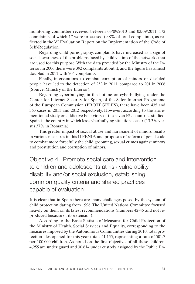monitoring committee received between 03/09/2010 and 03/09/2011, 172 complaints, of which 17 were processed (9.8% of total complaints), as reflected in the VI Evaluation Report on the Implementation of the Code of Self-Regulation.

Regarding child pornography, complaints have increased as a sign of social awareness of the problems faced by child victims of the networks that are used for this purpose. With the data provided by the Ministry of the Interior, in 2006 there were 392 complaints about it, and the figure has almost doubled in 2011 with 704 complaints.

Finally, interventions to combat corruption of minors or disabled people have led to the detection of 253 in 2011, compared to 201 in 2006 (Source: Ministry of the Interior).

Regarding cyberbullying, in the hotline on cyberbullying, under the Center for Internet Security for Spain, of the Safer Internet Programme of the European Commission (PROTÉGELES), there have been 435 and 363 cases in 2011 and 2012 respectively. However, according to the aforementioned study on addictive behaviors, of the seven EU countries studied, Spain is the country in which less cyberbullying situations occur (13.3% versus 37% in Romania).

This greater impact of sexual abuse and harassment of minors, results in various measures in this II PENIA and proposals of reform of penal code to combat more forcefully the child grooming, sexual crimes against minors and prostitution and corruption of minors.

Objective 4. Promote social care and intervention to children and adolescents at risk vulnerability, disability and/or social exclusion, establishing common quality criteria and shared practices capable of evaluation

It is clear that in Spain there are many challenges posed by the system of child protection dating from 1996. The United Nations Committee focused heavily on them on its latest recommendations (numbers 42-45 and not reproduced because of its extension).

According to the Basic Statistic of Measures for Child Protection of the Ministry of Health, Social Services and Equality, corresponding to the measures imposed by the Autonomous Communities during 2010, total protection files opened for this year totals 41,155, representing a rate of 501.7 per 100,000 children. As noted on the first objective, of all these children, 4,955 are under guard and 30,614 under custody assigned by the Public En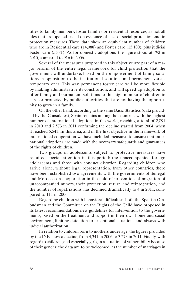tities to family members, foster families or residential resources, as not all files that are opened based on evidence of lack of social protection end in protection measures. These data show an equivalent number of children who are in Residential care (14,088) and Foster care (15,100), plus judicial Foster care (5,381). As for domestic adoptions, the figure stood at 793 in 2010, compared to 916 in 2006.

Several of the measures proposed in this objective are part of a major reform of the entire legal framework for child protection that the government will undertake, based on the empowerment of family solutions in opposition to the institutional solutions and permanent versus temporary ones. This way permanent foster care will be more flexible by making administrative its constitution, and will speed up adoption to offer family and permanent solutions to this high number of children in care, or protected by public authorities, that are not having the opportunity to grow in a family.

On the other hand, according to the same Basic Statistics (data provided by the Consulates), Spain remains among the countries with the highest number of international adoptions in the world, reaching a total of 2,891 in 2010 and 2,573 in 2011 confirming the decline started from 2004, when it reached 5,541. In this area, and in the first objective in the framework of international cooperation we have included measures to ensure that international adoptions are made with the necessary safeguards and guarantees of the rights of children.

Two groups of adolescents subject to protective measures have required special attention in this period: the unaccompanied foreign adolescents and those with conduct disorder. Regarding children who arrive alone, without legal representation, from other countries, there have been established two agreements with the governments of Senegal and Morocco on cooperation in the field of prevention of migration of unaccompanied minors, their protection, return and reintegration, and the number of repatriations, has declined dramatically to 4 in 2011, compared to 111 in 2006.

Regarding children with behavioral difficulties, both the Spanish Ombudsman and the Committee on the Rights of the Child have proposed in its latest recommendations new guidelines for intervention to the governments, based on the treatment and support in their own home and social environment, limiting detention to exceptional situations and always with judicial authorization.

In relation to children born to mothers under age, the figures provided by the INE show a decline, from 4,341 in 2006 to 3,273 in 2011. Finally, with regard to children, and especially girls, in a situation of vulnerability because of their gender, the data are to be welcomed, as the number of marriages in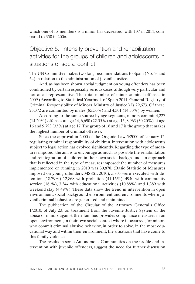which one of its members is a minor has decreased, with 137 in 2011, compared to 350 in 2006.

### Objective 5. Intensify prevention and rehabilitation activities for the groups of children and adolescents in situations of social conflict

The UN Committee makes two long recommendations to Spain (No. 63 and 64) in relation to the administration of juvenile justice.

And, as has been shown, social judgment on young offenders has been conditioned by certain especially serious cases, although very particular and not at all representative. The total number of minor criminal offenses in 2009 (According to Statistical Yearbook of Spain 2011, General Registry of Criminal Responsibility of Minors. Ministry of Justice.) Is 29,673. Of these, 25,372 are committed by males (85.50%) and 4,301 (14.50%) by women.

According to the same source by age segments, minors commit 4,227 (14.20%) offenses at age 14, 6,690 (22.55%) at age 15, 8,963 (30.20%) at age 16 and 9,793 (33%) at age 17. The group of 16 and 17 is the group that makes the highest number of criminal offenses.

Since the approval in 2000 of the Organic Law 5/2000 of January 12, regulating criminal responsibility of children, intervention with adolescents subject to legal action has evolved significantly. Regarding the type of measures imposed, the aim is to encourage as much as possible the rehabilitation and reintegration of children in their own social background, an approach that is reflected in the type of measures imposed: the number of measures implemented or running in 2010 was 30,878. (Basic Statistic of Measures imposed on young offenders. MSSSI, 2010), 5,805 were executed with detention (18.79%) 12,868 with probation (41.16%), 4940 with community service (16 %), 3,344 with educational activities (10.88%) and 1,389 with weekend stay (4.49%). These data show the trend in intervention in open environment, social background environment and environments where juvenil criminal behavior are generated and maintained.

The publication of the Circular of the Attorney General's Office 1/2010, of July 23, on treatment from the Juvenile Justice System of the abuse of minors against their families, provides compliance measures in an open environment, in their own social context where it occurred, for minors who commit criminal abusive behavior, in order to solve, in the most educational way and within their environment, the situations that have come to this family violence.

The results in some Autonomous Communities on the profile and intervention with juvenile offenders, suggest the need for further discussion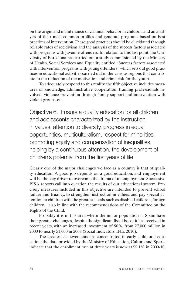on the origin and maintenance of criminal behavior in children, and an analysis of their most common profiles and generate programs based on best practices of intervention. These good practices should be elucidated through reliable rates of recidivism and the analysis of the success factors associated with programs with juvenile offenders. In relation to this last point, the University of Barcelona has carried out a study commissioned by the Ministry of Health, Social Services and Equality entitled "Success factors associated with intervention programs with young offenders" which sets out good practices in educational activities carried out in the various regions that contribute to the reduction of the motivation and crime risk for the youth.

To adequately respond to this reality, the fifth objective includes measures of knowledge, administrative cooperation, training professionals involved, violence prevention through family support and intervention with violent groups, etc.

Objective 6. Ensure a quality education for all children and adolescents characterized by the instruction in values, attention to diversity, progress in equal opportunities, multiculturalism, respect for minorities, promoting equity and compensation of inequalities, helping by a continuous attention, the development of children's potential from the first years of life

Clearly one of the major challenges we face as a country is that of quality education. A good job depends on a good education, and employment will be the key driver to overcome the drama of unemployment. Successive PISA reports call into question the results of our educational system. Precisely measures included in this objective are intended to prevent school failure and truancy, to strengthen instruction in values, and pay special attention to children with the greatest needs, such as disabled children, foreign children... also in line with the recommendations of the Committee on the Rights of the Child.

Probably it is in this area where the minor population in Spain have their greater challenges, despite the significant fiscal boost it has received in recent years, with an increased investment of 50%, from 27,000 million in 2000 to nearly 51,000 in 2008 (Social Indicators. INE. 2010).

The greatest achievements are concentrated in early childhood education: the data provided by the Ministry of Education, Culture and Sports indicate that the enrollment rate at three years is now at 99.1% in 2009-10,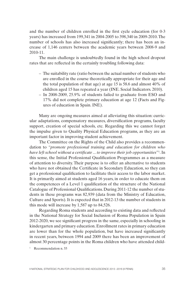and the number of children enrolled in the first cycle education (for 0-3 years) has increased from 199,341 in 2004-2005 to 398,340 in 2009-2010. The number of schools has also increased significantly; there has been an increase of 1,146 centers between the academic years between 2008-9 and 2010-11.

The main challenge is undoubtedly found in the high school dropout rates that are reflected in the certainly troubling following data:

- The suitability rate (ratio between the actual number of students who are enrolled in the course theoretically appropriate for their age and the total population of that age) at age 15 is 58.6 and almost 40% of children aged 15 has repeated a year (INE. Social Indicators. 2010).
- In 2008-2009, 25.9% of students failed to graduate from ESO and 17% did not complete primary education at age 12 (Facts and Figures of education in Spain. INE).

Many are ongoing measures aimed at alleviating this situation: curricular adaptations, compensatory measures, diversification programs, faculty support, creation of special schools, etc. Regarding this we cannot forget the impulse given to Quality Physical Education programs, as they are an important factor in improving student achievement.

The Committee on the Rights of the Child also provides a recommendation to *"promote professional training and education for children who have left school without a certificate ... to improve their job opportunities*"1 . In this sense, the Initial Professional Qualification Programmes as a measure of attention to diversity. Their purpose is to offer an alternative to students who have not obtained the Certificate in Secondary Education, so they can get a professional qualification to facilitate their access to the labor market. It is primarily aimed at students aged 16 years, in order to educate them on the competences of a Level 1 qualification of the structure of the National Catalogue of Professional Qualifications. During 2011-12 the number of students in these programs was 82,939 (data from the Ministry of Education, Culture and Sports). It is expected that in 2012-13 the number of students in this mode will increase by 1,587 up to 84,526.

Regarding Roma students and according to existing data and reflected in the National Strategy for Social Inclusion of Roma Population in Spain 2012-2020, we see significant progress in the same, especially in schooling in kindergarten and primary education. Enrollment rates in primary education are lower than for the whole population, but have increased significantly in recent years, between 1994 and 2009 there has been an improvement of almost 30 percentage points in the Roma children who have attended child-

<sup>1</sup> Recommendation n. 55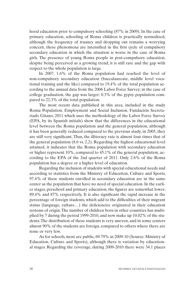hood education prior to compulsory schooling (87% in 2009). In the case of primary education, schooling of Roma children is practically normalized, although the frequency of truancy and dropping out remains a worrying concern, these phenomena are intensified in the first cycle of compulsory secondary education in which the situation is worse in the case of Roma girls. The presence of young Roma people in post-compulsory education, despite being perceived as a growing trend, it is still rare and the gap with respect to the whole population is large.

In 2007, 1.6% of the Roma population had reached the level of non-compulsory secondary education (baccalaureate, middle level vocational training and the like) compared to 19.4% of the total population according to the annual data from the 2006 Labor Force Survey; in the case of college graduation, the gap was larger: 0.3% of the gypsy population compared to 22.3% of the total population.

The most recent data published in this area, included in the study Roma Population, Employment and Social Inclusion, Fundación Secretariado Gitano, 2011 which uses the methodology of the Labor Force Survey (EPA, by its Spanish initials) show that the differences in the educational level between the Roma population and the general population, although it has been generally reduced compared to the previous study, in 2005, they are still very significant. Thus, the illiteracy rate is almost four times that of the general population (8.6 vs. 2.2). Regarding the highest educational level attained, it indicates that the Roma population with secondary education or higher represent 10%, compared to 45.1% of the general population, according to the EPA of the 2nd quarter of 2011. Only 2.6% of the Roma population has a degree or a higher level of education.

Regarding the inclusion of students with special educational needs and according to statistics from the Ministry of Education, Culture and Sports, 97.4% of these students enrolled in secondary education are in the same center as the population that have no need of special education. In the earlier stages, preschool and primary education, the figures are somewhat lower, 89.4% and 87% respectively. It is also significant the rapid increase in the percentage of foreign students, which add to the difficulties of their migrant status (language, culture…) the deficiencies originated in their education systems of origin. The number of children born in other countries has multiplied by 7 during the period 1999-2010, and now make up 10.02% of the students. The distribution of these students is very uneven, and in some centers almost 90% of the students are foreign, compared to others where there are none or very few.

As for schools, most are public, 69.79% in 2009-10 (Source: Ministry of Education, Culture and Sports), although there is variation by educational stages. Regarding the coverage, during 2009-2010 there were 34.1 places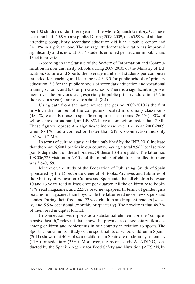per 100 children under three years in the whole Spanish territory. Of these, less than half (15.9%) are public. During 2008-2009, the 65.99% of students attending compulsory secondary education did it in a public center and 34.10% in a private one. The average student-teacher ratio has improved significantly and is now at 10.34 students enrolled per teacher in public and 13.44 in private.

According to the Statistic of the Society of Information and Communication in non-university schools during 2009-2010, of the Ministry of Education, Culture and Sports, the average number of students per computer intended for teaching and learning is 4.3, 3.5 for public schools of primary education, 3.8 for the public schools of secondary education and vocational training schools, and 6.7 for private schools. There is a significant improvement over the previous year, especially in public primary education (5.2 in the previous year) and private schools (8.4).

Using data from the same source, the period 2009-2010 is the first in which the number of the computers located in ordinary classrooms (48.4%) exceeds those in specific computer classrooms (26.6%). 90% of schools have broadband, and 49.8% have a connection faster than 2 Mb. These figures represent a significant increase over the year 2008-2009, when 87.1% had a connection faster than 512 Kb connection and only 40.1% at 2 Mb.

In terms of culture, statistical data published by the INE, 2010, indicate that there are 6,608 libraries in our country, having a total 8,963 local service points dependent on these libraries. Of these 4164 are public. The latter had 108,006,723 visitors in 2010 and the number of children enrolled in them was 3,640,159.

Moreover, the study of the Federation of Publishing Guilds of Spain sponsored by the Directorate General of Books, Archives and Libraries of the Ministry of Education, Culture and Sport, said that all children between 10 and 13 years read at least once per quarter. All the children read books, 48% read magazines, and 22.5% read newspapers. In terms of gender, girls read more magazines than boys, while the latter read more newspapers and comics. During their free time, 72% of children are frequent readers (weekly) and 5.5% occasional (monthly or quarterly). The novelty is that 48.7% of them read in digital format.

In connection with sports as a substantial element for the "comprehensive health," relevant data show the prevalence of sedentary lifestyles among children and adolescents in our country in relation to sports. The Sports Council in its "Study of the sport habits of schoolchildren in Spain" (2011) shows that 46% of schoolchildren in Spain are moderately sedentary (11%) or sedentary (35%). Moreover, the recent study ALADINO, conducted by the Spanish Agency for Food Safety and Nutrition (AESAN, by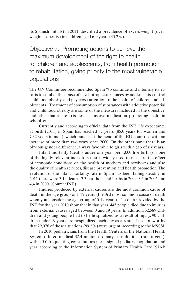its Spanish initials) in 2011, described a prevalence of excess weight (overweight + obesity) in children aged 6-9 years (45.2%).

Objective 7. Promoting actions to achieve the maximum development of the right to health for children and adolescents, from health promotion to rehabilitation, giving priority to the most vulnerable populations

The UN Committee recommended Spain "to continue and intensify its efforts to combat the abuse of psychotropic substances by adolescents, control childhood obesity, and pay close attention to the health of children and adolescents." Treatment of consumption of substances with addictive potential and childhood obesity are some of the measures included in the objective, and other that relate to issues such as overmedication, promoting health in school, etc.

Currently and according to official data from the INE, life expectancy at birth (2011) in Spain has reached 82 years (85.0 years for women and 79.2 years in men), which puts us at the head of the EU countries with an increase of more than two years since 2000. On the other hand there is an obvious gender difference, always favorable to girls with a gap of six years.

Infant mortality (deaths under one year per 1,000 live births) is one of the highly relevant indicators that is widely used to measure the effect of economic conditions on the health of mothers and newborns and also the quality of health services, disease prevention and health promotion. The evolution of the infant mortality rate in Spain has been falling steadily: in 2011 there were 3.14 deaths, 3.3 per thousand births in 2009, 3.5 in 2006 and 4,4 in 2000. (Source: INE)

Injuries produced by external causes are the most common cause of death in the age group of 1-19 years (the 3rd most common cause of death when you consider the age group of 0-19 years). The data provided by the INE for the year 2010 show that in that year, 445 people died due to injuries from external causes aged between 0 and 19 years. In addition, 32,589 children and young people had to be hospitalized as a result of injury, 90 children under 19 years are hospitalized each day as a result. It is noteworthy that 29,076 of these situations (89.2%) were urgent, according to the MSSSI.

In 2010 pediatricians from the Health Centers of the National Health System offered medical 32.4 million ordinary consultations (non-urgent), with a 5.0 frequenting consultations per assigned pediatric population and year, according to the Information System of Primary Health Care (SIAP,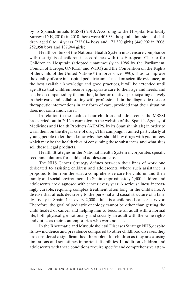by its Spanish initials, MSSSI) 2010. According to the Hospital Morbidity Survey (INE, 2010) in 2010 there were 405,334 hospital admissions of children aged 0 to 14 years (232,014 boys and 173,320 girls) (440,902 in 2006, 252,958 boys and 187,944 girls).

Health centers of the National Health System must ensure compliance with the rights of children in accordance with the European Charter for Children in Hospital\* (adopted unanimously in 1986 by the Parliament, Council of Europe, UNICEF and WHO) and the Convention on the Rights of the Child of the United Nations\* (in force since 1990). Thus, to improve the quality of care in hospital pediatric units based on scientific evidence, on the best available knowledge and good practices, it will be extended until age 18 so that children receive appropriate care to their age and needs, and can be accompanied by the mother, father or relative, participating actively in their care, and collaborating with professionals in the diagnostic tests or therapeutic interventions in any form of care, provided that their situation does not contraindicate it.

In relation to the health of our children and adolescents, the MSSSI has carried out in 2012 a campaign in the website of the Spanish Agency of Medicines and Health Products (AEMPS, by its Spanish initials) in order to warn them on the illegal sale of drugs. This campaign is aimed particularly at young people to let them know why they should buy drugs with guarantees, which may be the health risks of consuming these substances, and what sites sell these illegal products.

Health Strategies in the National Health System incorporates specific recommendations for child and adolescent care.

The NHS Cancer Strategy defines between their lines of work one dedicated to assisting children and adolescents, where such assistance is proposed to be from the start a comprehensive care for children and their family and social environment. In Spain, approximately 1,400 children and adolescents are diagnosed with cancer every year. A serious illness, increasingly curable, requiring complex treatment often long, in the child's life. A disease that affects decisively to the personal and social structure of a family. Today in Spain, 1 in every 2,000 adults is a childhood cancer survivor. Therefore, the goal of pediatric oncology cannot be other than getting the child healed of cancer and helping him to become an adult with a normal life, both physically, emotionally, and socially, an adult with the same rights and duties as their contemporaries who were not sick.

In the Rheumatic and Musculoskeletal Diseases Strategy NHS, despite its low incidence and prevalence compared to other childhood diseases, they are considered a significant health problem for children as they are causing limitations and sometimes important disabilities. In addition, children and adolescents with these conditions require specific and comprehensive atten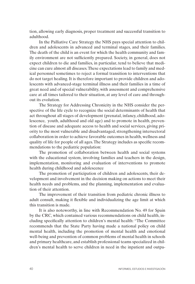tion, allowing early diagnosis, proper treatment and successful transition to adulthood.

In the Palliative Care Strategy the NHS pays special attention to children and adolescents in advanced and terminal stages, and their families. The death of the child is an event for which the health community and family environment are not sufficiently prepared. Society, in general, does not expect children to die and families, in particular, tend to believe that medicine can cure almost all diseases. These expectations lead to family and medical personnel sometimes to reject a formal transition to interventions that do not target healing. It is therefore important to provide children and adolescents with advanced-stage terminal illness and their families in a time of great need and of special vulnerability, with assessment and comprehensive care at all times tailored to their situation, at any level of care and throughout its evolution.

The Strategy for Addressing Chronicity in the NHS consider the perspective of the life cycle to recognize the social determinants of health that act throughout all stages of development (prenatal, infancy, childhood, adolescence, youth, adulthood and old age) and to promote in health, prevention of disease and adequate access to health and social services, giving priority to the most vulnerable and disadvantaged, strengthening intersectoral collaboration in order to achieve favorable outcomes in health, wellness and quality of life for people of all ages. The Strategy includes as specific recommendations to the pediatric population:

The promotion of collaboration between health and social systems with the educational system, involving families and teachers in the design, implementation, monitoring and evaluation of interventions to promote health during childhood and adolescence

The promotion of participation of children and adolescents, their development and involvement in the decision making on actions to meet their health needs and problems, and the planning, implementation and evaluation of their attention.

The improvement of their transition from pediatric chronic illness to adult consult, making it flexible and individualizing the age limit at which this transition is made.

It is also noteworthy, in line with Recommendation No. 49 for Spain by the CRC, which contained various recommendations on child health, including specifically attention to children's mental health: "The Committee recommends that the State Party having made a national policy on child mental health, including the promotion of mental health and emotional well-being and prevention of common problems of mental health in schools and primary healthcare, and establish professional teams specialized in children's mental health to serve children in need in the inpatient and outpa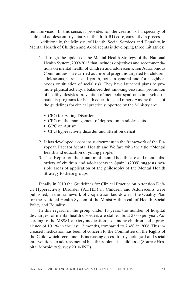tient services." In this sense, it provides for the creation of a specialty of child and adolescent psychiatry in the draft RD core, currently in process.

Additionally, the Ministry of Health, Social Services and Equality, in Mental Health of Children and Adolescents is developing three initiatives:

- 1. Through the update of the Mental Health Strategy of the National Health System, 2009-2013 that includes objectives and recommendations on mental health of children and adolescents. Ten Autonomous Communities have carried out several programs targeted for children, adolescents, parents and youth, both in general and for neighborhoods or situation of social risk. They have launched plans to promote physical activity, a balanced diet, smoking cessation, promotion of healthy lifestyles, prevention of metabolic syndrome in psychiatric patients, programs for health education, and others. Among the list of the guidelines for clinical practice supported by the Ministry are:
	- CPG for Eating Disorders
	- CPG on the management of depression in adolescents
	- GPC on Autism.
	- CPG hyperactivity disorder and attention deficit
- 2. It has developed a consensus document in the framework of the European Pact for Mental Health and Welfare with the title: "Mental health and education of young people."
- 3. The "Report on the situation of mental health care and mental disorders of children and adolescents in Spain" (2009) suggests possible areas of application of the philosophy of the Mental Health Strategy to these groups.

Finally, in 2010 the Guidelines for Clinical Practice on Attention Deficit Hyperactivity Disorder (ADHD) in Children and Adolescents were published, in the framework of cooperation laid down in the Quality Plan for the National Health System of the Ministry, then call of Health, Social Policy and Equality.

In this regard, in the group under 15 years, the number of hospital discharges for mental health disorders are stable, about 3,000 per year. According to the MSSSI, anxiety medication use among children had a prevalence of 10.1% in the last 12 months, compared to 7.4% in 2006. This increased medication has been of concern to the Committee on the Rights of the Child, which recommends increasing access to psychological and social interventions to address mental health problems in childhood (Source: Hospital Morbidity Survey 2010-INE).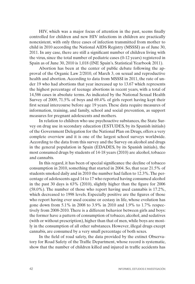HIV, which was a major focus of attention in the past, seems finally controlled for children and new HIV infections in children are practically nonexistent, with only three cases of infection transmitted from mother to child in 2010 according the National AIDS Registry (MSSSI) as of June 30, 2011. In any case, there are still a significant number of children living with the virus, since the total number of pediatric cases (0-12 years) registered in Spain as of June 30, 2010 is 1,018 (INE Spain's. Statistical Yearbook 2011).

Abortion has been at the center of public debate following the approval of the Organic Law 2/2010, of March 3, on sexual and reproductive health and abortion. According to data from MSSSI in 2011, the rate of under 19 who had abortions that year increased up to 13.67 which represents the highest percentage of teenage abortions in recent years, with a total of 14,586 cases in absolute terms. As indicated by the National Sexual Health Survey of 2009, 71.5% of boys and 69.4% of girls report having kept their first sexual intercourse before age 19 years. These data require measures of information, training, and family, school and social prevention, as support measures for pregnant adolescents and mothers.

In relation to children who use psychoactive substances, the State Survey on drug use in secondary education (ESTUDES, by its Spanish initials) of the Government Delegation for the National Plan on Drugs, offers a very complete overview and it is one of the largest school surveys worldwide. According to the data from this survey and the Survey on alcohol and drugs in the general population in Spain (EDADES, by its Spanish initials), the most consumed drugs by students of 14-18 years (2010) are alcohol, tobacco and cannabis.

In this regard, it has been of special significance the decline of tobacco consumption in 2010, something that started in 2004. So, that year 21.5% of students smoked daily and in 2010 the number had fallen to 12.3%. The percentage of adolescents aged 14 to 17 who reported having consumed alcohol in the past 30 days is 63% (2010), slightly higher than the figure for 2006 (58.0%). The number of those who report having used cannabis is 17.2%, which decreased to 1998 levels. Especially positive are the figures of those who report having ever used cocaine or ecstasy in life, whose evolution has gone down from 5.1% in 2008 to 3.9% in 2010 and 1.9% to 1.7% respectively from 2008-2010. There is a different behavior between girls and boys: the former have a pattern of consumption of tobacco, alcohol, and sedatives (with or without prescription), higher than that of men, while boys are mostly in the consumption of all other substances. However, illegal drugs except cannabis, are consumed by a very small percentage of both sexes.

In the field of road safety, the data provided by the extinct Observatory for Road Safety of the Traffic Department, whose record is systematic, show that the number of children killed and injured in traffic accidents has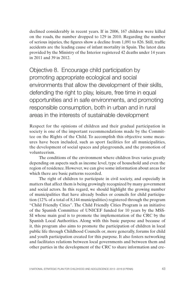declined considerably in recent years. If in 2006, 167 children were killed on the roads, the number dropped to 129 in 2010. Regarding the number of serious injuries, the figures show a decline from 1,091 to 826. Still, traffic accidents are the leading cause of infant mortality in Spain. The latest data provided by the Ministry of the Interior registered 42 deaths under 14 years in 2011 and 39 in 2012.

Objective 8. Encourage child participation by promoting appropriate ecological and social environments that allow the development of their skills, defending the right to play, leisure, free time in equal opportunities and in safe environments, and promoting responsible consumption, both in urban and in rural areas in the interests of sustainable development

Respect for the opinions of children and their gradual participation in society is one of the important recommendations made by the Committee on the Rights of the Child. To accomplish this objective some measures have been included, such as sport facilities for all municipalities, the development of social spaces and playgrounds, and the promotion of volunteerism.

The conditions of the environment where children lives varies greatly depending on aspects such as income level, type of household and even the region of residence. However, we can give some information about areas for which there are basic patterns recorded.

The right of children to participate in civil society, and especially in matters that affect them is being growingly recognized by many government and social actors. In this regard, we should highlight the growing number of municipalities that have already bodies or councils for child participation (12% of a total of 8,144 municipalities) registered through the program "Child Friendly Cities". The Child Friendly Cities Program is an initiative of the Spanish Committee of UNICEF funded for 10 years by the MSS-SI whose main goal is to promote the implementation of the CRC by the Spanish Local Authorities. Along with this basic purpose and because of it, this program also aims to promote the participation of children in local public life through Childhood Councils or, more generally, forums for child and youth participation created for this purpose. It also fosters networking and facilitates relations between local governments and between them and other parties in the development of the CRC to share information and cre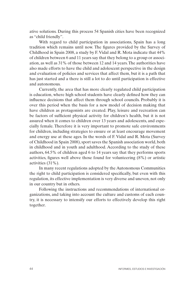ative solutions. During this process 54 Spanish cities have been recognized as "child friendly".

With regard to child participation in associations, Spain has a long tradition which remains until now. The figures provided by the Survey of Childhood in Spain 2008, a study by F. Vidal and R. Mota indicate that 44% of children between 6 and 11 years say that they belong to a group or association, as well as 31% of those between 12 and 14 years. The authorities have also made efforts to have the child and adolescent perspective in the design and evaluation of policies and services that affect them, but it is a path that has just started and a there is still a lot to do until participation is effective and autonomous.

Currently, the area that has more clearly regulated child participation is education, where high school students have clearly defined how they can influence decisions that affect them through school councils. Probably it is over this period when the basis for a new model of decision making that have children as protagonists are created. Play, leisure and recreation can be factors of sufficient physical activity for children's health, but it is not assured when it comes to children over 13 years and adolescents, and especially female. Therefore it is very important to promote safe environments for children, including strategies to ensure or at least encourage movement and energy use at these ages. In the words of F. Vidal and R. Mota (Survey of Childhood in Spain 2008), sport saves the Spanish association world, both in childhood and in youth and adulthood. According to the study of these authors, 64.5% of children aged 6 to 14 years say that they performs sports activities, figures well above those found for volunteering (8%) or artistic activities (31%).

In many recent regulations adopted by the Autonomous Communities the right to child participation is considered specifically, but even with this regulation, its effective implementation is very diverse and uneven, not only in our country but in others.

Following the instructions and recommendations of international organizations, and taking into account the culture and customs of each country, it is necessary to intensify our efforts to effectively develop this right together.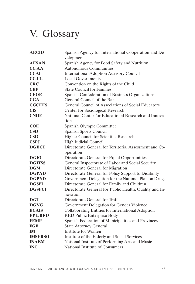# V. Glossary

| <b>AECID</b>   | Spanish Agency for International Cooperation and De-                |
|----------------|---------------------------------------------------------------------|
|                | velopment                                                           |
| <b>AESAN</b>   | Spanish Agency for Food Safety and Nutrition.                       |
| <b>CC.AA</b>   | Autonomous Communities                                              |
| <b>CCAI</b>    | <b>International Adoption Advisory Council</b>                      |
| CC.LL.         | <b>Local Governments</b>                                            |
| <b>CRC</b>     | Convention on the Rights of the Child                               |
| <b>CEF</b>     | <b>State Council for Families</b>                                   |
| <b>CEOE</b>    | Spanish Confederation of Business Organizations                     |
| CGA            | General Council of the Bar                                          |
| <b>CGCEES</b>  | General Council of Associations of Social Educators.                |
| <b>CIS</b>     | Center for Sociological Research                                    |
| <b>CNIIE</b>   | National Center for Educational Research and Innova-                |
|                | tion                                                                |
| <b>COE</b>     | Spanish Olympic Committee                                           |
| CSD            | Spanish Sports Council                                              |
| <b>CSIC</b>    | Higher Council for Scientific Research                              |
| <b>CSPJ</b>    | <b>High Judicial Council</b>                                        |
| <b>DGECT</b>   | Directorate General for Territorial Assessment and Co-<br>operation |
| <b>DGIO</b>    | Directorate General for Equal Opportunities                         |
| <b>DGITSS</b>  | General Inspectorate of Labor and Social Security                   |
| <b>DGM</b>     | Directorate General for Migration                                   |
| <b>DGPAD</b>   | Directorate General for Policy Support to Disability                |
| <b>DGPND</b>   | Government Delegation for the National Plan on Drugs                |
| <b>DGSFI</b>   | Directorate General for Family and Children                         |
| <b>DGSPCI</b>  | Directorate General for Public Health, Quality and In-<br>novation  |
| <b>DGT</b>     | Directorate General for Traffic                                     |
| <b>DGVG</b>    | Government Delegation for Gender Violence                           |
| <b>ECAIS</b>   | Collaborating Entities for International Adoption                   |
| <b>EPE.RED</b> | <b>RED Public Enterprise Body</b>                                   |
| <b>FEMP</b>    | Spanish Federation of Municipalities and Provinces                  |
| <b>FGE</b>     | <b>State Attorney General</b>                                       |
| <b>IM</b>      | <b>Institute for Women</b>                                          |
| <b>IMSERSO</b> | Institute of the Elderly and Social Services                        |
| <b>INAEM</b>   | National Institute of Performing Arts and Music                     |
| <b>INC</b>     | National Institute of Consumers                                     |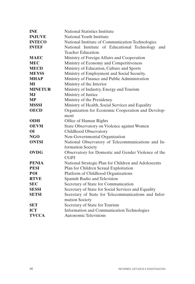| <b>INE</b>     | <b>National Statistics Institute</b>                 |
|----------------|------------------------------------------------------|
| <b>INJUVE</b>  | National Youth Institute                             |
| <b>INTECO</b>  | National Institute of Communication Technologies     |
| <b>INTEF</b>   | National Institute of Educational Technology<br>and  |
|                | Teacher Education.                                   |
| <b>MAEC</b>    | Ministry of Foreign Affairs and Cooperation          |
| <b>MEC</b>     | Ministry of Economy and Competitiveness              |
| <b>MECD</b>    | Ministry of Education, Culture and Sports            |
| <b>MEYSS</b>   | Ministry of Employment and Social Security.          |
| <b>MHAP</b>    | Ministry of Finance and Public Administration        |
| MI             | Ministry of the Interior                             |
| <b>MINETUR</b> | Ministry of Industry, Energy and Tourism             |
| MJ             | Ministry of Justice                                  |
| <b>MP</b>      | Ministry of the Presidency                           |
| <b>MSSSI</b>   | Ministry of Health, Social Services and Equality     |
| <b>OECD</b>    | Organization for Economic Cooperation and Develop-   |
|                | ment                                                 |
| <b>ODH</b>     | Office of Human Rights                               |
| <b>OEVM</b>    | State Observatory on Violence against Women          |
| <b>OI</b>      | Childhood Observatory                                |
| NGO            | Non-Governmental Organization                        |
| <b>ONTSI</b>   | National Observatory of Telecommunications and In-   |
|                | formation Society                                    |
| <b>OVDG</b>    | Observatory for Domestic and Gender Violence of the  |
|                | <b>CGPJ</b>                                          |
| <b>PENIA</b>   | National Strategic Plan for Children and Adolescents |
| <b>PESI</b>    | Plan for Children Sexual Exploitation                |
| POI            | Platform of Childhood Organizations                  |
| <b>RTVE</b>    | Spanish Radio and Television                         |
| <b>SEC</b>     | Secretary of State for Communication                 |
| <b>SESSI</b>   | Secretary of State for Social Services and Equality  |
| <b>SETSI</b>   | Secretary of State for Telecommunications and Infor- |
|                | mation Society                                       |
| <b>SET</b>     | Secretary of State for Tourism                       |
| <b>ICT</b>     | Information and Communication Technologies           |
| <b>TVCCA</b>   | <b>Autonomic Televisions</b>                         |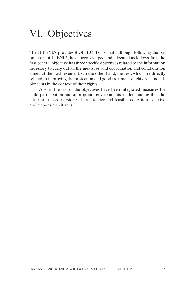## VI. Objectives

The II PENIA provides 8 OBJECTIVES that, although following the parameters of I PENIA, have been grouped and allocated as follows: first, the first general objective has three specific objectives related to the information necessary to carry out all the measures, and coordination and collaboration aimed at their achievement. On the other hand, the rest, which are directly related to improving the protection and good treatment of children and adolescents in the context of their rights.

Also in the last of the objectives have been integrated measures for child participation and appropriate environments, understanding that the latter are the cornerstone of an effective and feasible education as active and responsible citizens.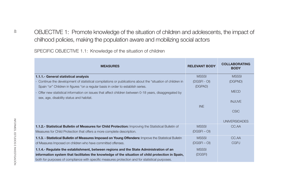| SPECIFIC OBJECTIVE 1.1: Knowledge of the situation of children                                                                                                                                 |                         |                                     |
|------------------------------------------------------------------------------------------------------------------------------------------------------------------------------------------------|-------------------------|-------------------------------------|
|                                                                                                                                                                                                |                         |                                     |
| <b>MEASURES</b>                                                                                                                                                                                | <b>RELEVANT BODY</b>    | <b>COLLABORATING</b><br><b>BODY</b> |
| 1.1.1.- General statistical analysis                                                                                                                                                           | <b>MSSSI</b>            | <b>MSSSI</b>                        |
| - Continue the development of statistical compilations or publications about the "situation of children in<br>Spain "or" Children in figures "on a regular basis in order to establish series. | (DGSFI - OI)<br>(DGPAD) | (DGPND)                             |
| Offer new statistical information on issues that affect children between 0-18 years, disaggregated by<br>sex, age, disability status and habitat.                                              |                         | <b>MECD</b>                         |
|                                                                                                                                                                                                |                         | <b>INJUVE</b>                       |
|                                                                                                                                                                                                | <b>INE</b>              | <b>CSIC</b>                         |
|                                                                                                                                                                                                |                         | <b>UNIVERSIDADES</b>                |
| 1.1.2.- Statistical Bulletin of Measures for Child Protection: Improving the Statistical Bulletin of                                                                                           | <b>MSSSI</b>            | CC.AA                               |
| Measures for Child Protection that offers a more complete description.                                                                                                                         | $(DGSFI - OI)$          |                                     |
| 1.1.3. - Statistical Bulletin of Measures Imposed on Young Offenders: Improve the Statistical Bulletin                                                                                         | <b>MSSSI</b>            | CC.AA                               |
| of Measures Imposed on children who have committed offenses.                                                                                                                                   | $(DGSFI - OI)$          | <b>CGPJ</b>                         |
| 1.1.4.- Regulate the establishment, between regions and the State Administration of an                                                                                                         | <b>MSSSI</b>            |                                     |
| information system that facilitates the knowledge of the situation of child protection in Spain,                                                                                               | (DGSFI)                 |                                     |
| both for purposes of compliance with specific measures protection and for statistical purposes.                                                                                                |                         |                                     |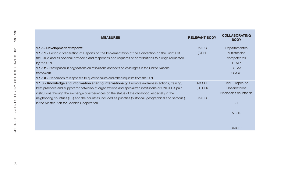| <b>MEASURES</b>                                                                                               | <b>RELEVANT BODY</b> | <b>COLLABORATING</b><br><b>BODY</b> |
|---------------------------------------------------------------------------------------------------------------|----------------------|-------------------------------------|
| 1.1.5.- Development of reports:                                                                               | <b>MAEC</b>          | Departamentos                       |
| <b>1.1.5.1.-</b> Periodic preparation of Reports on the Implementation of the Convention on the Rights of     | (ODH)                | Ministeriales                       |
| the Child and its optional protocols and responses and requests or contributions to rulings requested         |                      | competentes                         |
| by the U.N.                                                                                                   |                      | <b>FEMP</b>                         |
| <b>1.1.5.2.-</b> Participation in negotiations on resolutions and texts on child rights in the United Nations |                      | CC.AA                               |
| framework.                                                                                                    |                      | <b>ONG'S</b>                        |
| <b>1.1.5.3.-</b> Preparation of responses to questionnaires and other requests from the U.N.                  |                      |                                     |
| 1.1.6.- Knowledge and information sharing internationally: Promote awareness actions, training,               | <b>MSSSI</b>         | Red Europea de                      |
| best practices and support for networks of organizations and specialized institutions or UNICEF-Spain         | (DGSFI)              | <b>Observatorios</b>                |
| institutions through the exchange of experiences on the status of the childhood, especially in the            |                      | Nacionales de Infancia              |
| neighboring countries (EU) and the countries included as priorities (historical, geographical and sectorial)  | <b>MAEC</b>          |                                     |
| in the Master Plan for Spanish Cooperation.                                                                   |                      | $\overline{O}$                      |
|                                                                                                               |                      | <b>AECID</b>                        |
|                                                                                                               |                      |                                     |
|                                                                                                               |                      | <b>UNICEF</b>                       |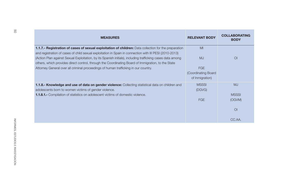| <b>MEASURES</b>                                                                                                                                                                                                                                                                                                             | <b>RELEVANT BODY</b>                                 | <b>COLLABORATING</b><br><b>BODY</b> |
|-----------------------------------------------------------------------------------------------------------------------------------------------------------------------------------------------------------------------------------------------------------------------------------------------------------------------------|------------------------------------------------------|-------------------------------------|
| 1.1.7.- Registration of cases of sexual exploitation of children: Data collection for the preparation                                                                                                                                                                                                                       | MI                                                   |                                     |
| and registration of cases of child sexual exploitation in Spain in connection with III PESI (2010-2013)<br>(Action Plan against Sexual Exploitation, by its Spanish initials), including trafficking cases data among<br>others, which provides direct control, through the Coordinating Board of Immigration, to the State | <b>MJ</b>                                            | O <sub>l</sub>                      |
| Attorney General over all criminal proceedings of human trafficking in our country.                                                                                                                                                                                                                                         | <b>FGE</b><br>(Coordinating Board<br>of Inmigration) |                                     |
| 1.1.8.- Knowledge and use of data on gender violence: Collecting statistical data on children and<br>adolescents born to women victims of gender violence.                                                                                                                                                                  | <b>MSSSI</b><br>(DGVG)                               | <b>MJ</b>                           |
| <b>1.1.8.1.-</b> Compilation of statistics on adolescent victims of domestic violence.                                                                                                                                                                                                                                      | <b>FGE</b>                                           | <b>MSSSI</b><br>(OGVM)              |
|                                                                                                                                                                                                                                                                                                                             |                                                      | O <sub>l</sub>                      |
|                                                                                                                                                                                                                                                                                                                             |                                                      | CC.AA.                              |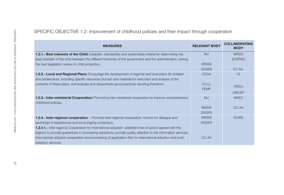| <b>MEASURES</b>                                                                                                                | <b>RELEVANT BODY</b> | <b>COLLABORATING</b><br><b>BODY</b> |
|--------------------------------------------------------------------------------------------------------------------------------|----------------------|-------------------------------------|
| <b>1.2.1.- Best interests of the Child:</b> Establish, standardize and systematize criteria for determining the                | <b>MJ</b>            | <b>MSSSI</b>                        |
| best interests of the child between the different branches of the government and the administration, joining                   |                      | (DGPND)                             |
| the next legislation review on child protection.                                                                               | <b>MSSSI</b>         |                                     |
|                                                                                                                                | (DGSFI)              | CC.AA.                              |
| 1.2.2.- Local and Regional Plans: Encourage the development of regional and local plans for children                           | <b>CCAA</b>          | O <sub>l</sub>                      |
| and adolescents, including specific resources (human and material) for execution and analysis of the                           |                      |                                     |
| contents of these plans, and evaluate and disseminate good practices resulting therefrom.                                      | CC.LL                | ONG's                               |
|                                                                                                                                | <b>FEMP</b>          |                                     |
|                                                                                                                                |                      | <b>UNICEF</b>                       |
| 1.2.3.- Inter-ministerial Cooperation: Promoting inter-ministerial cooperation to improve comprehensive<br>childhood policies. | <b>MJ</b>            | <b>MAEC</b>                         |
|                                                                                                                                | <b>MSSSI</b>         | CC.AA                               |
|                                                                                                                                | (DGSFI)              |                                     |
| <b>1.2.4.- Inter-regional cooperation.</b> - Promote inter-regional cooperation, forums for dialogue and                       | <b>MSSSI</b>         | <b>ECAIS</b>                        |
| exchange of experiences and encouraging consensus.                                                                             | (DGSFI)              |                                     |
| <b>1.2.4.1.-</b> Inter-regional Cooperation for international adoption: establish lines of action agreed with the              |                      |                                     |
| regions to provide guarantees in processing adoptions, provide quality attention in the information services,                  |                      |                                     |
| international adoption preparation and processing of application files for international adoption and post-                    | CC.AA                |                                     |
| adoption services.                                                                                                             |                      |                                     |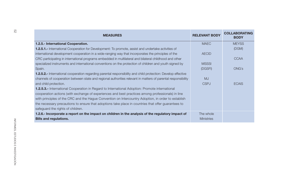| <b>MEASURES</b>                                                                                                      | <b>RELEVANT BODY</b> | <b>COLLABORATING</b><br><b>BODY</b> |
|----------------------------------------------------------------------------------------------------------------------|----------------------|-------------------------------------|
| 1.2.5.- International Cooperation.                                                                                   | <b>MAEC</b>          | <b>MEYSS</b>                        |
| <b>1.2.5.1.-</b> International Cooperation for Development: To promote, assist and undertake activities of           |                      | (DGM)                               |
| international development cooperation in a wide-ranging way that incorporates the principles of the                  | <b>AECID</b>         |                                     |
| CRC participating in international programs embedded in multilateral and bilateral childhood and other               |                      | <b>CCAA</b>                         |
| specialized instruments and international conventions on the protection of children and youth signed by              | <b>MSSSI</b>         |                                     |
| Spain.                                                                                                               | (DGSFI)              | <b>ONG's</b>                        |
| <b>1.2.5.2.-</b> International cooperation regarding parental responsibility and child protection: Develop effective |                      |                                     |
| channels of cooperation between state and regional authorities relevant in matters of parental responsibility        | <b>MJ</b>            |                                     |
| and child protection.                                                                                                | <b>CSPJ</b>          | <b>ECAIS</b>                        |
| <b>1.2.5.3.-</b> International Cooperation in Regard to International Adoption: Promote international                |                      |                                     |
| cooperation actions (with exchange of experiences and best practices among professionals) in line                    |                      |                                     |
| with principles of the CRC and the Hague Convention on Intercountry Adoption, in order to establish                  |                      |                                     |
| the necessary precautions to ensure that adoptions take place in countries that offer guarantees to                  |                      |                                     |
| safeguard the rights of children.                                                                                    |                      |                                     |
| 1.2.6.- Incorporate a report on the impact on children in the analysis of the regulatory impact of                   | The whole            |                                     |
| <b>Bills and regulations.</b>                                                                                        | <b>Ministries</b>    |                                     |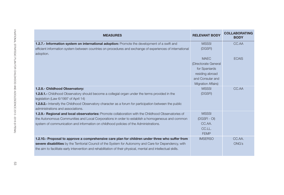| <b>MEASURES</b>                                                                                                | <b>RELEVANT BODY</b>                          | <b>COLLABORATING</b><br><b>BODY</b> |
|----------------------------------------------------------------------------------------------------------------|-----------------------------------------------|-------------------------------------|
| 1.2.7.- Information system on international adoption: Promote the development of a swift and                   | <b>MSSSI</b>                                  | CC.AA                               |
| efficient information system between countries on procedures and exchange of experiences of international      | (DGSFI)                                       |                                     |
| adoption.                                                                                                      |                                               |                                     |
|                                                                                                                | <b>MAEC</b>                                   | <b>ECAIS</b>                        |
|                                                                                                                | (Directorate General                          |                                     |
|                                                                                                                | for Spaniards                                 |                                     |
|                                                                                                                | residing abroad                               |                                     |
|                                                                                                                | and Consular and<br><b>Migration Affairs)</b> |                                     |
| 1.2.8.- Childhood Observatory:                                                                                 | <b>MSSSI</b>                                  | CC.AA                               |
| 1.2.8.1.- Childhood Observatory should become a collegial organ under the terms provided in the                | (DGSFI)                                       |                                     |
| legislation (Law 6/1997 of April 14)                                                                           |                                               |                                     |
| 1.2.8.2.- Intensify the Childhood Observatory character as a forum for participation between the public        |                                               |                                     |
| administrations and associations.                                                                              |                                               |                                     |
| <b>1.2.9.- Regional and local observatories:</b> Promote collaboration with the Childhood Observatories of     | <b>MSSSI</b>                                  |                                     |
| the Autonomous Communities and Local Corporations in order to establish a homogeneous and common               | (DGSFI-OI)                                    |                                     |
| system of communication and information on childhood policies of the Administrations.                          | CC.AA.                                        |                                     |
|                                                                                                                | CC.LL.                                        |                                     |
|                                                                                                                | <b>FEMP</b>                                   |                                     |
| 1.2.10.- Proposal to approve a comprehensive care plan for children under three who suffer from                | <b>IMSERSO</b>                                | CC.AA.                              |
| severe disabilities by the Territorial Council of the System for Autonomy and Care for Dependency, with        |                                               | <b>ONG's</b>                        |
| the aim to facilitate early intervention and rehabilitation of their physical, mental and intellectual skills. |                                               |                                     |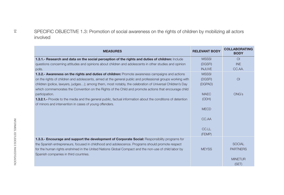| <b>MEASURES</b>                                                                                                                                                                                                    | <b>RELEVANT BODY</b> | <b>COLLABORATING</b><br><b>BODY</b> |
|--------------------------------------------------------------------------------------------------------------------------------------------------------------------------------------------------------------------|----------------------|-------------------------------------|
| 1.3.1.- Research and data on the social perception of the rights and duties of children: Include                                                                                                                   | <b>MSSSI</b>         | $\Omega$                            |
| questions concerning attitudes and opinions about children and adolescents in other studies and opinion                                                                                                            | (DGSFI)              | <b>INE</b>                          |
| polls.                                                                                                                                                                                                             | <b>INJUVE</b>        | CC.AA.                              |
| 1.3.2.- Awareness on the rights and duties of children: Promote awareness campaigns and actions                                                                                                                    | <b>MSSSI</b>         |                                     |
| on the rights of children and adolescents, aimed at the general public and professional groups working with                                                                                                        | (DGSFI)              | O <sub>l</sub>                      |
| children (police, lawyers, judges); among them, most notably, the celebration of Universal Children's Day<br>which commemorates the Convention on the Rights of the Child and promote actions that encourage child | (DGPAD)              |                                     |
| participation.                                                                                                                                                                                                     | <b>MAEC</b>          | <b>ONG's</b>                        |
| <b>1.3.2.1.-</b> Provide to the media and the general public, factual information about the conditions of detention<br>of minors and intervention in cases of young offenders.                                     | (ODH)                |                                     |
|                                                                                                                                                                                                                    | <b>MECD</b>          |                                     |
|                                                                                                                                                                                                                    | CC.AA                |                                     |
|                                                                                                                                                                                                                    | CC.LL                |                                     |
|                                                                                                                                                                                                                    | (FEMP)               |                                     |
| 1.3.3.- Encourage and support the development of Corporate Social: Responsibility programs for                                                                                                                     |                      |                                     |
| the Spanish entrepreneurs, focused in childhood and adolescence. Programs should promote respect                                                                                                                   |                      | <b>SOCIAL</b>                       |
| for the human rights enshrined in the United Nations Global Compact and the non-use of child labor by                                                                                                              | <b>MEYSS</b>         | <b>PARTNERS</b>                     |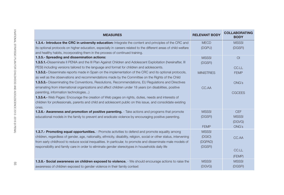| <b>MEASURES</b>                                                                                                        | <b>RELEVANT BODY</b> | <b>COLLABORATING</b><br><b>BODY</b> |
|------------------------------------------------------------------------------------------------------------------------|----------------------|-------------------------------------|
| 1.3.4.- Introduce the CRC in university education: Integrate the content and principles of the CRC and                 | <b>MECD</b>          | <b>MSSSI</b>                        |
| its optional protocols on higher education, especially in careers related to the different areas of child welfare      | (DGPU)               | (DGSFI)                             |
| and healthy habits, incorporating them in the process of continued training.                                           |                      |                                     |
| 1.3.5.- Spreading and dissemination actions:                                                                           | <b>MSSSI</b>         | O <sub>l</sub>                      |
| <b>1.3.5.1.</b> -Disseminate II PENIA and the III Plan Against Children and Adolescent Exploitation (hereinafter, III  | (DGSFI)              |                                     |
| PESI) including versions tailored to the language and format for children and adolescents.                             |                      | CC.LL                               |
| <b>1.3.5.2.-</b> Disseminate reports made in Spain on the implementation of the CRC and its optional protocols,        | <b>MINISTRIES</b>    | <b>FEMP</b>                         |
| as well as the observations and recommendations made by the Committee on the Rights of the Child                       |                      |                                     |
| <b>1.3.5.3.-</b> Disseminating the Conventions, Resolutions, Recommendations, EU Regulations and Directives            |                      | <b>ONG's</b>                        |
| emanating from international organizations and affect children under 18 years (on disabilities, positive               | CC.AA                |                                     |
| parenting, information technologies)                                                                                   |                      | <b>CGCEES</b>                       |
| <b>1.3.5.4.-</b> Web Pages: Encourage the creation of Web pages on rights, duties, needs and interests of              |                      |                                     |
| children for professionals, parents and child and adolescent public on this issue, and consolidate existing            |                      |                                     |
| ones.                                                                                                                  |                      |                                     |
| <b>1.3.6.- Awareness and promotion of positive parenting.</b> - Take actions and programs that promote                 | <b>MSSSI</b>         | <b>CEF</b>                          |
| educational models in the family to prevent and eradicate violence by encouraging positive parenting.                  | (DGSFI)              | <b>MSSSI</b>                        |
|                                                                                                                        |                      | (DGVG)                              |
|                                                                                                                        | <b>FEMP</b>          | <b>ONG's</b>                        |
| <b>1.3.7.- Promoting equal opportunities.</b> - Promote activities to defend and promote equality among                | <b>MSSSI</b>         |                                     |
| children, regardless of gender, age, nationality, ethnicity, disability, religion, social or other status, intervening | (DGIO)               | CC.AA                               |
| from early childhood to reduce social inequalities. In particular, to promote and disseminate male models of           | (DGPAD)              |                                     |
| responsibility and family care in order to eliminate gender stereotypes in households daily life                       | (DGSFI)              |                                     |
|                                                                                                                        |                      | CC.LL                               |
|                                                                                                                        |                      | (FEMP)                              |
| 1.3.8.- Social awareness on children exposed to violence. - We should encourage actions to raise the                   | <b>MSSSI</b>         | <b>MSSSI</b>                        |
| awareness of children exposed to gender violence in their family context                                               | (DGVG)               | (DGSFI)                             |
|                                                                                                                        |                      |                                     |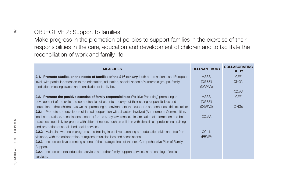| <b>RELEVANT BODY</b><br><b>MEASURES</b><br>2.1.- Promote studies on the needs of families of the 21 <sup>st</sup> century, both at the national and European<br><b>MSSSI</b><br>level, with particular attention to the orientation, education, special needs of vulnerable groups, family<br>(DGSFI)<br>mediation, meeting places and conciliation of family life.<br>(DGPAD)<br>2.2.- Promote the positive exercise of family responsibilities (Positive Parenting) promoting the<br><b>MSSSI</b><br>development of the skills and competencies of parents to carry out their caring responsibilities and<br>(DGSFI)<br>education of their children, as well as promoting an environment that supports and enhances this exercise:<br>(DGPAD)<br><b>2.2.1.-</b> Promote and develop multilateral cooperation with all actors involved (Autonomous Communities,<br>CC.AA<br>local corporations, associations, experts) for the study, awareness, dissemination of information and best<br>practices especially for groups with different needs, such as children with disabilities, professional training<br>and promotion of specialized social services.<br>CC.LL<br><b>2.2.2.</b> Maintain awareness programs and training in positive parenting and education skills and free from<br>violence, with the collaboration of regions, municipalities and associations.<br>(FEMP)<br>2.2.3.- Include positive parenting as one of the strategic lines of the next Comprehensive Plan of Family<br>Support.<br><b>2.2.4.-</b> Include parental education services and other family support services in the catalog of social |  |                                     |
|------------------------------------------------------------------------------------------------------------------------------------------------------------------------------------------------------------------------------------------------------------------------------------------------------------------------------------------------------------------------------------------------------------------------------------------------------------------------------------------------------------------------------------------------------------------------------------------------------------------------------------------------------------------------------------------------------------------------------------------------------------------------------------------------------------------------------------------------------------------------------------------------------------------------------------------------------------------------------------------------------------------------------------------------------------------------------------------------------------------------------------------------------------------------------------------------------------------------------------------------------------------------------------------------------------------------------------------------------------------------------------------------------------------------------------------------------------------------------------------------------------------------------------------------------------------------------------------------------------------------------|--|-------------------------------------|
|                                                                                                                                                                                                                                                                                                                                                                                                                                                                                                                                                                                                                                                                                                                                                                                                                                                                                                                                                                                                                                                                                                                                                                                                                                                                                                                                                                                                                                                                                                                                                                                                                              |  | <b>COLLABORATING</b><br><b>BODY</b> |
| <b>ONG's</b><br>CC.AA                                                                                                                                                                                                                                                                                                                                                                                                                                                                                                                                                                                                                                                                                                                                                                                                                                                                                                                                                                                                                                                                                                                                                                                                                                                                                                                                                                                                                                                                                                                                                                                                        |  | <b>CEF</b>                          |
|                                                                                                                                                                                                                                                                                                                                                                                                                                                                                                                                                                                                                                                                                                                                                                                                                                                                                                                                                                                                                                                                                                                                                                                                                                                                                                                                                                                                                                                                                                                                                                                                                              |  |                                     |
|                                                                                                                                                                                                                                                                                                                                                                                                                                                                                                                                                                                                                                                                                                                                                                                                                                                                                                                                                                                                                                                                                                                                                                                                                                                                                                                                                                                                                                                                                                                                                                                                                              |  |                                     |
|                                                                                                                                                                                                                                                                                                                                                                                                                                                                                                                                                                                                                                                                                                                                                                                                                                                                                                                                                                                                                                                                                                                                                                                                                                                                                                                                                                                                                                                                                                                                                                                                                              |  |                                     |
| <b>ONGs</b>                                                                                                                                                                                                                                                                                                                                                                                                                                                                                                                                                                                                                                                                                                                                                                                                                                                                                                                                                                                                                                                                                                                                                                                                                                                                                                                                                                                                                                                                                                                                                                                                                  |  | <b>CEF</b>                          |
|                                                                                                                                                                                                                                                                                                                                                                                                                                                                                                                                                                                                                                                                                                                                                                                                                                                                                                                                                                                                                                                                                                                                                                                                                                                                                                                                                                                                                                                                                                                                                                                                                              |  |                                     |
|                                                                                                                                                                                                                                                                                                                                                                                                                                                                                                                                                                                                                                                                                                                                                                                                                                                                                                                                                                                                                                                                                                                                                                                                                                                                                                                                                                                                                                                                                                                                                                                                                              |  |                                     |
|                                                                                                                                                                                                                                                                                                                                                                                                                                                                                                                                                                                                                                                                                                                                                                                                                                                                                                                                                                                                                                                                                                                                                                                                                                                                                                                                                                                                                                                                                                                                                                                                                              |  |                                     |
|                                                                                                                                                                                                                                                                                                                                                                                                                                                                                                                                                                                                                                                                                                                                                                                                                                                                                                                                                                                                                                                                                                                                                                                                                                                                                                                                                                                                                                                                                                                                                                                                                              |  |                                     |
|                                                                                                                                                                                                                                                                                                                                                                                                                                                                                                                                                                                                                                                                                                                                                                                                                                                                                                                                                                                                                                                                                                                                                                                                                                                                                                                                                                                                                                                                                                                                                                                                                              |  |                                     |
|                                                                                                                                                                                                                                                                                                                                                                                                                                                                                                                                                                                                                                                                                                                                                                                                                                                                                                                                                                                                                                                                                                                                                                                                                                                                                                                                                                                                                                                                                                                                                                                                                              |  |                                     |
|                                                                                                                                                                                                                                                                                                                                                                                                                                                                                                                                                                                                                                                                                                                                                                                                                                                                                                                                                                                                                                                                                                                                                                                                                                                                                                                                                                                                                                                                                                                                                                                                                              |  |                                     |
|                                                                                                                                                                                                                                                                                                                                                                                                                                                                                                                                                                                                                                                                                                                                                                                                                                                                                                                                                                                                                                                                                                                                                                                                                                                                                                                                                                                                                                                                                                                                                                                                                              |  |                                     |
|                                                                                                                                                                                                                                                                                                                                                                                                                                                                                                                                                                                                                                                                                                                                                                                                                                                                                                                                                                                                                                                                                                                                                                                                                                                                                                                                                                                                                                                                                                                                                                                                                              |  |                                     |
|                                                                                                                                                                                                                                                                                                                                                                                                                                                                                                                                                                                                                                                                                                                                                                                                                                                                                                                                                                                                                                                                                                                                                                                                                                                                                                                                                                                                                                                                                                                                                                                                                              |  |                                     |
|                                                                                                                                                                                                                                                                                                                                                                                                                                                                                                                                                                                                                                                                                                                                                                                                                                                                                                                                                                                                                                                                                                                                                                                                                                                                                                                                                                                                                                                                                                                                                                                                                              |  |                                     |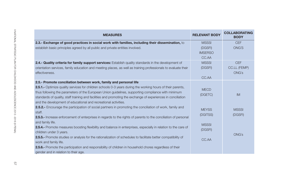| <b>MEASURES</b>                                                                                                        | <b>RELEVANT BODY</b> | <b>COLLABORATING</b><br><b>BODY</b> |
|------------------------------------------------------------------------------------------------------------------------|----------------------|-------------------------------------|
| 2.3.- Exchange of good practices in social work with families, including their dissemination, to                       | <b>MSSSI</b>         | <b>CEF</b>                          |
| establish basic principles agreed by all public and private entities involved.                                         | (DGSFI)              | <b>ONG'S</b>                        |
|                                                                                                                        | <b>IMSERSO</b>       |                                     |
|                                                                                                                        | CC.AA                |                                     |
| 2.4.- Quality criteria for family support services: Establish quality standards in the development of                  | <b>MSSSI</b>         | <b>CEF</b>                          |
| orientation services, family education and meeting places, as well as training professionals to evaluate their         | (DGSFI)              | <b>CC.LL (FEMP)</b>                 |
| effectiveness.                                                                                                         |                      | <b>ONG's</b>                        |
|                                                                                                                        | CC.AA                |                                     |
| 2.5.- Promote conciliation between work, family and personal life                                                      |                      |                                     |
| <b>2.5.1.-</b> Optimize quality services for children schools 0-3 years during the working hours of their parents,     | <b>MECD</b>          |                                     |
| thus following the parameters of the European Union guidelines, supporting compliance with minimum                     | (DGETC)              | <b>IM</b>                           |
| standards of quality, staff training and facilities and promoting the exchange of experiences in conciliation          |                      |                                     |
| and the development of educational and recreational activities.                                                        |                      |                                     |
| <b>2.5.2.-</b> Encourage the participation of social partners in promoting the conciliation of work, family and        | <b>MEYSS</b>         | <b>MSSSI</b>                        |
| staff.                                                                                                                 | (DGITSS)             | (DGSFI)                             |
| 2.5.3.- Increase enforcement of enterprises in regards to the rights of parents to the conciliation of personal        |                      |                                     |
| and family life.                                                                                                       | <b>MSSSI</b>         |                                     |
| <b>2.5.4.-</b> Promote measures boosting flexibility and balance in enterprises, especially in relation to the care of | (DGSFI)              |                                     |
| children under 3 years.                                                                                                |                      | <b>ONG's</b>                        |
| <b>2.5.5.-</b> Promote studies or analysis for the rationalization of schedules to facilitate better compatibility of  | CC.AA                |                                     |
| work and family life.                                                                                                  |                      |                                     |
| <b>2.5.6.-</b> Promote the participation and responsibility of children in household chores regardless of their        |                      |                                     |
| gender and in relation to their age.                                                                                   |                      |                                     |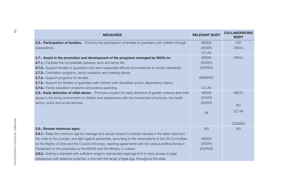| <b>MEASURES</b>                                                                                                    | <b>RELEVANT BODY</b> | <b>COLLABORATING</b><br><b>BODY</b> |
|--------------------------------------------------------------------------------------------------------------------|----------------------|-------------------------------------|
| <b>2.6.- Participation of families.</b> - Promote the participation of families or guardians with children through | <b>MSSSI</b>         | <b>CEF</b>                          |
| associations.                                                                                                      | (DGSFI)              | ONG's                               |
|                                                                                                                    | CC.AA                |                                     |
| 2.7.- Assist in the promotion and development of the programs managed by NGOs to:                                  | <b>MSSSI</b>         | <b>ONG's</b>                        |
| 2.7.1.- Facilitate the compatibility between work and family life.                                                 | (DGSFI)              |                                     |
| 2.7.2.- Support families or guardians who are in especially difficult circumstances or social vulnerability        | (DGPAD)              |                                     |
| <b>2.7.3.-</b> Orientation programs, family mediation and meeting places.                                          |                      |                                     |
| <b>2.7.4.-</b> Support programs for families.                                                                      | <b>IMSERSO</b>       |                                     |
| 2.7.5.- Support for families or guardians with children with disabilities and/or dependency status.                |                      |                                     |
| <b>2.7.6.-</b> Family education programs and positive parenting.                                                   | CC.AA                |                                     |
| 2.8.- Early detection of child abuse. - Promote a system for early detection of gender violence and child          | <b>MSSSI</b>         | <b>MECD</b>                         |
| abuse in the family environment of children and adolescents with the involvement of schools, the health            | (DGVG)               |                                     |
| sector, police and social services.                                                                                | (DGSFI)              | <b>MJ</b>                           |
|                                                                                                                    | M <sub>l</sub>       | CC.AA                               |
|                                                                                                                    |                      | <b>CGCEES</b>                       |
| 2.9.- Review minimum ages:                                                                                         | <b>MJ</b>            | <b>MJ</b>                           |
| 2.9.1.- Raise the minimum age for marriage and sexual consent to prevent abuses in the latter case from            |                      |                                     |
| the older to the younger, and fight against pedophilia, according to the observations of the UN Committee          | <b>MSSSI</b>         |                                     |
| on the Rights of Child and the Council of Europe, reaching agreements with the various political forces in         | (DGSFI)              |                                     |
| Parliament on the proposals by the MSSSI and the Ministry of Justice.                                              | (DGPND)              |                                     |
| <b>2.9.2.-</b> Setting a standard with sufficient range to standardize legal age limit to have access to legal     |                      |                                     |
| substances with addictive potential, in line with the range of legal age, throughout the state.                    |                      |                                     |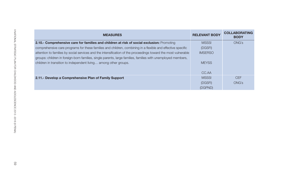| <b>MEASURES</b>                                                                                                | <b>RELEVANT BODY</b> | <b>COLLABORATING</b><br><b>BODY</b> |
|----------------------------------------------------------------------------------------------------------------|----------------------|-------------------------------------|
| 2.10.- Comprehensive care for families and children at risk of social exclusion: Promoting                     | <b>MSSSI</b>         | <b>ONG's</b>                        |
| comprehensive care programs for these families and children, combining in a flexible and effective specific    | (DGSFI)              |                                     |
| attention to families by social services and the intensification of the proceedings toward the most vulnerable | <b>IMSERSO</b>       |                                     |
| groups: children in foreign-born families, single parents, large families, families with unemployed members,   |                      |                                     |
| children in transition to independent living among other groups.                                               | <b>MEYSS</b>         |                                     |
|                                                                                                                | CC.AA                |                                     |
| 2.11.- Develop a Comprehensive Plan of Family Support                                                          | <b>MSSSI</b>         | <b>CEF</b>                          |
|                                                                                                                | (DGSFI)              | <b>ONG's</b>                        |
|                                                                                                                | (DGPND)              |                                     |
|                                                                                                                |                      |                                     |
|                                                                                                                |                      |                                     |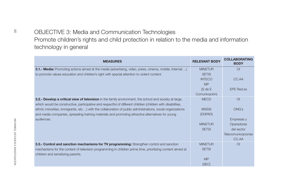| <b>MEASURES</b>                                                                                                 | <b>RELEVANT BODY</b> | <b>COLLABORATING</b><br><b>BODY</b> |
|-----------------------------------------------------------------------------------------------------------------|----------------------|-------------------------------------|
| <b>3.1.- Media:</b> Promoting actions aimed at the media (advertising, video, press, cinema, mobile, Internet ) | <b>MINETUR</b>       | $\Omega$                            |
| to promote values education and children's right with special attention to violent content.                     | <b>SETSI</b>         |                                     |
|                                                                                                                 | <b>INTECO</b>        | CC.AA                               |
|                                                                                                                 | <b>MP</b>            |                                     |
|                                                                                                                 | (S de E              | <b>EPE Red.es</b>                   |
|                                                                                                                 | Comunicación)        |                                     |
| 3.2.- Develop a critical view of television in the family environment, the school and society at large,         | <b>MECD</b>          | $\Omega$                            |
| which would be constructive, participative and respectful of different children (children with disabilities,    |                      |                                     |
| ethnic minorities, immigrants, etc. ) with the collaboration of public administrations, social organizations    | <b>MSSSI</b>         | <b>ONG's</b>                        |
| and media companies, spreading training materials and promoting attractive alternatives for young               | (DGPAD)              |                                     |
| audiences.                                                                                                      |                      | Empresas y                          |
|                                                                                                                 | <b>MINETUR</b>       | Operadores                          |
|                                                                                                                 | <b>SETSI</b>         | del sector                          |
|                                                                                                                 |                      | <b>Telecomunicaciones</b>           |
|                                                                                                                 |                      | CC.AA                               |
| 3.3.- Control and sanction mechanisms for TV programming: Strengthen control and sanction                       | <b>MINETUR</b>       | $\Omega$                            |
| mechanisms for the content of television programming in children prime time, prioritizing content aimed at      | <b>SETSI</b>         |                                     |
| children and sensitizing parents.                                                                               |                      |                                     |
|                                                                                                                 | MP                   |                                     |
|                                                                                                                 | (SEC)                |                                     |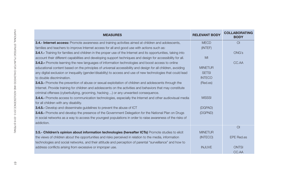| <b>MEASURES</b>                                                                                                  | <b>RELEVANT BODY</b> | <b>COLLABORATING</b><br><b>BODY</b> |
|------------------------------------------------------------------------------------------------------------------|----------------------|-------------------------------------|
| <b>3.4.- Internet access:</b> Promote awareness and training activities aimed at children and adolescents,       | <b>MECD</b>          | O <sub>l</sub>                      |
| families and teachers to improve Internet access for all and good use with actions such as:                      | (INTEF)              |                                     |
| 3.4.1.- Training for families and children in the proper use of the Internet and its opportunities, taking into  |                      | <b>ONG's</b>                        |
| account their different capabilities and developing support techniques and design for accessibility for all.     | MI                   |                                     |
| <b>3.4.2.</b> Promote learning the new languages of information technologies and boost access to online          |                      | CC.AA                               |
| educational content based on the principles of universal accessibility and design for all children, avoiding     | <b>MINETUR</b>       |                                     |
| any digital exclusion or inequality (gender/disability) to access and use of new technologies that could lead    | <b>SETSI</b>         |                                     |
| to double discrimination.                                                                                        | <b>INTECO</b>        |                                     |
| <b>3.4.3.-</b> Promote the prevention of abuse or sexual exploitation of children and adolescents through the    | (Red.es)             |                                     |
| Internet. Provide training for children and adolescents on the activities and behaviors that may constitute      |                      |                                     |
| criminal offenses (cyberbullying, grooming, hacking ) or any unwanted consequence.                               |                      |                                     |
| <b>3.4.4.-</b> Promote access to communication technologies, especially the Internet and other audiovisual media | <b>MSSSI</b>         |                                     |
| for all children with any disability.                                                                            |                      |                                     |
| <b>3.4.5.-</b> Develop and disseminate guidelines to prevent the abuse of ICT                                    | (DGPAD)              |                                     |
| <b>3.4.6.-</b> Promote and develop the presence of the Government Delegation for the National Plan on Drugs      | (DGPND)              |                                     |
| in social networks as a way to access the youngest populations in order to raise awareness of the risks of       |                      |                                     |
| addiction.                                                                                                       |                      |                                     |
|                                                                                                                  |                      | O <sub>1</sub>                      |
| 3.5.- Children's opinion about information technologies (hereafter ICTs) Promote studies to elicit               | <b>MINETUR</b>       |                                     |
| the views of children about the opportunities and risks perceived in relation to the media, information          | (INTECO)             | <b>EPE Red.es</b>                   |
| technologies and social networks, and their attitude and perception of parental "surveillance" and how to        |                      |                                     |
| address conflicts arising from excessive or improper use.                                                        | <b>INJUVE</b>        | <b>ONTSI</b>                        |
|                                                                                                                  |                      | CC.AA                               |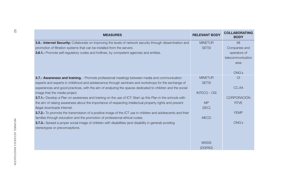| <b>MEASURES</b>                                                                                                     | <b>RELEVANT BODY</b> | <b>COLLABORATING</b><br><b>BODY</b> |
|---------------------------------------------------------------------------------------------------------------------|----------------------|-------------------------------------|
| 3.6.- Internet Security: Collaborate on improving the levels of network security through dissemination and          | <b>MINETUR</b>       | M <sub>l</sub>                      |
| promotion of filtration systems that can be installed from the servers.                                             | <b>SETSI</b>         | Companies and                       |
| <b>3.6.1.-</b> Promote self-regulatory codes and hotlines, by competent agencies and entities.                      |                      | operators of                        |
|                                                                                                                     |                      | telecommunication                   |
|                                                                                                                     |                      | area                                |
|                                                                                                                     |                      | <b>ONG's</b>                        |
| 3.7.- Awareness and training. - Promote professional meetings between media and communication                       | <b>MINETUR</b>       | $\Omega$                            |
| experts and experts in childhood and adolescence through seminars and workshops for the exchange of                 | <b>SETSI</b>         |                                     |
| experiences and good practices, with the aim of analyzing the spaces dedicated to children and the social           |                      | CC.AA                               |
| image that the media project.                                                                                       | <b>INTECO - OSI</b>  |                                     |
| 3.7.1.- Develop a Plan on awareness and training on the use of ICT: Start up this Plan in the schools with          |                      | <b>CORPORACIÓN</b>                  |
| the aim of raising awareness about the importance of respecting intellectual property rights and prevent            | <b>MP</b>            | <b>RTVE</b>                         |
| illegal downloads Internet.                                                                                         | (SEC)                |                                     |
| <b>3.7.2.-</b> To promote the transmission of a positive image of the ICT use in children and adolescents and their |                      | <b>FEMP</b>                         |
| families through education and the promotion of professional ethical codes.                                         | <b>MECD</b>          |                                     |
| 3.7.3.- Spread a proper social image of children with disabilities (and disability in general) avoiding             |                      | <b>ONG's</b>                        |
| stereotypes or preconceptions.                                                                                      |                      |                                     |
|                                                                                                                     | <b>MSSSI</b>         |                                     |
|                                                                                                                     | (DGPAD)              |                                     |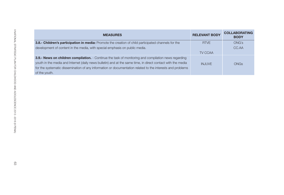| <b>MEASURES</b>                                                                                              | <b>RELEVANT BODY</b> | <b>COLLABORATING</b><br><b>BODY</b> |
|--------------------------------------------------------------------------------------------------------------|----------------------|-------------------------------------|
| 3.8.- Children's participation in media: Promote the creation of child participated channels for the         | <b>RTVE</b>          | <b>ONG's</b>                        |
| development of content in the media, with special emphasis on public media.                                  |                      | CC.AA                               |
|                                                                                                              | TV CCAA              |                                     |
| 3.9.- News on children compilation. - Continue the task of monitoring and compilation news regarding         |                      |                                     |
| youth in the media and Internet (daily news bulletin) and at the same time, in direct contact with the media | <b>INJUVE</b>        | <b>ONGs</b>                         |
| for the systematic dissemination of any information or documentation related to the interests and problems   |                      |                                     |
| of the youth.                                                                                                |                      |                                     |
|                                                                                                              |                      |                                     |
|                                                                                                              |                      |                                     |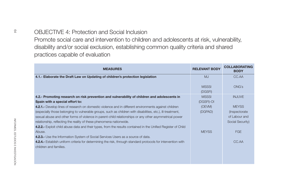| Promote social care and intervention to children and adolescents at risk, vulnerability,<br>disability and/or social exclusion, establishing common quality criteria and shared |                         |                                     |  |
|---------------------------------------------------------------------------------------------------------------------------------------------------------------------------------|-------------------------|-------------------------------------|--|
| practices capable of evaluation                                                                                                                                                 |                         |                                     |  |
| <b>MEASURES</b>                                                                                                                                                                 | <b>RELEVANT BODY</b>    | <b>COLLABORATING</b><br><b>BODY</b> |  |
| 4.1.- Elaborate the Draft Law on Updating of children's protection legislation                                                                                                  | M <sub>u</sub>          | CC.AA                               |  |
|                                                                                                                                                                                 | <b>MSSSI</b><br>(DGSFI) | ONG's                               |  |
| 4.2.- Promoting research on risk prevention and vulnerability of children and adolescents in                                                                                    | <b>MSSSI</b>            | <b>INJUVE</b>                       |  |
| Spain with a special effort to:                                                                                                                                                 | (DGSFI)-OI              |                                     |  |
| 4.2.1.- Develop lines of research on domestic violence and in different environments against children                                                                           | (OEVM)                  | <b>MEYSS</b>                        |  |
| (especially those belonging to vulnerable groups, such as children with disabilities, etc.), ill-treatment,                                                                     | (DGPAD)                 | <i>(Inspectorate)</i>               |  |
| sexual abuse and other forms of violence in parent-child relationships or any other asymmetrical power                                                                          |                         | of Labour and                       |  |
| relationship, reflecting the reality of these phenomena nationwide.                                                                                                             |                         | Social Security)                    |  |
| 4.2.2.- Exploit child abuse data and their types, from the results contained in the Unified Register of Child                                                                   |                         |                                     |  |
| Abuse.                                                                                                                                                                          | <b>MEYSS</b>            | <b>FGE</b>                          |  |
| 4.2.3.- Use the Information System of Social Services Users as a source of data.                                                                                                |                         |                                     |  |
| 4.2.4.- Establish uniform criteria for determining the risk, through standard protocols for intervention with                                                                   |                         | CC.AA                               |  |
| children and families.                                                                                                                                                          |                         |                                     |  |
|                                                                                                                                                                                 |                         |                                     |  |
|                                                                                                                                                                                 |                         |                                     |  |
|                                                                                                                                                                                 |                         |                                     |  |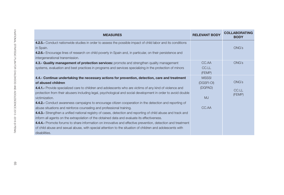| <b>MEASURES</b>                                                                                                                                                                                                                                                                                                                                                                                                                                                                                                                                                                                                                                                                                                                                                                                                                                                                                                                                                                                                  | <b>RELEVANT BODY</b>                                        | <b>COLLABORATING</b><br><b>BODY</b> |
|------------------------------------------------------------------------------------------------------------------------------------------------------------------------------------------------------------------------------------------------------------------------------------------------------------------------------------------------------------------------------------------------------------------------------------------------------------------------------------------------------------------------------------------------------------------------------------------------------------------------------------------------------------------------------------------------------------------------------------------------------------------------------------------------------------------------------------------------------------------------------------------------------------------------------------------------------------------------------------------------------------------|-------------------------------------------------------------|-------------------------------------|
| 4.2.5.- Conduct nationwide studies in order to assess the possible impact of child labor and its conditions<br>in Spain.<br>4.2.6.- Encourage lines of research on child poverty in Spain and, in particular, on their persistence and<br>intergenerational transmission.                                                                                                                                                                                                                                                                                                                                                                                                                                                                                                                                                                                                                                                                                                                                        |                                                             | <b>ONG's</b>                        |
| 4.3.- Quality management of protection services: promote and strengthen quality management<br>systems, evaluation and best practices in programs and services specializing in the protection of minors                                                                                                                                                                                                                                                                                                                                                                                                                                                                                                                                                                                                                                                                                                                                                                                                           | CC.AA<br>CC.LL<br>(FEMP)                                    | <b>ONG's</b>                        |
| 4.4.- Continue undertaking the necessary actions for prevention, detection, care and treatment<br>of abused children<br>4.4.1.- Provide specialized care to children and adolescents who are victims of any kind of violence and<br>protection from their abusers including legal, psychological and social development in order to avoid double<br>victimization.<br>4.4.2.- Conduct awareness campaigns to encourage citizen cooperation in the detection and reporting of<br>abuse situations and reinforce counseling and professional training.<br>4.4.3.- Strengthen a unified national registry of cases, detection and reporting of child abuse and track and<br>inform all agents on the extrapolation of the obtained data and evaluate its effectiveness.<br>4.4.4. Promote forums to share information on innovative and effective prevention, detection and treatment<br>of child abuse and sexual abuse, with special attention to the situation of children and adolescents with<br>disabilities. | <b>MSSSI</b><br>(DGSFI-OI)<br>(DGPAD)<br><b>MJ</b><br>CC.AA | <b>ONG's</b><br>CC.LL<br>(FEMP)     |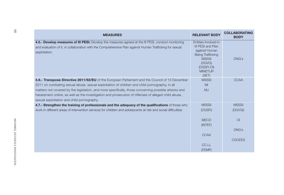|                                            | <b>MEASURES</b>                                                                                                                                                                                                                                                                                                                                                                                                | <b>RELEVANT BODY</b>                                                                                                                                             | <b>COLLABORATING</b><br><b>BODY</b> |
|--------------------------------------------|----------------------------------------------------------------------------------------------------------------------------------------------------------------------------------------------------------------------------------------------------------------------------------------------------------------------------------------------------------------------------------------------------------------|------------------------------------------------------------------------------------------------------------------------------------------------------------------|-------------------------------------|
| exploitation.                              | 4.5.- Develop measures of III PESI: Develop the measures agreed at the III PESI, conduct monitoring<br>and evaluation of it, in collaboration with the Comprehensive Plan against Human Trafficking for sexual                                                                                                                                                                                                 | Entities Involved in<br><b>III PESI and Plan</b><br>against Human<br><b>Being Trafficking</b><br><b>MSSSI</b><br>(DGVG)<br>(DGSFI-OI)<br><b>MINETUR</b><br>(SET) | <b>ONG's</b>                        |
| sexual exploitation and child pornography. | 4.6.- Transpose Directive 2011/92/EU of the European Parliament and the Council of 13 December<br>2011 on combating sexual abuse, sexual exploitation of children and child pornography, in all<br>matters not covered by the legislation, and more specifically, those concerning possible attacks and<br>harassment online, as well as the investigation and prosecution of offenses of alleged child abuse, | <b>MSSSI</b><br>MI<br><b>MJ</b>                                                                                                                                  | CCAA                                |
|                                            | 4.7.- Strengthen the training of professionals and the adequacy of the qualifications of those who<br>work in different areas of intervention services for children and adolescents at risk and social difficulties.                                                                                                                                                                                           | <b>MSSSI</b><br>(DGSFI)                                                                                                                                          | <b>MSSSI</b><br>(DGVGI)             |
|                                            |                                                                                                                                                                                                                                                                                                                                                                                                                | <b>MECD</b><br>(INTEF)                                                                                                                                           | O <sub>l</sub><br><b>ONG's</b>      |
|                                            |                                                                                                                                                                                                                                                                                                                                                                                                                | <b>CCAA</b>                                                                                                                                                      | <b>CGCEES</b>                       |
|                                            |                                                                                                                                                                                                                                                                                                                                                                                                                | CC.LL<br>(FEMP)                                                                                                                                                  |                                     |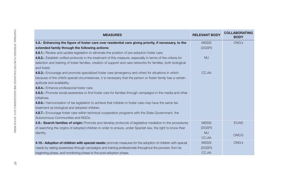| <b>MEASURES</b>                                                                                                | <b>RELEVANT BODY</b> | <b>COLLABORATING</b><br><b>BODY</b> |
|----------------------------------------------------------------------------------------------------------------|----------------------|-------------------------------------|
| 4.8.- Enhancing the figure of foster care over residential care giving priority, if necessary, to the          | <b>MSSSI</b>         | <b>ONG's</b>                        |
| extended family through the following actions:                                                                 | (DGSFI)              |                                     |
| <b>4.8.1.-</b> Review and update legislation to eliminate the position of pre-adoption foster care.            |                      |                                     |
| 4.8.2.- Establish unified protocols in the treatment of this measure, especially in terms of the criteria for  | MJ                   |                                     |
| selection and training of foster families, creation of support and care networks for families, both biological |                      |                                     |
| and foster.                                                                                                    |                      |                                     |
| 4.8.3.- Encourage and promote specialized foster care (emergency and other) for situations in which            | CC.AA                |                                     |
| because of the child's special circumstances, it is necessary that the person or foster family has a certain   |                      |                                     |
| aptitude and availability.                                                                                     |                      |                                     |
| 4.8.4. Enhance professional foster care.                                                                       |                      |                                     |
| 4.8.5.- Promote social awareness to find foster care for families through campaigns in the media and other     |                      |                                     |
| initiatives.                                                                                                   |                      |                                     |
| 4.8.6.- Harmonization of tax legislation to achieve that children in foster care may have the same tax         |                      |                                     |
| treatment as biological and adopted children.                                                                  |                      |                                     |
| 4.8.7.- Encourage foster care within technical cooperation programs with the State Government, the             |                      |                                     |
| Autonomous Communities and NGOs.                                                                               |                      |                                     |
| 4.9.- Search families of origin: Promote and develop protocols of legislative mediation in the procedures      | <b>MSSSI</b>         | <b>ECAIS</b>                        |
| of searching the origins of adopted children in order to ensure, under Spanish law, the right to know their    | (DGSFI)              |                                     |
| identity.                                                                                                      | <b>MJ</b>            | <b>ONG'S</b>                        |
|                                                                                                                | CC.AA                |                                     |
| 4.10.- Adoption of children with special needs: promote measures for the adoption of children with special     | <b>MSSSI</b>         | <b>ONG's</b>                        |
| needs by raising awareness through campaigns and training professionals throughout the process: from its       | (DGSFI)              |                                     |
| beginning phase, and monitoring phase to the post-adoption phase.                                              | CC.AA                |                                     |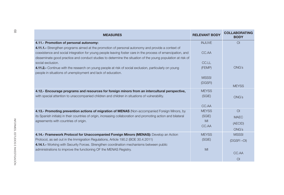| <b>MEASURES</b>                                                                                                                                                                                                                                                                                                                 | <b>RELEVANT BODY</b> | <b>COLLABORATING</b><br><b>BODY</b> |
|---------------------------------------------------------------------------------------------------------------------------------------------------------------------------------------------------------------------------------------------------------------------------------------------------------------------------------|----------------------|-------------------------------------|
| 4.11.- Promotion of personal autonomy:                                                                                                                                                                                                                                                                                          | <b>INJUVE</b>        | $\Omega$                            |
| 4.11.1.- Strengthen programs aimed at the promotion of personal autonomy and provide a context of<br>coexistence and social integration for young people leaving foster care in the process of emancipation, and<br>disseminate good practice and conduct studies to determine the situation of the young population at risk of | CC.AA                |                                     |
| social exclusion.                                                                                                                                                                                                                                                                                                               | CC.LL                |                                     |
| 4.11.2.- Continue with the research on young people at risk of social exclusion, particularly on young<br>people in situations of unemployment and lack of education.                                                                                                                                                           | (FEMP)               | <b>ONG's</b>                        |
|                                                                                                                                                                                                                                                                                                                                 | <b>MSSSI</b>         |                                     |
|                                                                                                                                                                                                                                                                                                                                 | (DGSFI)              | <b>MEYSS</b>                        |
| 4.12.- Encourage programs and resources for foreign minors from an intercultural perspective,                                                                                                                                                                                                                                   | <b>MEYSS</b>         |                                     |
| with special attention to unaccompanied children and children in situations of vulnerability.                                                                                                                                                                                                                                   | (SGIE)               | <b>ONG's</b>                        |
|                                                                                                                                                                                                                                                                                                                                 | CC.AA                |                                     |
| 4.13.- Promoting prevention actions of migration of MENAS (Non-accompanied Foreign Minors, by                                                                                                                                                                                                                                   | <b>MEYSS</b>         | O <sub>l</sub>                      |
| its Spanish initials) in their countries of origin, increasing collaboration and promoting action and bilateral                                                                                                                                                                                                                 | (SGIE)               | <b>MAEC</b>                         |
| agreements with countries of origin.                                                                                                                                                                                                                                                                                            | MI                   | (AECID)                             |
|                                                                                                                                                                                                                                                                                                                                 | CC.AA                | <b>ONG's</b>                        |
| 4.14.- Framework Protocol for Unaccompanied Foreign Minors (MENAS): Develop an Action                                                                                                                                                                                                                                           | <b>MEYSS</b>         | <b>MSSSI</b>                        |
| Protocol, as set out in the Immigration Regulations, Article 190.2 (BOE 30.4.2011)                                                                                                                                                                                                                                              | (SGIE)               | (DGSFI-OI)                          |
| 4.14.1.- Working with Security Forces. Strengthen coordination mechanisms between public                                                                                                                                                                                                                                        |                      |                                     |
| administrations to improve the functioning OF the MENAS Registry.                                                                                                                                                                                                                                                               | MI                   | CC.AA                               |
|                                                                                                                                                                                                                                                                                                                                 |                      | $\overline{O}$                      |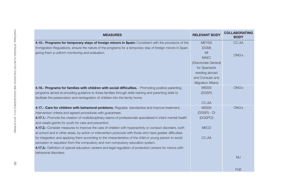| <b>MEASURES</b>                                                                                                                                                                                                        | <b>RELEVANT BODY</b>      | <b>COLLABORATING</b><br><b>BODY</b> |
|------------------------------------------------------------------------------------------------------------------------------------------------------------------------------------------------------------------------|---------------------------|-------------------------------------|
| 4.15.- Programs for temporary stays of foreign minors in Spain: Consistent with the provisions of the                                                                                                                  | <b>MEYSS</b>              | CC.AA                               |
| Immigration Regulations, ensure the nature of the programs for a temporary stay of foreign minors in Spain                                                                                                             | (DGM)                     |                                     |
| giving them a uniform monitoring and evaluation.                                                                                                                                                                       | M <sub>l</sub>            | <b>ONG's</b>                        |
|                                                                                                                                                                                                                        | <b>MAEC</b>               |                                     |
|                                                                                                                                                                                                                        | (Directorate General      |                                     |
|                                                                                                                                                                                                                        | for Spaniards             |                                     |
|                                                                                                                                                                                                                        | residing abroad           |                                     |
|                                                                                                                                                                                                                        | and Consular and          |                                     |
|                                                                                                                                                                                                                        | <b>Migration Affairs)</b> |                                     |
| 4.16.- Programs for families with children with social difficulties. - Promoting positive parenting                                                                                                                    | <b>MSSSI</b>              | <b>ONG's</b>                        |
| programs aimed at providing guidance to these families through skills training and parenting skills to                                                                                                                 | (DGSFI)                   |                                     |
| facilitate the preservation and reintegration of children into the family home.                                                                                                                                        |                           |                                     |
|                                                                                                                                                                                                                        | CC.AA                     |                                     |
| 4.17.- Care for children with behavioral problems. Regulate, standardize and improve treatment,                                                                                                                        | <b>MSSSI</b>              | <b>ONG's</b>                        |
| intervention criteria and agreed procedures with guarantees.                                                                                                                                                           | (DGSFI) - OI              |                                     |
| 4.17.1.- Promote the creation of multidisciplinary teams of professionals specialized in infant mental health<br>and create grants for youth for care and prevention.                                                  | (DGSPCI)                  |                                     |
| 4.17.2.- Consider measures to improve the care of children with hyperactivity or conduct disorders, both<br>at school and in other areas, by action or intervention protocols with those who have greater difficulties | <b>MECD</b>               |                                     |
| for integration and applying them according to the characteristics of the child or young person to avoid                                                                                                               | CC.AA                     |                                     |
| exclusion or expulsion from the compulsory and non-compulsory education system.                                                                                                                                        |                           |                                     |
| 4.17.3.- Definition of special education centers and legal regulation of protection centers for minors with                                                                                                            |                           |                                     |
| behavioral disorders.                                                                                                                                                                                                  |                           |                                     |
|                                                                                                                                                                                                                        |                           | <b>MJ</b>                           |
|                                                                                                                                                                                                                        |                           | <b>FGE</b>                          |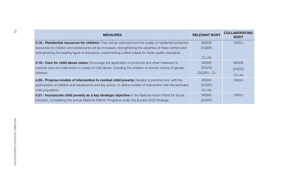| <b>MSSSI</b><br>4.18.- Residential resources for children: They will be optimized and the quality of residential protection<br>resources for children and adolescents will be increased, strengthening the expertise of these centers and<br>(DGSFI)<br>strengthening the leading figure of educators, implementing unified criteria for these quality standards.<br>CC.AA<br>4.19.- Care for child abuse cases: Encourage the application of protocols and other measures to<br><b>MSSSI</b><br>improve care and intervention in cases of child abuse, including the children of women victims of gender<br>(DGVG) | <b>ONG's</b><br><b>MSSSI</b> |
|---------------------------------------------------------------------------------------------------------------------------------------------------------------------------------------------------------------------------------------------------------------------------------------------------------------------------------------------------------------------------------------------------------------------------------------------------------------------------------------------------------------------------------------------------------------------------------------------------------------------|------------------------------|
|                                                                                                                                                                                                                                                                                                                                                                                                                                                                                                                                                                                                                     |                              |
|                                                                                                                                                                                                                                                                                                                                                                                                                                                                                                                                                                                                                     |                              |
|                                                                                                                                                                                                                                                                                                                                                                                                                                                                                                                                                                                                                     |                              |
|                                                                                                                                                                                                                                                                                                                                                                                                                                                                                                                                                                                                                     |                              |
|                                                                                                                                                                                                                                                                                                                                                                                                                                                                                                                                                                                                                     | (OVDG)                       |
| (DGSFI) - OI<br>violence.                                                                                                                                                                                                                                                                                                                                                                                                                                                                                                                                                                                           | CC.AA                        |
| 4.20.- Propose models of intervention to combat child poverty: Develop a practical tool, with the<br><b>MSSSI</b>                                                                                                                                                                                                                                                                                                                                                                                                                                                                                                   | <b>ONG's</b>                 |
| participation of children and adolescents and key actors, to define models of intervention with the excluded<br>(DGSFI)                                                                                                                                                                                                                                                                                                                                                                                                                                                                                             |                              |
| CC.AA<br>child population.                                                                                                                                                                                                                                                                                                                                                                                                                                                                                                                                                                                          |                              |
| 4.21.- Incorporate child poverty as a key strategic objective in the National Action Plans for Social<br><b>MSSSI</b>                                                                                                                                                                                                                                                                                                                                                                                                                                                                                               | <b>ONG's</b>                 |
| Inclusion, considering the annual National Reform Programs under the Europe 2020 Strategy.<br>(DGSFI)                                                                                                                                                                                                                                                                                                                                                                                                                                                                                                               |                              |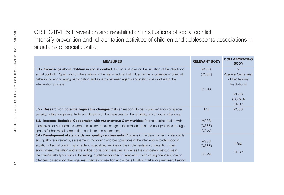| situations of social conflict                                                                                    |                      | Intensify prevention and rehabilitation activities of children and adolescents associations in |
|------------------------------------------------------------------------------------------------------------------|----------------------|------------------------------------------------------------------------------------------------|
| <b>MEASURES</b>                                                                                                  | <b>RELEVANT BODY</b> | <b>COLLABORATING</b><br><b>BODY</b>                                                            |
| 5.1.- Knowledge about children in social conflict: Promote studies on the situation of the childhood             | <b>MSSSI</b>         | MI                                                                                             |
| social conflict in Spain and on the analysis of the many factors that influence the occurrence of criminal       | (DGSFI)              | (General Secretariat                                                                           |
| behavior by encouraging participation and synergy between agents and institutions involved in the                |                      | of Penitentiary                                                                                |
| intervention process.                                                                                            |                      | Institutions)                                                                                  |
|                                                                                                                  | CC.AA                |                                                                                                |
|                                                                                                                  |                      | <b>MSSSI</b>                                                                                   |
|                                                                                                                  |                      | (DGPAD)                                                                                        |
|                                                                                                                  |                      | <b>ONG's</b>                                                                                   |
| 5.2.- Research on potential legislative changes that can respond to particular behaviors of special              | <b>MJ</b>            | <b>MSSSI</b>                                                                                   |
| severity, with enough amplitude and duration of the measures for the rehabilitation of young offenders.          |                      |                                                                                                |
| 5.3.- Increase Technical Cooperation with Autonomous Communities: Promote collaboration with                     | <b>MSSSI</b>         |                                                                                                |
| technicians of Autonomous Communities for the exchange of information, data and best practices through           | (DGSFI)              |                                                                                                |
| spaces for horizontal cooperation, seminars and conferences.                                                     | CC.AA                |                                                                                                |
| 5.4.- Development of standards and quality requirements: Progress in the development of standards                |                      |                                                                                                |
| and quality requirements, assessment, monitoring and best practices in the intervention to childhood in          | <b>MSSSI</b>         |                                                                                                |
| situation of social conflict, applicable to specialized services in the implementation of detention, open        | (DGSFI)              | <b>FGE</b>                                                                                     |
| environment, mediation and extra-judicial correction measures as well as the competent institutions in           |                      | <b>ONG's</b>                                                                                   |
| the criminal liability for minors, by setting guidelines for specific intervention with young offenders, foreign | CC.AA                |                                                                                                |
| offenders based upon their age, real chances of insertion and access to labor market or preliminary training.    |                      |                                                                                                |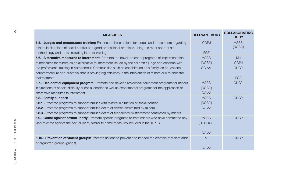| <b>MEASURES</b>                                                                                                                                | <b>RELEVANT BODY</b> | <b>COLLABORATING</b><br><b>BODY</b> |
|------------------------------------------------------------------------------------------------------------------------------------------------|----------------------|-------------------------------------|
| 5.5.- Judges and prosecutors training: Enhance training actions for judges and prosecutors regarding                                           | <b>CGPJ</b>          | <b>MSSSI</b>                        |
| minors in situations of social conflict and good professional practices, using the most appropriate                                            |                      | (DGSFI)                             |
| methodology and tools, including Internet training.                                                                                            | FGE                  |                                     |
| 5.6.- Alternative measures to internment: Promote the development of programs of implementation                                                | <b>MSSSI</b>         | MJ                                  |
| of measures for minors as an alternative to internment issued by the children's judge and continue with                                        | (DGSFI)              | <b>CGPJ</b>                         |
| the professional training in Autonomous Communities such as cohabitation as a family, an educational                                           | CC.AA.               | <b>ONG's</b>                        |
| countermeasure non-custodial that is proving big efficiency in the intervention of minors due to ancestor                                      |                      |                                     |
| maltreatment.                                                                                                                                  |                      | <b>FGE</b>                          |
| 5.7.- Residential equipment program: Promote and develop residential equipment programs for minors                                             | <b>MSSSI</b>         | <b>ONG's</b>                        |
| in situations of special difficulty or social conflict as well as experimental programs for the application of                                 | (DGSFI)              |                                     |
| alternative measures to internment.                                                                                                            | CC.AA                |                                     |
| 5.8.- Family support:                                                                                                                          | <b>MSSSI</b>         | <b>ONG's</b>                        |
| <b>5.8.1.-</b> Promote programs to support families with minors in situation of social conflict.                                               | (DGSFI)              |                                     |
| <b>5.8.2.-</b> Promote programs to support families victim of crimes committed by minors.                                                      | CC.AA                |                                     |
| <b>5.8.3.-</b> Promote programs to support families victim of filioparental mistreatment committed by minors.                                  |                      |                                     |
| 5.9.- Crime against sexual liberty: Promote specific programs to treat minors who have committed any                                           | <b>MSSSI</b>         | <b>ONG's</b>                        |
| kind of crime against the sexual liberty similar to some measures included in the III PESI.                                                    | (DGSFI)-OI           |                                     |
|                                                                                                                                                | CC.AA                |                                     |
| <b>5.10.- Prevention of violent groups:</b> Promote actions to prevent and impede the creation of violent and/<br>or organized groups (gangs). | MI                   | <b>ONG's</b>                        |
|                                                                                                                                                | CC.AA                |                                     |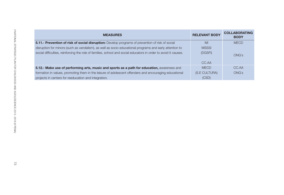| <b>MEASURES</b>                                                                                                 | <b>RELEVANT BODY</b> | <b>COLLABORATING</b><br><b>BODY</b> |
|-----------------------------------------------------------------------------------------------------------------|----------------------|-------------------------------------|
| 5.11.- Prevention of risk of social disruption: Develop programs of prevention of risk of social                | MI                   | <b>MECD</b>                         |
| disruption for minors (such as vandalism), as well as socio educational programs and early attention to         | <b>MSSSI</b>         |                                     |
| social difficulties, reinforcing the role of families, school and social educators in order to avoid it causes. | (DGSFI)              | <b>ONG's</b>                        |
|                                                                                                                 | CC.AA                |                                     |
| 5.12.- Make use of performing arts, music and sports as a path for education, awareness and                     | <b>MECD</b>          | CC.AA                               |
| formation in values, promoting them in the leisure of adolescent offenders and encouraging educational          | (S.E CULTURA)        | <b>ONG's</b>                        |
| projects in centers for reeducation and integration.                                                            | (CSD)                |                                     |
|                                                                                                                 |                      |                                     |
|                                                                                                                 |                      |                                     |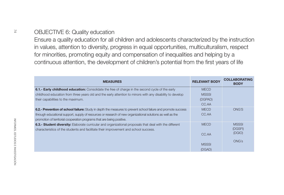| Ensure a quality education for all children and adolescents characterized by the instruction<br>in values, attention to diversity, progress in equal opportunities, multiculturalism, respect<br>for minorities, promoting equity and compensation of inequalities and helping by a<br>continuous attention, the development of children's potential from the first years of life |                      |                                     |
|-----------------------------------------------------------------------------------------------------------------------------------------------------------------------------------------------------------------------------------------------------------------------------------------------------------------------------------------------------------------------------------|----------------------|-------------------------------------|
| <b>MEASURES</b>                                                                                                                                                                                                                                                                                                                                                                   | <b>RELEVANT BODY</b> | <b>COLLABORATING</b><br><b>BODY</b> |
| 6.1.- Early childhood education: Consolidate the free of charge in the second cycle of the early                                                                                                                                                                                                                                                                                  | <b>MECD</b>          |                                     |
| childhood education from three years old and the early attention to minors with any disability to develop                                                                                                                                                                                                                                                                         | <b>MSSSI</b>         |                                     |
| their capabilities to the maximum.                                                                                                                                                                                                                                                                                                                                                | (DGPAD)              |                                     |
|                                                                                                                                                                                                                                                                                                                                                                                   | CC.AA                |                                     |
| 6.2.- Prevention of school failure: Study in depth the measures to prevent school failure and promote success                                                                                                                                                                                                                                                                     | <b>MECD</b>          | <b>ONG'S</b>                        |
| through educational support, supply of resources or research of new organizational solutions as well as the<br>promotion of territorial cooperation programs that are being positive.                                                                                                                                                                                             | CC.AA                |                                     |
| 6.3.- Student diversity: Elaborate curricular and organizational proposals that deal with the different<br>characteristics of the students and facilitate their improvement and school success.                                                                                                                                                                                   | <b>MECD</b>          | <b>MSSSI</b><br>(DGSFI)             |
|                                                                                                                                                                                                                                                                                                                                                                                   | CC.AA                | (DGIO)                              |
|                                                                                                                                                                                                                                                                                                                                                                                   | <b>MSSSI</b>         | <b>ONG's</b>                        |
|                                                                                                                                                                                                                                                                                                                                                                                   |                      |                                     |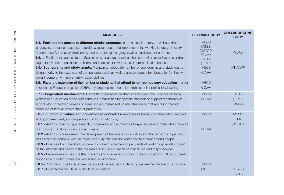| <b>MEASURES</b>                                                                                                                                                                                                                                                                                                                                                                                                                                                                                                                                                                                                                                                         | <b>RELEVANT BODY</b>                                               | <b>COLLABORATING</b><br><b>BODY</b> |
|-------------------------------------------------------------------------------------------------------------------------------------------------------------------------------------------------------------------------------------------------------------------------------------------------------------------------------------------------------------------------------------------------------------------------------------------------------------------------------------------------------------------------------------------------------------------------------------------------------------------------------------------------------------------------|--------------------------------------------------------------------|-------------------------------------|
| 6.4.- Facilitate the access to different official languages in the national territory, as well as other<br>languages, allocating resources to avoid exclusion due to the ignorance of the working language in every<br>Autonomous Community. Additionally, access to foreign languages will be facilitated for children.<br><b>6.4.1.-</b> Facilitate the access to the Spanish sing language as well as the use of Alternative Systems and/or<br>augmentative communication to children and adolescents with special communication needs.                                                                                                                              | <b>MECD</b><br><b>MSSSI</b><br>(DGPAD)<br>CC.AA<br>CC.LL<br>(FEMP) | <b>ONG's</b>                        |
| 6.5.- Sponsorship and study grants: Maintain an adequate number of sponsorship and study grants<br>giving priority to the extension of compensatory aids as well as aids to acquire text books for families with<br>lower income or with more family responsibilities.                                                                                                                                                                                                                                                                                                                                                                                                  | <b>MECD</b><br>CC.AA                                               | <b>MHAAPP</b>                       |
| 6.6.- Favor the extension of the number of students that attend to non-compulsory education in order<br>to reach the European objective of 85% of young people to complete high school or professional training.                                                                                                                                                                                                                                                                                                                                                                                                                                                        | <b>MECD</b><br>CC.AA                                               |                                     |
| 6.7.- Cooperation mechanisms: Establish cooperation mechanisms between the Councils of Social<br>Welfare and Education of the Autonomous Communities for specific attention or support for children in<br>school who come from families or areas socially depressed, in risk situation or that are going through<br>measures of familiar intervention or protection.                                                                                                                                                                                                                                                                                                    | <b>MECD</b><br>CC.AA                                               | CC.LL<br>(FEMP)<br><b>ONG's</b>     |
| 6.8.- Education of values and prevention of conflict: Promote values based on cohabitation, respect<br>and good treatment, avoiding school conflict situations by:<br>6.8.1.- Actions to encourage research, cooperation and exchange of experiences and materials in the area                                                                                                                                                                                                                                                                                                                                                                                          | <b>MECD</b>                                                        | <b>MSSSI</b><br>(IM)<br>(DGPAD)     |
| of improving cohabitation and social climate.<br><b>6.8.2.-</b> Actions to complement the development of the education in values and human rights in primary<br>and secondary schools, with an impact in equity relationships and good treatment among people.<br>6.8.3.- Initiatives from the faculty in order to prevent violence and proposals of relationship models based<br>on the interests and needs of the children and in the education of their duties and responsibilities.<br><b>6.8.5.-</b> Promote every measure that prevents and intervenes in school bullying situations making students<br>responsible in order to create a nice school environment. | CC.AA                                                              |                                     |
| <b>6.8.6.-</b> Promote actions to recognize the figure of the teacher in order to guarantee the practice of its function.<br>6.8.7.- Educate the faculty in multicultural education.                                                                                                                                                                                                                                                                                                                                                                                                                                                                                    | <b>MECD</b><br>(INTEF)                                             | <b>MEYSS</b><br>(SGIE)              |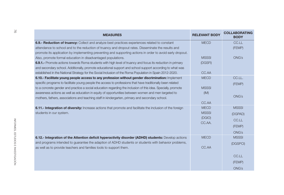| <b>MEASURES</b>                                                                                                                                                                                             | <b>RELEVANT BODY</b> | <b>COLLABORATING</b><br><b>BODY</b> |
|-------------------------------------------------------------------------------------------------------------------------------------------------------------------------------------------------------------|----------------------|-------------------------------------|
| 6.9.- Reduction of truancy: Collect and analyze best practices experiences related to constant                                                                                                              | <b>MECD</b>          | CC.LL                               |
| attendance to school and to the reduction of truancy and dropout rates. Disseminate the results and                                                                                                         |                      | (FEMP)                              |
| promote its application by implementing preventing and supporting actions in order to avoid early dropout.                                                                                                  |                      |                                     |
| Also, promote formal education in disadvantaged populations.                                                                                                                                                | <b>MSSSI</b>         | ONG's                               |
| 6.9.1.- Promote actions towards Roma students with high level of truancy and focus its reduction in primary                                                                                                 | (DGSFI)              |                                     |
| and secondary school. Additionally, promote educational support and school support according to what was                                                                                                    |                      |                                     |
| established in the National Strategy for the Social Inclusion of the Roma Population in Spain 2012-2020.                                                                                                    | CC.AA                |                                     |
| 6.10.- Facilitate young people access to any profession without gender discrimination: Implement                                                                                                            | <b>MECD</b>          | CC.LL.                              |
| specific programs to facilitate young people the access to professions that have traditionally been related                                                                                                 |                      | (FEMP)                              |
| to a concrete gender and practice a social education regarding the inclusion of this idea. Specially, promote                                                                                               | <b>MSSSI</b>         |                                     |
| awareness actions as well as education in equity of opportunities between women and men targeted to                                                                                                         | (IM)                 |                                     |
| mothers, fathers, associations and teaching staff in kindergarten, primary and secondary school.                                                                                                            |                      | ONG's                               |
|                                                                                                                                                                                                             | CC.AA                |                                     |
| 6.11.- Integration of diversity: Increase actions that promote and facilitate the inclusion of the foreign                                                                                                  | <b>MECD</b>          | <b>MSSSI</b>                        |
| students in our system.                                                                                                                                                                                     | <b>MSSSI</b>         | (DGPAD)                             |
|                                                                                                                                                                                                             | (DGIO)               | CC.LL                               |
|                                                                                                                                                                                                             | CC.AA.               | (FEMP)                              |
|                                                                                                                                                                                                             |                      |                                     |
|                                                                                                                                                                                                             | <b>MECD</b>          | <b>ONG's</b><br><b>MSSSI</b>        |
| 6.12.- Integration of the Attention deficit hyperactivity disorder (ADHD) students: Develop actions<br>and programs intended to guarantee the adaption of ADHD students or students with behavior problems, |                      |                                     |
| as well as to provide teachers and families tools to support them.                                                                                                                                          | CC.AA                | (DGSPCI)                            |
|                                                                                                                                                                                                             |                      |                                     |
|                                                                                                                                                                                                             |                      | CC.LL                               |
|                                                                                                                                                                                                             |                      | (FEMP)                              |
|                                                                                                                                                                                                             |                      | ONG's                               |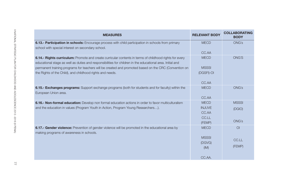| <b>MEASURES</b>                                                                                                                                                                                                       | <b>RELEVANT BODY</b> | <b>COLLABORATING</b><br><b>BODY</b> |
|-----------------------------------------------------------------------------------------------------------------------------------------------------------------------------------------------------------------------|----------------------|-------------------------------------|
| 6.13.- Participation in schools: Encourage process with child participation in schools from primary<br>school with special interest on secondary school.                                                              | <b>MECD</b>          | ONG's                               |
|                                                                                                                                                                                                                       | CC.AA                |                                     |
| 6.14.- Rights curriculum: Promote and create curricular contents in terms of childhood rights for every<br>educational stage as well as duties and responsibilities for children in the educational area. Initial and | <b>MECD</b>          | <b>ONG'S</b>                        |
| permanent training programs for teachers will be created and promoted based on the CRC (Convention on                                                                                                                 | <b>MSSSI</b>         |                                     |
| the Rights of the Child), and childhood rights and needs.                                                                                                                                                             | (DGSFI)-OI           |                                     |
|                                                                                                                                                                                                                       | CC.AA                |                                     |
| 6.15.- Exchanges programs: Support exchange programs (both for students and for faculty) within the<br>European Union area.                                                                                           | <b>MECD</b>          | <b>ONG's</b>                        |
|                                                                                                                                                                                                                       | CC.AA                |                                     |
| 6.16.- Non-formal education: Develop non formal education actions in order to favor multiculturalism                                                                                                                  | <b>MECD</b>          | <b>MSSSI</b>                        |
| and the education in values (Program Youth in Action, Program Young Researchers).                                                                                                                                     | <b>INJUVE</b>        | (DGIO)                              |
|                                                                                                                                                                                                                       | CC.AA                |                                     |
|                                                                                                                                                                                                                       | CC.LL                |                                     |
|                                                                                                                                                                                                                       | (FEMP)               | <b>ONG's</b>                        |
| 6.17.- Gender violence: Prevention of gender violence will be promoted in the educational area by<br>making programs of awareness in schools.                                                                         | <b>MECD</b>          | $\overline{O}$                      |
|                                                                                                                                                                                                                       | <b>MSSSI</b>         | CC.LL                               |
|                                                                                                                                                                                                                       | (DGVG)               |                                     |
|                                                                                                                                                                                                                       | (IM)                 | (FEMP)                              |
|                                                                                                                                                                                                                       | CC.AA.               |                                     |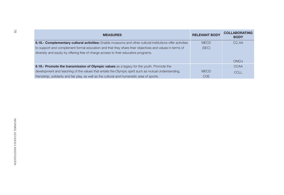| <b>MEASURES</b>                                                                                           | <b>RELEVANT BODY</b> | <b>COLLABORATING</b><br><b>BODY</b> |
|-----------------------------------------------------------------------------------------------------------|----------------------|-------------------------------------|
| 6.18.- Complementary cultural activities: Enable museums and other cultural institutions offer activities | <b>MECD</b>          | CC.AA                               |
| to support and complement formal education and that they share their objectives and values in terms of    | (SEC)                |                                     |
| diversity and equity by offering free of charge access to their educative programs.                       |                      |                                     |
|                                                                                                           |                      | <b>ONG's</b>                        |
| 6.19.- Promote the transmission of Olympic values as a legacy for the youth. Promote the                  |                      | <b>CCAA</b>                         |
| development and teaching of the values that entails the Olympic spirit such as mutual understanding,      | <b>MECD</b>          | <b>CCLL</b>                         |
| friendship, solidarity and fair play, as well as the cultural and humanistic area of sports.              | COE                  |                                     |
|                                                                                                           |                      |                                     |
|                                                                                                           |                      |                                     |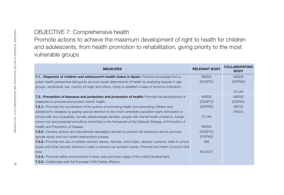| Promote actions to achieve the maximum development of right to health for children<br>and adolescents, from health promotion to rehabilitation, giving priority to the most |                      |                                     |
|-----------------------------------------------------------------------------------------------------------------------------------------------------------------------------|----------------------|-------------------------------------|
| vulnerable groups                                                                                                                                                           |                      |                                     |
| <b>MEASURES</b>                                                                                                                                                             | <b>RELEVANT BODY</b> | <b>COLLABORATING</b><br><b>BODY</b> |
| 7.1.- Diagnosis of children and adolescent's health status in Spain: Promote knowledge from a                                                                               | <b>MSSSI</b>         | <b>MSSSI</b>                        |
| public health perspective taking into account social determinants of health by analyzing inequity in age                                                                    | (DGSPCI)             | (DGPND)                             |
| groups, social level, sex, country of origin and others, trying to establish a base of common indicators.                                                                   |                      |                                     |
|                                                                                                                                                                             |                      | CC.AA                               |
| 7.2.- Prevention of diseases and protection and promotion of health: Promote the development of                                                                             | <b>MSSSI</b>         | <b>MSSSI</b>                        |
| measures to promote and protect minors' health.                                                                                                                             | (DGSPCI)             | (DGPAD)                             |
| <b>7.2.1.-</b> Promote the coordination of the actions of promoting health and preventing children and                                                                      | (DGPND)              | <b>MECD</b>                         |
| adolescent's diseases by paying special attention to the most vulnerable population (early stimulation in                                                                   |                      | <b>ONG'S</b>                        |
| minors with any incapability, socially disadvantages families, people with mental health problems, foreign                                                                  | CC.AA                |                                     |
| minors not accompanied and ethnic minorities) in the framework of the National Strategy of Promotion of                                                                     |                      |                                     |
| Health and Prevention of Disease.                                                                                                                                           | <b>MSSSI</b>         |                                     |
| <b>7.2.2.-</b> Develop actions and educational campaigns directed to prevent risk behaviors and to promote                                                                  | (DGSPCI)             |                                     |
| gender equity and non-violent relationships instead.                                                                                                                        | (DGPND)              |                                     |
| 7.2.3.- Promote the use of children restraint device, helmets, child chairs, elevator cushions, belts in school                                                             | (IM)                 |                                     |
| buses and other security devices in order to prevent car accident injures. Promote the Health Council in this                                                               |                      |                                     |
| area.                                                                                                                                                                       | MI (DGT)             |                                     |
| <b>7.2.4.-</b> Promote safety environments in every area and every stage of the child's development.                                                                        |                      |                                     |
| 7.2.5.- Collaborate with the European Child Safety Alliance.                                                                                                                |                      |                                     |
|                                                                                                                                                                             |                      |                                     |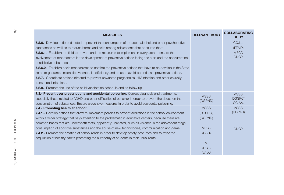| <b>MEASURES</b>                                                                                               | <b>RELEVANT BODY</b> | <b>COLLABORATING</b><br><b>BODY</b> |
|---------------------------------------------------------------------------------------------------------------|----------------------|-------------------------------------|
| <b>7.2.6.-</b> Develop actions directed to prevent the consumption of tobacco, alcohol and other psychoactive |                      | CC.LL.                              |
| substances as well as to reduce harms and risks among adolescents that consume them.                          |                      | (FEMP)                              |
| <b>7.2.6.1.-</b> Establish the field to prevent and the measures to implement in every area to ensure the     |                      | <b>MECD</b>                         |
| involvement of other factors in the development of preventive actions facing the start and the consumption    |                      | ONG's                               |
| of addictive substances.                                                                                      |                      |                                     |
| 7.2.6.2.- Establish basic mechanisms to confirm the preventive actions that have to be develop in the State   |                      |                                     |
| so as to quarantee scientific evidence, its efficiency and so as to avoid potential antipreventive actions.   |                      |                                     |
| 7.2.7.- Coordinate actions directed to prevent unwanted pregnancies, HIV infection and other sexually         |                      |                                     |
| transmitted infections.                                                                                       |                      |                                     |
| <b>7.2.8.-</b> Promote the use of the child vaccination schedule and its follow up.                           |                      |                                     |
| 7.3.- Prevent over prescriptions and accidental poisoning. Correct diagnosis and treatments,                  | <b>MSSSI</b>         | <b>MSSSI</b>                        |
| especially those related to ADHD and other difficulties of behavior in order to prevent the abuse on the      | (DGPND)              | (DGSPCI)                            |
| consumption of substances. Ensure preventive measures in order to avoid accidental poisoning.                 |                      | CC.AA.                              |
| 7.4.- Promoting health at school:                                                                             | <b>MSSSI</b>         | <b>MSSSI</b>                        |
| 7.4.1.- Develop actions that allow to implement policies to prevent addictions in the school environment      | (DGSPCI)             | (DGPAD)                             |
| within a wider strategy that pays attention to the problematic in educative centers, because there are        | (DGPND)              |                                     |
| common bases that are underneath facts, apparently unrelated, such as violence in the adolescent stage,       |                      |                                     |
| consumption of addictive substances and the abuse of new technologies, communication and game.                | <b>MECD</b>          | <b>ONG's</b>                        |
| 7.4.2.- Promote the creation of school roads in order to develop safety costumes and to favor the             | (CSD)                |                                     |
| acquisition of healthy habits promoting the autonomy of students in their usual route.                        |                      |                                     |
|                                                                                                               | M <sub>l</sub>       |                                     |
|                                                                                                               | (DGT)                |                                     |
|                                                                                                               | CC.AA                |                                     |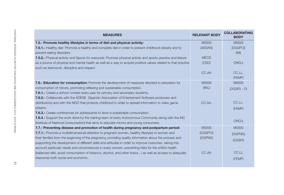| <b>MEASURES</b>                                                                                                     | <b>RELEVANT BODY</b> | <b>COLLABORATING</b><br><b>BODY</b> |
|---------------------------------------------------------------------------------------------------------------------|----------------------|-------------------------------------|
| 7.5.- Promote healthy lifestyles in terms of diet and physical activity:                                            | <b>MSSSI</b>         | <b>MSSSI</b>                        |
| 7.5.1.- Healthy diet: Promote a healthy and complete diet in order to prevent childhood obesity and to              | (AESAN)              | (DGSPCI)                            |
| prevent eating disorders.                                                                                           |                      | (IM)                                |
| <b>7.5.2.-</b> Physical activity and Sports for everyone: Promote physical activity and sports practice and leisure | <b>MECD</b>          |                                     |
| as a source of physical and mental health as well as a way to acquire positive values related to that practice      | (CSD)                | ONG's                               |
| such as teamwork, discipline and respect.                                                                           |                      |                                     |
|                                                                                                                     | CC.AA                | CC.LL.                              |
|                                                                                                                     |                      | (FEMP)                              |
| 7.6.- Education for consumption: Promote the development of measures directed to education for                      | <b>MSSSI</b>         | <b>MSSSI</b>                        |
| consumption of minors, promoting reflexing and sustainable consumption.                                             | (INC)                | (DGSFI) - OI                        |
| 7.6.1.- Create a school context every year for primary and secondary students.                                      |                      |                                     |
| <b>7.6.2.-</b> Collaborate with the ADESE (Spanish Association of Entertaiment Software producers and               |                      |                                     |
| distributors) and with the NGO that protects childhood in order to spread information to video game                 | CC.AA.               | CC.LL.                              |
| players.                                                                                                            |                      | (FEMP)                              |
| <b>7.6.3.-</b> Create conferences for adolescents to favor a sustainable consumption.                               |                      |                                     |
| <b>7.6.4.-</b> Support the work done by the training team of every Autonomous Community along with the INC          |                      | <b>ONG's</b>                        |
| (Institute of National Consumption) that aims to educate minors and young consumers.                                |                      |                                     |
| 7.7.- Preventing disease and promotion of health during pregnancy and postpartum period:                            | <b>MSSSI</b>         | <b>MSSSI</b>                        |
| 7.7.1.- Promote a multidimensional attention to pregnant women, healthy lifestyles in women and                     | (DGSPCI)             | (DGPND)                             |
| their families from the beginning of the pregnancy, providing quality information about the process and             | (DGPND)              | (DGSFI)                             |
| supporting the development of different skills and attitudes in order to improve costumes, taking into              |                      |                                     |
| account particular needs and circumstances in every women, preventing risks for the child's health                  |                      |                                     |
| (balanced diet, avoid consumption of tobacco, alcohol, and other toxics) as well as access to adequate              | CC.AA                | CC.LL                               |
| resources both social and economic.                                                                                 |                      | (FEMP)                              |
|                                                                                                                     |                      |                                     |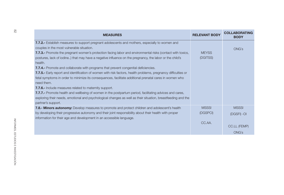| 7.7.2.- Establish measures to support pregnant adolescents and mothers, especially to women and<br>couples in the most vulnerable situation.<br><b>ONG's</b><br><b>MEYSS</b><br><b>7.7.3.-</b> Promote the pregnant women's protection facing labor and environmental risks (contact with toxics,<br>(DGITSS)<br>postures, lack of iodine) that may have a negative influence on the pregnancy, the labor or the child's<br>health.<br><b>7.7.4.-</b> Promote and collaborate with programs that prevent congenital deficiencies.<br>7.7.5.- Early report and identification of women with risk factors, health problems, pregnancy difficulties or<br>fetal symptoms in order to minimize its consequences, facilitate additional prenatal cares in women who<br>need them.<br>7.7.6.- Include measures related to maternity support.<br><b>7.7.7.-</b> Promote health and wellbeing of women in the postpartum period, facilitating advices and cares,<br>exploring their needs, emotional and psychological changes as well as their situation, breastfeeding and the<br>partner's support.<br><b>MSSSI</b><br><b>MSSSI</b><br>7.8.- Minors autonomy: Develop measures to promote and protect children and adolescent's health<br>by developing their progressive autonomy and their joint responsibility about their health with proper<br>(DGSPCI)<br>(DGSFI) -OI<br>information for their age and development in an accessible language. | <b>MEASURES</b> | <b>RELEVANT BODY</b> | <b>COLLABORATING</b><br><b>BODY</b> |
|------------------------------------------------------------------------------------------------------------------------------------------------------------------------------------------------------------------------------------------------------------------------------------------------------------------------------------------------------------------------------------------------------------------------------------------------------------------------------------------------------------------------------------------------------------------------------------------------------------------------------------------------------------------------------------------------------------------------------------------------------------------------------------------------------------------------------------------------------------------------------------------------------------------------------------------------------------------------------------------------------------------------------------------------------------------------------------------------------------------------------------------------------------------------------------------------------------------------------------------------------------------------------------------------------------------------------------------------------------------------------------------------------------------------------------------------|-----------------|----------------------|-------------------------------------|
|                                                                                                                                                                                                                                                                                                                                                                                                                                                                                                                                                                                                                                                                                                                                                                                                                                                                                                                                                                                                                                                                                                                                                                                                                                                                                                                                                                                                                                                |                 |                      |                                     |
| CC.AA.<br><b>ONG's</b>                                                                                                                                                                                                                                                                                                                                                                                                                                                                                                                                                                                                                                                                                                                                                                                                                                                                                                                                                                                                                                                                                                                                                                                                                                                                                                                                                                                                                         |                 |                      | <b>CC.LL (FEMP)</b>                 |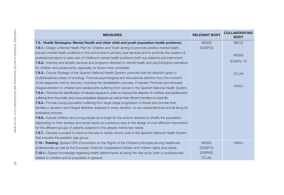| <b>MECD</b>  |
|--------------|
|              |
| <b>MSSSI</b> |
|              |
| (DGSFI) -OI  |
|              |
| CC.AA        |
|              |
|              |
| ONG's        |
|              |
|              |
|              |
|              |
|              |
|              |
|              |
|              |
|              |
|              |
| <b>ONG's</b> |
|              |
|              |
|              |
|              |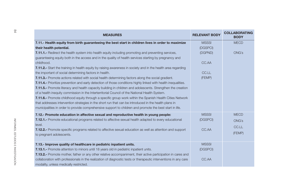| <b>MEASURES</b>                                                                                                  | <b>RELEVANT BODY</b> | <b>COLLABORATING</b><br><b>BODY</b> |
|------------------------------------------------------------------------------------------------------------------|----------------------|-------------------------------------|
| 7.11.- Health equity from birth guaranteeing the best start in children lives in order to maximize               | <b>MSSSI</b>         | <b>MECD</b>                         |
| their health potential.                                                                                          | (DGSPCI)             |                                     |
| <b>7.11.1.-</b> Redirect the health system into health equity including promoting and preventing services,       | (DGPND)              | <b>ONG's</b>                        |
| guaranteeing equity both in the access and in the quality of health services starting by pregnancy and           |                      |                                     |
| childhood.                                                                                                       | CC.AA                |                                     |
| 7.11.2.- Start the training in health equity by raising awareness in society and in the health area regarding    |                      |                                     |
| the important of social determining factors in health.                                                           | CC.LL                |                                     |
| <b>7.11.3.-</b> Promote actions related with social health determining factors along the social gradient.        | (FEMP)               |                                     |
| 7.11.4.- Prioritize prevention and early detection of those conditions highly linked with health inequalities.   |                      |                                     |
| 7.11.5.- Promote literacy and health capacity building in children and adolescents. Strengthen the creation      |                      |                                     |
| of a health inequity commission in the Interterritorial Council of the National Health System.                   |                      |                                     |
| 7.11.6.- Promote childhood equity through a specific group work within the Spanish Health Cities Network         |                      |                                     |
| that addresses intervention strategies in the short run that can be introduced in the health plans in            |                      |                                     |
| municipalities in order to provide comprehensive support to children and promote the best start in life.         |                      |                                     |
| 7.12.- Promote education in affective sexual and reproductive health in young people:                            | <b>MSSSI</b>         | <b>MECD</b>                         |
| 7.12.1.- Promote educational programs related to affective sexual health adapted to every educational            | (DGSPCI)             | <b>ONG's</b>                        |
| level.                                                                                                           |                      | CC.LL                               |
| 7.12.2.- Promote specific programs related to affective sexual education as well as attention and support        | CC.AA                |                                     |
| to pregnant adolescents.                                                                                         |                      | (FEMP)                              |
| 7.13.- Improve quality of healthcare in pediatric inpatient units.                                               | <b>MSSSI</b>         |                                     |
| <b>7.13.1.-</b> Promote attention to minors until 18 years old in pediatric inpatient units.                     | (DGSPCI)             |                                     |
| 7.13.2.- Promote mother, father or any other relative accompaniment, their active participation in cares and     |                      |                                     |
| collaboration with professionals in the realization of diagnostic tests or therapeutic interventions in any care | CC.AA                |                                     |
| modality, unless medically restricted.                                                                           |                      |                                     |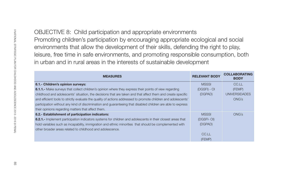| environments that allow the development of their skills, defending the right to play,<br>leisure, free time in safe environments, and promoting responsible consumption, both<br>in urban and in rural areas in the interests of sustainable development                                                                                                                                                                                                                                                                                           | Promoting children's participation by encouraging appropriate ecological and social |                                                  |
|----------------------------------------------------------------------------------------------------------------------------------------------------------------------------------------------------------------------------------------------------------------------------------------------------------------------------------------------------------------------------------------------------------------------------------------------------------------------------------------------------------------------------------------------------|-------------------------------------------------------------------------------------|--------------------------------------------------|
| <b>MEASURES</b>                                                                                                                                                                                                                                                                                                                                                                                                                                                                                                                                    | <b>RELEVANT BODY</b>                                                                | <b>COLLABORATING</b><br><b>BODY</b>              |
| 8.1.- Children's opinion surveys:<br>8.1.1.- Make surveys that collect children's opinion where they express their points of view regarding<br>childhood and adolescents' situation, the decisions that are taken and that affect them and create specific<br>and efficient tools to strictly evaluate the quality of actions addressed to promote children and adolescents'<br>participation without any kind of discrimination and guaranteeing that disabled children are able to express<br>their opinions regarding matters that affect them. | <b>MSSSI</b><br>(DGSFI) - OI<br>(DGPAD)                                             | CC.LL<br>(FEMP)<br><b>UNIVERSIDADES</b><br>ONG's |
| 8.2.- Establishment of participation indicators:<br>8.2.1.- Implement participation indicators systems for children and adolescents in their closest areas that<br>hold variables such as incapability, immigration and ethnic minorities that should be complemented with<br>other broader areas related to childhood and adolescence.                                                                                                                                                                                                            | <b>MSSSI</b><br>(DGSFI-OI)<br>(DGPAD)<br>CC.LL<br>(FEMP)                            | <b>ONG's</b>                                     |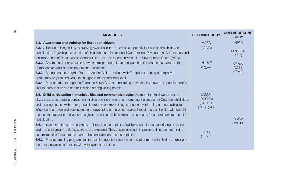| တ္တ                                | <b>MEASURES</b>                                                                                                                                                                                                                                                                                                                                                                                                                                                                                                                                                                                                                                                                                                                                                                                                                                                                                                                                                                                                                                                                                      | <b>RELEVANT BODY</b>                                                 | <b>COLLABORATING</b><br><b>BODY</b> |
|------------------------------------|------------------------------------------------------------------------------------------------------------------------------------------------------------------------------------------------------------------------------------------------------------------------------------------------------------------------------------------------------------------------------------------------------------------------------------------------------------------------------------------------------------------------------------------------------------------------------------------------------------------------------------------------------------------------------------------------------------------------------------------------------------------------------------------------------------------------------------------------------------------------------------------------------------------------------------------------------------------------------------------------------------------------------------------------------------------------------------------------------|----------------------------------------------------------------------|-------------------------------------|
|                                    | 8.3.- Awareness and training for European citizens:                                                                                                                                                                                                                                                                                                                                                                                                                                                                                                                                                                                                                                                                                                                                                                                                                                                                                                                                                                                                                                                  | <b>MAEC</b>                                                          | <b>MECD</b>                         |
|                                    | 8.3.1.- Realize training initiatives involving awareness in the local area, specially focused on the childhood<br>participation, regarding the situation of child rights and International Cooperation, Development Cooperation and<br>the importance of Decentralized Cooperation as tools to reach the Millennium Development Goals. (MDG)                                                                                                                                                                                                                                                                                                                                                                                                                                                                                                                                                                                                                                                                                                                                                         | (AECID)                                                              | <b>MINETUR</b><br>(SET)             |
|                                    | 8.3.2.- Create a child participation network aiming to coordinate and launch actions in the state area, in the                                                                                                                                                                                                                                                                                                                                                                                                                                                                                                                                                                                                                                                                                                                                                                                                                                                                                                                                                                                       | <b>INJUVE</b>                                                        | <b>ONG's</b>                        |
|                                    | European area and in other international institutions.<br>8.3.3.- Strengthen the program Youth in Action: Action 1: Youth with Europe, supporting participative<br>democracy projects and youth exchanges in the international level.<br>8.3.4.- Promote trips through the European Youth Card and hostelling networks that have an impact in mobility,<br>culture, participation and communication among young people.                                                                                                                                                                                                                                                                                                                                                                                                                                                                                                                                                                                                                                                                              | CC.AA                                                                | CC.LL<br>(FEMP)                     |
| INFORMES, ESTUDIOS E INVESTIGACIÓN | 8.4.- Child participation in municipalities and common strategies: Promote that the involvement of<br>citizens is a cross-cutting component in child attention programs, promoting the creation of Councils, child clubs<br>and meeting spaces with other groups in order to optimize dialogue spaces, by informing and spreading its<br>influence to children and adolescents and developing common strategies through local authorities with special<br>mention in rural areas and vulnerable groups such as disabled minors, who usually face more barriers to social<br>participation.<br>8.4.1.- Insist on actions of an alternative leisure to consumption of addictive substances, prioritizing on those<br>addressed to groups suffering a big risk of exclusion. They should be made in problematic areas that tend to<br>accumulate risk factors to the start or the consolidation of consumptions.<br>8.4.2.- Promote training programs for intervention agents in free time and environment with children, insisting on<br>those that develop skills to act with vulnerable populations. | <b>MSSSI</b><br>(DGPND)<br>(DGPAD)<br>(DGSFI) -OI<br>CC.LL<br>(FEMP) | <b>ONG's</b><br><b>UNICEF</b>       |
|                                    |                                                                                                                                                                                                                                                                                                                                                                                                                                                                                                                                                                                                                                                                                                                                                                                                                                                                                                                                                                                                                                                                                                      |                                                                      |                                     |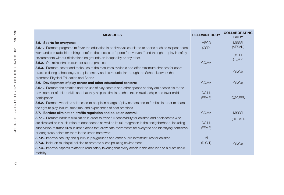| <b>MEASURES</b>                                                                                                | <b>RELEVANT BODY</b> | <b>COLLABORATING</b><br><b>BODY</b> |
|----------------------------------------------------------------------------------------------------------------|----------------------|-------------------------------------|
| 8.5.- Sports for everyone:                                                                                     | <b>MECD</b>          | <b>MSSSI</b>                        |
| 8.5.1.- Promote programs to favor the education in positive values related to sports such as respect, team     | (CSD)                | (AESAN)                             |
| work and comradeship, mixing therefore the access to "sports for everyone" and the right to play in safety     |                      | CC.LL                               |
| environments without distinctions on grounds on incapability or any other.                                     |                      | (FEMP)                              |
| 8.5.2.- Optimize infrastructure for sports practice.                                                           | CC.AA                |                                     |
| 8.5.3.- Promote, foster and make use of the resources available and offer maximum chances for sport            |                      |                                     |
| practice during school days, complementary and extracurricular through the School Network that                 |                      | <b>ONG's</b>                        |
| promotes Physical Education and Sports.                                                                        |                      |                                     |
| 8.6.- Development of play center and other educational centers:                                                | CC.AA                | ONG's                               |
| 8.6.1.- Promote the creation and the use of play centers and other spaces so they are accessible to the        |                      |                                     |
| development of child's skills and that they help to stimulate cohabitation relationships and favor child       | CC.LL                |                                     |
| participation.                                                                                                 | (FEMP)               | <b>CGCEES</b>                       |
| 8.6.2.- Promote websites addressed to people in charge of play centers and to families in order to share       |                      |                                     |
| the right to play, leisure, free time, and experiences of best practices.                                      |                      |                                     |
| 8.7.- Barriers elimination, traffic regulation and pollution control:                                          | CC.AA                | <b>MSSSI</b>                        |
| 8.7.1.- Promote barriers elimination in order to favor full accessibility for children and adolescents who     |                      | (DGPAD)                             |
| are disabled or in a situation of dependence as well as its full integration in their neighborhood, including  | CC.LL                |                                     |
| supervision of traffic rules in urban areas that allow safe movements for everyone and identifying conflictive | (FEMP)               |                                     |
| or dangerous points for them in the urban framework.                                                           |                      |                                     |
| 8.7.2.- Improve security and quality in playgrounds and other public infrastructures for children.             | MI                   |                                     |
| 8.7.3.- Insist on municipal policies to promote a less polluting environment.                                  | (D.G.T)              | <b>ONG's</b>                        |
| 8.7.4.- Improve aspects related to road safety favoring that every action in this area lead to a sustainable   |                      |                                     |
| mobility.                                                                                                      |                      |                                     |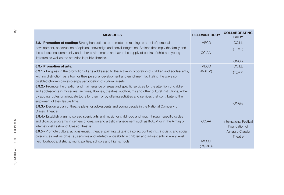| <b>MEASURES</b>                                                                                                   | <b>RELEVANT BODY</b> | <b>COLLABORATING</b><br><b>BODY</b> |
|-------------------------------------------------------------------------------------------------------------------|----------------------|-------------------------------------|
| 8.8.- Promotion of reading: Strengthen actions to promote the reading as a tool of personal                       | <b>MECD</b>          | CC.LL                               |
| development, construction of opinion, knowledge and social integration. Actions that imply the family and         |                      | (FEMP)                              |
| the educational community and other environments and favor the supply of books of child and young                 | CC.AA.               |                                     |
| literature as well as the activities in public libraries.                                                         |                      | <b>ONG's</b>                        |
| 8.9.- Promotion of arts:                                                                                          | <b>MECD</b>          | CC.LL                               |
| 8.9.1.- Progress in the promotion of arts addressed to the active incorporation of children and adolescents,      | (INAEM)              |                                     |
| with no distinction, as a tool for their personal development and enrichment facilitating the ways so             |                      | (FEMP)                              |
| disabled children can also enjoy participation of cultural assets.                                                |                      |                                     |
| 8.9.2.- Promote the creation and maintenance of areas and specific services for the attention of children         |                      |                                     |
| and adolescents in museums, archives, libraries, theatres, auditoriums and other cultural institutions, either    |                      |                                     |
| by adding routes or adequate tours for them or by offering activities and services that contribute to the         |                      |                                     |
| enjoyment of their leisure time.                                                                                  |                      | ONG's                               |
| 8.9.3.- Design a plan of theatre plays for adolescents and young people in the National Company of                |                      |                                     |
| Classic Theatre.                                                                                                  |                      |                                     |
| 8.9.4.- Establish plans to spread scenic arts and music for childhood and youth through specific cycles           |                      |                                     |
| and didactic programs in centers of creation and artistic management such as INAEM or in the Almagro              | CC.AA                | <b>International Festival</b>       |
| International Festival of Classic Theatre.                                                                        |                      | Foundation of                       |
| 8.9.5.- Promote cultural actions (music, theatre, painting) taking into account ethnic, linguistic and social     |                      | Almagro Classic                     |
| diversity, as well as physical, sensitive and intellectual disability in children and adolescents in every level, |                      | Theatre                             |
| neighborhoods, districts, municipalities, schools and high schools                                                | <b>MSSSI</b>         |                                     |
|                                                                                                                   | (DGPAD)              |                                     |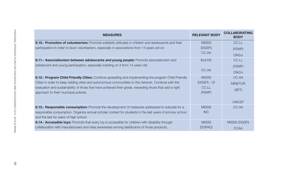| <b>MEASURES</b>                                                                                           | <b>RELEVANT BODY</b> | <b>COLLABORATING</b><br><b>BODY</b> |
|-----------------------------------------------------------------------------------------------------------|----------------------|-------------------------------------|
| 8.10.- Promotion of volunteerism: Promote solidarity attitudes in children and adolescents and their      | <b>MSSSI</b>         | CC.LL                               |
| participation in order to favor volunteerism, especially in associations from 14 years old on.            | (DGSFI)              | (FEMP)                              |
|                                                                                                           | CC.AA                | <b>ONG's</b>                        |
| 8.11.- Associationism between adolescents and young people: Promote associationism and                    | <b>INJUVE</b>        | CC.LL                               |
| adolescent and young participation, especially insisting on it from 14 years old.                         |                      | (FEMP)                              |
|                                                                                                           | CC.AA                | <b>ONG's</b>                        |
| 8.12.- Program Child Friendly Cities: Continue spreading and implementing the program Child Friendly      | <b>MSSSI</b>         | CC.AA                               |
| Cities in order to keep adding cities and autonomous communities to the network. Continue with the        | (DGSFI) - OI         | <b>MINETUR</b>                      |
| evaluation and sustainability of those that have achieved their grade, rewarding those that add a right   | CC.LL                | (SET)                               |
| approach to their municipal policies.                                                                     | (FEMP)               |                                     |
|                                                                                                           |                      | <b>UNICEF</b>                       |
| 8.13.- Responsible consumption: Promote the development of measures addressed to educate for a            | <b>MSSSI</b>         | CC.AA                               |
| responsible consumption. Organize annual scholar contest for students in the last years of primary school | <b>INC</b>           |                                     |
| and the last for years of high school.                                                                    |                      |                                     |
| 8.14.- Accessible toys: Promote that every toy is accessible for children with disability through         | <b>MSSSI</b>         | <b>MSSSI (DGSFI)</b>                |
| collaboration with manufacturers and raise awareness among distributors of those products.                | (DGPAD)              | <b>CCAA</b>                         |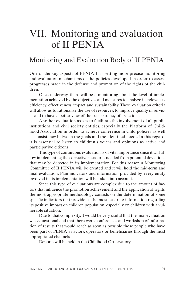# VII. Monitoring and evaluation of II PENIA

### Monitoring and Evaluation Body of II PENIA

One of the key aspects of PENIA II is setting more precise monitoring and evaluation mechanisms of the policies developed in order to assess progresses made in the defense and promotion of the rights of the children.

Once underway, there will be a monitoring about the level of implementation achieved by the objectives and measures to analyze its relevance, efficiency, effectiveness, impact and sustainability. These evaluation criteria will allow us to rationalize the use of resources, to improve quality in services and to have a better view of the transparency of its actions.

Another evaluation axis is to facilitate the involvement of all public institutions and civil society entities, especially the Platform of Childhood Association in order to achieve coherence in child policies as well as consistency between the goals and the identified needs. In this regard, it is essential to listen to children's voices and opinions as active and participative citizens.

This type of continuous evaluation is of vital importance since it will allow implementing the corrective measures needed from potential deviations that may be detected in its implementation. For this reason a Monitoring Committee of II PENIA will be created and it will hold the mid-term and final evaluation. Plan indicators and information provided by every entity involved in its implementation will be taken into account.

Since this type of evaluations are complex due to the amount of factors that influence the promotion achievement and the application of rights, the most appropriate methodology consists on the determination of some specific indicators that provide us the most accurate information regarding its positive impact on children population, especially on children with a vulnerable situation.

Due to that complexity, it would be very useful that the final evaluation was educational and that there were conferences and workshop of information of results that would reach as soon as possible those people who have been part of PENIA as actors, operators or beneficiaries through the most appropriated channels.

Reports will be held in the Childhood Observatory.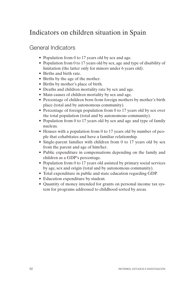## Indicators on children situation in Spain

### General Indicators

- Population from 0 to 17 years old by sex and age.
- Population from 0 to 17 years old by sex, age and type of disability of limitation (the latter only for minors under 6 years old).
- Births and birth rate.
- Births by the age of the mother.
- Births by mother's place of birth.
- Deaths and children mortality rate by sex and age.
- Main causes of children mortality by sex and age.
- Percentage of children born from foreign mothers by mother's birth place (total and by autonomous community).
- Percentage of foreign population from 0 to 17 years old by sex over the total population (total and by autonomous community).
- Population from 0 to 17 years old by sex and age and type of family nucleus.
- Houses with a population from 0 to 17 years old by number of people that cohabitates and have a familiar relationship.
- Single-parent families with children from 0 to 17 years old by sex from the parent and age of him/her.
- Public expenditure in compensations depending on the family and children as a GDP's percentage.
- Population from 0 to 17 years old assisted by primary social services by age, sex and origin (total and by autonomous community).
- Total expenditure in public and state education regarding GDP.
- Education expenditure by student.
- Quantity of money intended for grants on personal income tax system for programs addressed to childhood sorted by areas.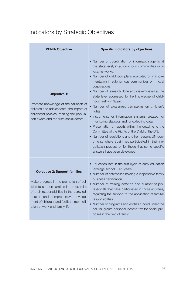## Indicators by Strategic Objectives

| <b>PENIA Objective</b>                                                                                                                                                                                                                                                                           | Specific indicators by objectives                                                                                                                                                                                                                                                                                                                                                                                                                                                                                                                                                                                                                                                                                                                                                                                                                                 |
|--------------------------------------------------------------------------------------------------------------------------------------------------------------------------------------------------------------------------------------------------------------------------------------------------|-------------------------------------------------------------------------------------------------------------------------------------------------------------------------------------------------------------------------------------------------------------------------------------------------------------------------------------------------------------------------------------------------------------------------------------------------------------------------------------------------------------------------------------------------------------------------------------------------------------------------------------------------------------------------------------------------------------------------------------------------------------------------------------------------------------------------------------------------------------------|
| <b>Objective 1:</b><br>Promote knowledge of the situation of<br>children and adolescents, the impact of<br>childhood policies, making the popula-<br>tion aware and mobilize social actors.                                                                                                      | . Number of coordination or information agents at<br>the state level, in autonomous communities or in<br>local networks.<br>• Number of childhood plans evaluated or in imple-<br>mentation in autonomous communities or in local<br>corporations.<br>• Number of research done and disseminated at the<br>state level addressed to the knowledge of child-<br>hood reality in Spain.<br>· Number of awareness campaigns on children's<br>rights.<br>· Instruments or information systems created for<br>monitoring statistics and for collecting data.<br>• Presentation of reports within the deadline to the<br>Committee of the Rights of the Child of the UN.<br>• Number of resolutions and other relevant UN doc-<br>uments where Spain has participated in their ne-<br>gotiation process or for those that some specific<br>answers have been developed. |
| <b>Objective 2: Support families</b><br>Make progress in the promotion of pol-<br>icies to support families in the exercise<br>of their responsibilities in the care, ed-<br>ucation and comprehensive develop-<br>ment of children, and facilitate reconcili-<br>ation of work and family life. | · Education rate in the first cycle of early education<br>(average school 0.1-2 years).<br>• Number of enterprises holding a responsible family<br>business certification.<br>Number of training activities and number of pro-<br>fessionals that have participated in those activities,<br>regarding the support to the application of familiar<br>responsibilities.<br>Number of programs and entities funded under the<br>call for grants personal income tax for social pur-<br>poses in the field of family.                                                                                                                                                                                                                                                                                                                                                 |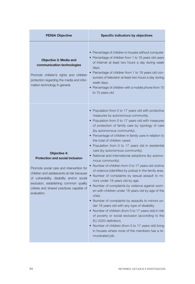| <b>PENIA Objective</b>                                                                                                                                                                                                                                                                                   | Specific indicators by objectives                                                                                                                                                                                                                                                                                                                                                                                                                                                                                                                                                                                                                                                                                                                                                                                                                                                                                                                                                                                                                                                                                                                                                          |
|----------------------------------------------------------------------------------------------------------------------------------------------------------------------------------------------------------------------------------------------------------------------------------------------------------|--------------------------------------------------------------------------------------------------------------------------------------------------------------------------------------------------------------------------------------------------------------------------------------------------------------------------------------------------------------------------------------------------------------------------------------------------------------------------------------------------------------------------------------------------------------------------------------------------------------------------------------------------------------------------------------------------------------------------------------------------------------------------------------------------------------------------------------------------------------------------------------------------------------------------------------------------------------------------------------------------------------------------------------------------------------------------------------------------------------------------------------------------------------------------------------------|
| <b>Objective 3: Media and</b><br>communication technologies<br>Promote children's rights and children<br>protection regarding the media and infor-<br>mation technology in general.                                                                                                                      | • Percentage of children in houses without computer.<br>• Percentage of children from 1 to 18 years old users<br>of Internet at least two hours a day during week<br>days.<br>• Percentage of children from 1 to 18 years old con-<br>sumers of television at least two hours a day during<br>week days.<br>• Percentage of children with a mobile phone from 10<br>to 15 years old.                                                                                                                                                                                                                                                                                                                                                                                                                                                                                                                                                                                                                                                                                                                                                                                                       |
| <b>Objective 4:</b><br><b>Protection and social inclusion</b><br>Promote social care and intervention for<br>children and adolescents at risk because<br>of vulnerability, disability and/or social<br>exclusion, establishing common quality<br>criteria and shared practices capable of<br>evaluation. | • Population from 0 to 17 years old with protective<br>measures by autonomous community.<br>• Population from 0 to 17 years old with measures<br>of protection of family care by typology of care<br>(by autonomous community).<br>• Percentage of children in family care in relation to<br>the total of children cared.<br>• Population from 0 to 17 years old in residential<br>care (by autonomous community).<br>• National and international adoptions (by autono-<br>mous community).<br>• Number of children from 0 to 17 years old victims<br>of violence (identified by police) in the family area.<br>• Number of complaints by sexual assault to mi-<br>nors under 18 years old by age.<br>• Number of complaints by violence against wom-<br>en with children under 18 years old by age of the<br>child.<br>• Number of complaints by assaults to minors un-<br>der 18 years old with any type of disability.<br>• Number of children (from 0 to 17 years old) in risk<br>of poverty or social exclusion (according to the<br>EU 2020 definition).<br>• Number of children (from 0 to 17 years old) living<br>in houses where none of the members has a re-<br>munerated job. |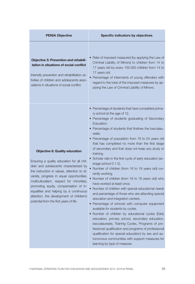| <b>PENIA Objective</b>                                                                                                                                                                                                                                                                                                                                                                                                                          | <b>Specific indicators by objectives</b>                                                                                                                                                                                                                                                                                                                                                                                                                                                                                                                                                                                                                                                                                                                                                                                                                                                                                                                                                                                                                                                                                                                                                                                                                 |
|-------------------------------------------------------------------------------------------------------------------------------------------------------------------------------------------------------------------------------------------------------------------------------------------------------------------------------------------------------------------------------------------------------------------------------------------------|----------------------------------------------------------------------------------------------------------------------------------------------------------------------------------------------------------------------------------------------------------------------------------------------------------------------------------------------------------------------------------------------------------------------------------------------------------------------------------------------------------------------------------------------------------------------------------------------------------------------------------------------------------------------------------------------------------------------------------------------------------------------------------------------------------------------------------------------------------------------------------------------------------------------------------------------------------------------------------------------------------------------------------------------------------------------------------------------------------------------------------------------------------------------------------------------------------------------------------------------------------|
| <b>Objective 5: Prevention and rehabili-</b><br>tation in situations of social conflict<br>Intensify prevention and rehabilitation ac-<br>tivities of children and adolescents asso-<br>ciations in situations of social conflict.                                                                                                                                                                                                              | Rate of imposed measured (by applying the Law of<br>Criminal Liability of Minors) to children from 14 to<br>17 years old by every 100.000 children from 14 to<br>17 years old.<br>• Percentage of interments of young offenders with<br>regard to the total of the imposed measures by ap-<br>plying the Law of Criminal Liability of Minors.                                                                                                                                                                                                                                                                                                                                                                                                                                                                                                                                                                                                                                                                                                                                                                                                                                                                                                            |
| <b>Objective 6: Quality education</b><br>Ensuring a quality education for all chil-<br>dren and adolescents characterized by<br>the instruction in values, attention to di-<br>versity, progress in equal opportunities,<br>multiculturalism, respect for minorities,<br>promoting equity, compensation of in-<br>equalities and helping by a continuous<br>attention, the development of children's<br>potential from the first years of life. | • Percentage of students that have completed prima-<br>ry school at the age of 12.<br>• Percentage of students graduating of Secondary<br>Education.<br>• Percentage of students that finishes the baccalau-<br>reate.<br>• Percentage of population from 18 to 24 years old<br>that has completed no more than the first stage<br>of secondary and that does not keep any study or<br>training.<br>• Scholar rate in the first cycle of early education (av-<br>erage school 0.1-2).<br>• Number of children (from 16 to 18 years old) cur-<br>rently working.<br>• Number of children (from 16 to 18 years old) who<br>have worked at least once.<br>Number of children with special educational needs<br>and percentage of those who are attending special<br>education and integration centers.<br>• Percentage of schools with computer equipment<br>available for students by cycles.<br>. Number of children by educational cycles (Early<br>education, primary school, secondary education,<br>baccalaureate, Training Cycles, Programs of pro-<br>fessional qualification and programs of professional<br>qualification for special education) by sex and au-<br>tonomous communities with support measures for<br>learning by type of measure. |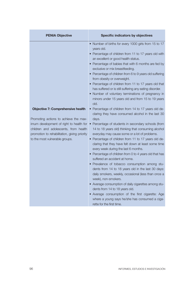| <b>PENIA Objective</b>                                                                                                                                                                                                                                  | <b>Specific indicators by objectives</b>                                                                                                                                                                                                                                                                                                                                                                                                                                                                                                                                                                                                                                                                                                                                                                                                                                                                                                                                                                                                                                                                                                                                                                                                                                                                                                                                                                                                                                                                                        |
|---------------------------------------------------------------------------------------------------------------------------------------------------------------------------------------------------------------------------------------------------------|---------------------------------------------------------------------------------------------------------------------------------------------------------------------------------------------------------------------------------------------------------------------------------------------------------------------------------------------------------------------------------------------------------------------------------------------------------------------------------------------------------------------------------------------------------------------------------------------------------------------------------------------------------------------------------------------------------------------------------------------------------------------------------------------------------------------------------------------------------------------------------------------------------------------------------------------------------------------------------------------------------------------------------------------------------------------------------------------------------------------------------------------------------------------------------------------------------------------------------------------------------------------------------------------------------------------------------------------------------------------------------------------------------------------------------------------------------------------------------------------------------------------------------|
| <b>Objective 7: Comprehensive health</b><br>Promoting actions to achieve the max-<br>imum development of right to health for<br>children and adolescents, from health<br>promotion to rehabilitation, giving priority<br>to the most vulnerable groups. | • Number of births for every 1000 girls from 15 to 17<br>years old.<br>• Percentage of children from 11 to 17 years old with<br>an excellent or good health status.<br>• Percentage of babies that with 6 months are fed by<br>exclusive or mix breastfeeding.<br>• Percentage of children from 6 to 9 years old suffering<br>from obesity or overweight.<br>• Percentage of children from 11 to 17 years old that<br>has suffered or is still suffering any eating disorder.<br>• Number of voluntary terminations of pregnancy in<br>minors under 15 years old and from 15 to 19 years<br>old.<br>• Percentage of children from 14 to 17 years old de-<br>claring they have consumed alcohol in the last 30<br>days.<br>• Percentage of students in secondary schools (from<br>14 to 18 years old) thinking that consuming alcohol<br>everyday may cause some or a lot of problems.<br>• Percentage of children from 11 to 17 years old de-<br>claring that they have felt down at least some time<br>every week during the last 6 months.<br>• Percentage of children from 0 to 4 years old that has<br>suffered an accident at home.<br>• Prevalence of tobacco consumption among stu-<br>dents from 14 to 18 years old in the last 30 days:<br>daily smokers, weekly, occasional (less than once a<br>week), non-smokers.<br>• Average consumption of daily cigarettes among stu-<br>dents from 14 to 18 years old.<br>• Average consumption of the first cigarette: Age<br>where a young says he/she has consumed a ciga- |
|                                                                                                                                                                                                                                                         | rette for the first time.                                                                                                                                                                                                                                                                                                                                                                                                                                                                                                                                                                                                                                                                                                                                                                                                                                                                                                                                                                                                                                                                                                                                                                                                                                                                                                                                                                                                                                                                                                       |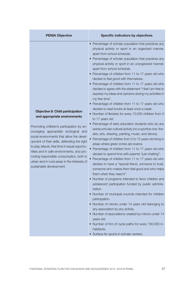| <b>PENIA Objective</b>                                                                                                                                                                                                                                                                                                                                                                                                                                                        | Specific indicators by objectives                                                                                                                                                                                                                                                                                                                                                                                                                                                                                                                                                                                                                                                                                                                                                                                                                                                                                                                                                                                                                                                                                                                                                                                                                                                                                                                                                                                                                                                                                                                                                                                                                                                                                                                                                                                                                             |
|-------------------------------------------------------------------------------------------------------------------------------------------------------------------------------------------------------------------------------------------------------------------------------------------------------------------------------------------------------------------------------------------------------------------------------------------------------------------------------|---------------------------------------------------------------------------------------------------------------------------------------------------------------------------------------------------------------------------------------------------------------------------------------------------------------------------------------------------------------------------------------------------------------------------------------------------------------------------------------------------------------------------------------------------------------------------------------------------------------------------------------------------------------------------------------------------------------------------------------------------------------------------------------------------------------------------------------------------------------------------------------------------------------------------------------------------------------------------------------------------------------------------------------------------------------------------------------------------------------------------------------------------------------------------------------------------------------------------------------------------------------------------------------------------------------------------------------------------------------------------------------------------------------------------------------------------------------------------------------------------------------------------------------------------------------------------------------------------------------------------------------------------------------------------------------------------------------------------------------------------------------------------------------------------------------------------------------------------------------|
| <b>Objective 8: Child participation</b><br>and appropriate environments<br>Promoting children's participation by en-<br>couraging appropriate ecological and<br>social environments that allow the devel-<br>opment of their skills, defending the right<br>to play, leisure, free time in equal opportu-<br>nities and in safe environments, and pro-<br>moting responsible consumption, both in<br>urban and in rural areas in the interests of<br>sustainable development. | • Percentage of scholar population that practices any<br>physical activity or sport in an organized manner,<br>apart from school schedule.<br>• Percentage of scholar population that practices any<br>physical activity or sport in an unorganized manner,<br>apart from school schedule.<br>• Percentage of children from 11 to 17 years old who<br>declare to feel good with themselves.<br>• Percentage of children from 11 to 17 years old who<br>declare to agree with the statement "I feel I am free to<br>express my ideas and opinions during my activities in<br>my free time".<br>• Percentage of children from 11 to 17 years old who<br>declare to read books at least once a week.<br>• Number of libraries for every 10.000 children from 0<br>to 17 years old.<br>• Percentage of early education students who do any<br>extracurricular cultural activity (no a sportive one: the-<br>atre, arts, drawing, painting, music, and dance).<br>• Percentage of children from 0 to 15 years old living in<br>areas where green zones are scarce.<br>• Percentage of children from 11 to 17 years old who<br>declare to spend time with parents "just chatting".<br>• Percentage of children from 11 to 17 years old who<br>declare to have a "special friend, someone to trust,<br>someone who makes them feel good and who helps<br>them when they need it".<br>• Number of programs intended to favor children and<br>adolescent participation funded by public adminis-<br>tration.<br>• Number of municipal councils intended for children<br>participation.<br>• Number of minors under 14 years old belonging to<br>any association by any activity.<br>• Number of associations created by minors under 14<br>years old.<br>• Number of Km of cycle paths for every 100.000 in-<br>habitants.<br>• Surface for sports in scholar centers. |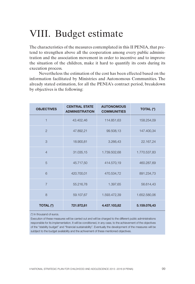# VIII. Budget estimate

The characteristics of the measures contemplated in this II PENIA, that pretend to strengthen above all the cooperation among every public administration and the association movement in order to incentive and to improve the situation of the children, make it hard to quantify its costs during its execution process.

Nevertheless the estimation of the cost has been effected based on the information facilitated by Ministries and Autonomous Communities. The already stated estimation, for all the PENIA's contract period, breakdown by objectives is the following:

| <b>OBJECTIVES</b> | <b>CENTRAL STATE</b><br><b>ADMINISTRATION</b> | <b>AUTONOMOUS</b><br><b>COMMUNITIES</b> | TOTAL (*)    |
|-------------------|-----------------------------------------------|-----------------------------------------|--------------|
| $\mathbf{1}$      | 43.402,46                                     | 114.851,63                              | 158.254,09   |
| $\overline{2}$    | 47.892,21                                     | 99.508,13                               | 147.400,34   |
| 3                 | 18.900,81                                     | 3.266,43                                | 22.167,24    |
| $\overline{4}$    | 31.035,15                                     | 1.739.502,68                            | 1.770.537,83 |
| 5                 | 45.717,50                                     | 414.570,19                              | 460.287,69   |
| 6                 | 420.700,01                                    | 470.534,72                              | 891.234,73   |
| $\overline{7}$    | 55.216,78                                     | 1.397,65                                | 56.614,43    |
| $\mathsf{R}$      | 59.107,67                                     | 1.593.472,39                            | 1.652.580,06 |
| TOTAL (*)         | 721.972,61                                    | 4.437.103,82                            | 5.159.076,43 |

(\*) In thousand of euros.

Execution of these measures will be carried out and will be charged to the different public administrations responsible for its implementation. It will be conditioned, in any case, to the achievement of the objectives of the "stability budget" and "financial sustainability". Eventually the development of the measures will be subtject to the budget availability and the achivement of these mentioned objectives.